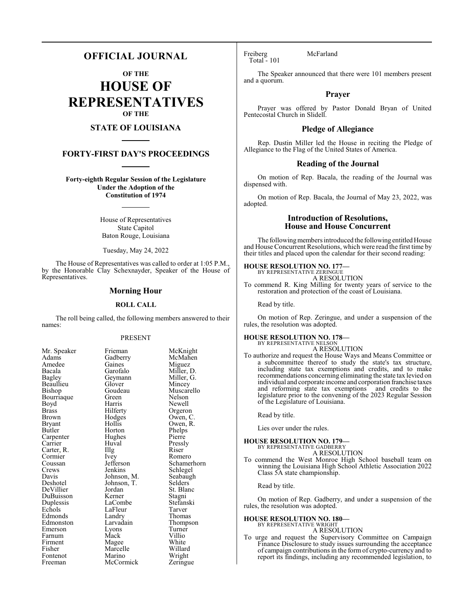### **OFFICIAL JOURNAL**

**OF THE**

**HOUSE OF REPRESENTATIVES OF THE**

### **STATE OF LOUISIANA**

#### **FORTY-FIRST DAY'S PROCEEDINGS**

**Forty-eighth Regular Session of the Legislature Under the Adoption of the Constitution of 1974**

> House of Representatives State Capitol Baton Rouge, Louisiana

Tuesday, May 24, 2022

The House of Representatives was called to order at 1:05 P.M., by the Honorable Clay Schexnayder, Speaker of the House of Representatives.

#### **Morning Hour**

#### **ROLL CALL**

The roll being called, the following members answered to their names:

#### PRESENT

| Mr. Speaker  | Frieman     | McK    |
|--------------|-------------|--------|
| Adams        | Gadberry    | McM    |
| Amedee       | Gaines      | Migu   |
| Bacala       | Garofalo    | Mille  |
| Bagley       | Geymann     | Mille  |
| Beaullieu    | Glover      | Minc   |
| Bishop       | Goudeau     | Musc   |
| Bourriaque   | Green       | Nelso  |
| Boyd         | Harris      | Newe   |
| <b>Brass</b> | Hilferty    | Orge   |
| <b>Brown</b> | Hodges      | Ower   |
| Bryant       | Hollis      | Ower   |
| Butler       | Horton      | Phelp  |
| Carpenter    | Hughes      | Pierr  |
| Carrier      | Huval       | Press  |
| Carter, R.   | Illg        | Riser  |
| Cormier      | Ivey        | Rom    |
| Coussan      | Jefferson   | Schar  |
| Crews        | Jenkins     | Schle  |
| Davis        | Johnson, M. | Seaba  |
| Deshotel     | Johnson, T. | Selde  |
| DeVillier    | Jordan      | St. B  |
| DuBuisson    | Kerner      | Stagn  |
| Duplessis    | LaCombe     | Stefa  |
| Echols       | LaFleur     | Tarve  |
| Edmonds      | Landry      | Thon   |
| Edmonston    | Larvadain   | Thon   |
| Emerson      | Lyons       | Turn   |
| Farnum       | Mack        | Villio |
| Firment      | Magee       | White  |
| Fisher       | Marcelle    | Willa  |
| Fontenot     | Marino      | Wrig   |
| Freeman      | McCormick   | Zerin  |

Frieman McKnight<br>Gadberry McMahen McMahen<br>Miguez Miller, D.<br>Miller, G. Geymann Miller, Glover Miller, Goudeau Muscarello<br>Green Nelson Green Nelson<br>Harris Newell Harris Newell<br>Hilferty Orgeror Hilferty Orgeron<br>Hodges Owen, C Hodges Owen, C.<br>Hollis Owen, R. Hollis Owen, R.<br>Horton Phelps Phelps<br>Pierre Huval Pressly<br>Illg Riser Ivey Romero<br>Jefferson Schamer Jefferson Schamerhorn<br>Jenkins Schlegel Schlegel<br>Seabaugh Johnson, M. Seabaughten<br>Johnson, T. Selders Johnson, T.<br>Jordan St. Blanc<br>Stagni Kerner Stagni<br>LaCombe Stefanski LaCombe Stefans<br>LaFleur Tarver Example LaFleur Tarver<br>
Example 2011 Landry Thomas Thompson<br>Turner Eyons Turner<br>
Mack Villio Farnum Mack Villio Magee White<br>Marcelle Willard Wright<br>Zeringue McCormick

Freiberg McFarland Total - 101

The Speaker announced that there were 101 members present and a quorum.

#### **Prayer**

Prayer was offered by Pastor Donald Bryan of United Pentecostal Church in Slidell.

#### **Pledge of Allegiance**

Rep. Dustin Miller led the House in reciting the Pledge of Allegiance to the Flag of the United States of America.

#### **Reading of the Journal**

On motion of Rep. Bacala, the reading of the Journal was dispensed with.

On motion of Rep. Bacala, the Journal of May 23, 2022, was adopted.

#### **Introduction of Resolutions, House and House Concurrent**

The following members introduced the following entitled House and House Concurrent Resolutions, which were read the first time by their titles and placed upon the calendar for their second reading:

### **HOUSE RESOLUTION NO. 177—** BY REPRESENTATIVE ZERINGUE

A RESOLUTION

To commend R. King Milling for twenty years of service to the restoration and protection of the coast of Louisiana.

Read by title.

On motion of Rep. Zeringue, and under a suspension of the rules, the resolution was adopted.

#### **HOUSE RESOLUTION NO. 178—**

BY REPRESENTATIVE NELSON A RESOLUTION

To authorize and request the House Ways and Means Committee or a subcommittee thereof to study the state's tax structure, including state tax exemptions and credits, and to make recommendations concerning eliminating the state tax levied on individual and corporate income and corporation franchise taxes and reforming state tax exemptions and credits to the legislature prior to the convening of the 2023 Regular Session of the Legislature of Louisiana.

Read by title.

Lies over under the rules.

#### **HOUSE RESOLUTION NO. 179—**

BY REPRESENTATIVE GADBERRY A RESOLUTION

To commend the West Monroe High School baseball team on winning the Louisiana High School Athletic Association 2022 Class 5A state championship.

Read by title.

On motion of Rep. Gadberry, and under a suspension of the rules, the resolution was adopted.

#### **HOUSE RESOLUTION NO. 180—**

BY REPRESENTATIVE WRIGHT A RESOLUTION

To urge and request the Supervisory Committee on Campaign Finance Disclosure to study issues surrounding the acceptance of campaign contributions in the form of crypto-currency and to report its findings, including any recommended legislation, to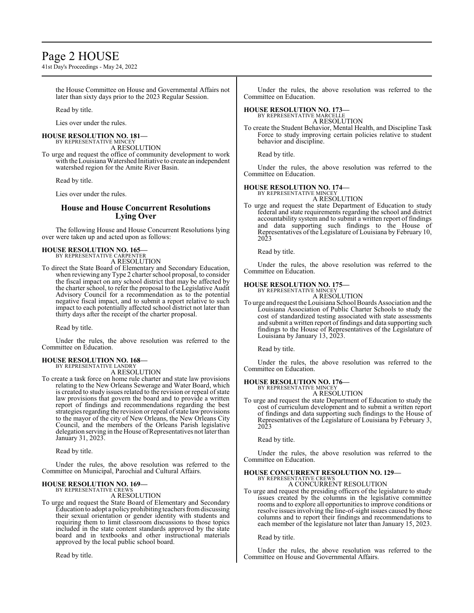### Page 2 HOUSE

41st Day's Proceedings - May 24, 2022

the House Committee on House and Governmental Affairs not later than sixty days prior to the 2023 Regular Session.

Read by title.

Lies over under the rules.

#### **HOUSE RESOLUTION NO. 181—** BY REPRESENTATIVE MINCEY

A RESOLUTION

To urge and request the office of community development to work with the Louisiana Watershed Initiative to create an independent watershed region for the Amite River Basin.

Read by title.

Lies over under the rules.

#### **House and House Concurrent Resolutions Lying Over**

The following House and House Concurrent Resolutions lying over were taken up and acted upon as follows:

### **HOUSE RESOLUTION NO. 165—** BY REPRESENTATIVE CARPENTER

A RESOLUTION

To direct the State Board of Elementary and Secondary Education, when reviewing any Type 2 charter school proposal, to consider the fiscal impact on any school district that may be affected by the charter school, to refer the proposal to the Legislative Audit Advisory Council for a recommendation as to the potential negative fiscal impact, and to submit a report relative to such impact to each potentially affected school district not later than thirty days after the receipt of the charter proposal.

Read by title.

Under the rules, the above resolution was referred to the Committee on Education.

## **HOUSE RESOLUTION NO. 168—** BY REPRESENTATIVE LANDRY

A RESOLUTION

To create a task force on home rule charter and state law provisions relating to the New Orleans Sewerage and Water Board, which is created to study issues related to the revision or repeal of state law provisions that govern the board and to provide a written report of findings and recommendations regarding the best strategies regarding the revision or repeal of state law provisions to the mayor of the city of New Orleans, the New Orleans City Council, and the members of the Orleans Parish legislative delegation serving in the House of Representatives not later than January 31, 2023.

Read by title.

Under the rules, the above resolution was referred to the Committee on Municipal, Parochial and Cultural Affairs.

#### **HOUSE RESOLUTION NO. 169—** BY REPRESENTATIVE CREWS

A RESOLUTION

To urge and request the State Board of Elementary and Secondary Education to adopt a policyprohibiting teachers fromdiscussing their sexual orientation or gender identity with students and requiring them to limit classroom discussions to those topics included in the state content standards approved by the state board and in textbooks and other instructional materials approved by the local public school board.

Read by title.

Under the rules, the above resolution was referred to the Committee on Education.

### **HOUSE RESOLUTION NO. 173—** BY REPRESENTATIVE MARCELLE

A RESOLUTION

To create the Student Behavior, Mental Health, and Discipline Task Force to study improving certain policies relative to student behavior and discipline.

Read by title.

Under the rules, the above resolution was referred to the Committee on Education.

#### **HOUSE RESOLUTION NO. 174—**

BY REPRESENTATIVE MINCEY A RESOLUTION

To urge and request the state Department of Education to study federal and state requirements regarding the school and district accountability system and to submit a written report of findings and data supporting such findings to the House of Representatives of the Legislature of Louisiana by February 10, 2023

Read by title.

Under the rules, the above resolution was referred to the Committee on Education.

#### **HOUSE RESOLUTION NO. 175—**

BY REPRESENTATIVE MINCEY A RESOLUTION

To urge and request the Louisiana School Boards Association and the Louisiana Association of Public Charter Schools to study the cost of standardized testing associated with state assessments and submit a written report of findings and data supporting such findings to the House of Representatives of the Legislature of Louisiana by January 13, 2023.

Read by title.

Under the rules, the above resolution was referred to the Committee on Education.

#### **HOUSE RESOLUTION NO. 176—**

BY REPRESENTATIVE MINCEY A RESOLUTION

To urge and request the state Department of Education to study the cost of curriculum development and to submit a written report of findings and data supporting such findings to the House of Representatives of the Legislature of Louisiana by February 3, 2023

Read by title.

Under the rules, the above resolution was referred to the Committee on Education.

# **HOUSE CONCURRENT RESOLUTION NO. 129—**<br>BY REPRESENTATIVE CREWS<br>A CONCURRENT RESOLUTION

To urge and request the presiding officers of the legislature to study issues created by the columns in the legislative committee rooms and to explore all opportunities to improve conditions or resolve issues involving the line-of-sight issues caused by those columns and to report their findings and recommendations to each member of the legislature not later than January 15, 2023.

Read by title.

Under the rules, the above resolution was referred to the Committee on House and Governmental Affairs.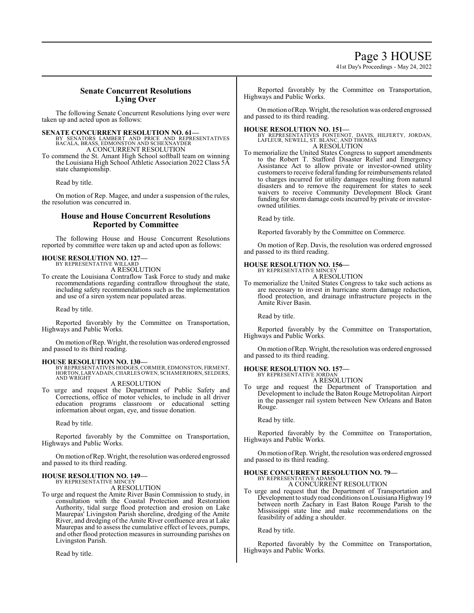41st Day's Proceedings - May 24, 2022

#### **Senate Concurrent Resolutions Lying Over**

The following Senate Concurrent Resolutions lying over were taken up and acted upon as follows:

**SENATE CONCURRENT RESOLUTION NO. 61—**<br>BY SENATORS LAMBERT AND PRICE AND REPRESENTATIVES<br>BACALA, BRASS, EDMONSTON AND SCHEXNAYDER<br>A CONCURRENT RESOLUTION

To commend the St. Amant High School softball team on winning the Louisiana High School Athletic Association 2022 Class 5A state championship.

Read by title.

On motion of Rep. Magee, and under a suspension of the rules, the resolution was concurred in.

#### **House and House Concurrent Resolutions Reported by Committee**

The following House and House Concurrent Resolutions reported by committee were taken up and acted upon as follows:

### **HOUSE RESOLUTION NO. 127—** BY REPRESENTATIVE WILLARD

A RESOLUTION

To create the Louisiana Contraflow Task Force to study and make recommendations regarding contraflow throughout the state, including safety recommendations such as the implementation and use of a siren system near populated areas.

Read by title.

Reported favorably by the Committee on Transportation, Highways and Public Works.

Onmotion ofRep. Wright, the resolution was ordered engrossed and passed to its third reading.

**HOUSE RESOLUTION NO. 130—** BY REPRESENTATIVES HODGES,CORMIER,EDMONSTON, FIRMENT, HORTON, LARVADAIN,CHARLES OWEN, SCHAMERHORN, SELDERS, AND WRIGHT

#### A RESOLUTION

To urge and request the Department of Public Safety and Corrections, office of motor vehicles, to include in all driver education programs classroom or educational setting information about organ, eye, and tissue donation.

Read by title.

Reported favorably by the Committee on Transportation, Highways and Public Works.

Onmotion ofRep. Wright, the resolution was ordered engrossed and passed to its third reading.

#### **HOUSE RESOLUTION NO. 149—** BY REPRESENTATIVE MINCEY

A RESOLUTION

To urge and request the Amite River Basin Commission to study, in consultation with the Coastal Protection and Restoration Authority, tidal surge flood protection and erosion on Lake Maurepas' Livingston Parish shoreline, dredging of the Amite River, and dredging of the Amite River confluence area at Lake Maurepas and to assess the cumulative effect of levees, pumps, and other flood protection measures in surrounding parishes on Livingston Parish.

Read by title.

Reported favorably by the Committee on Transportation, Highways and Public Works.

Onmotion ofRep. Wright, the resolution was ordered engrossed and passed to its third reading.

**HOUSE RESOLUTION NO. 151—**<br>BY REPRESENTATIVES FONTENOT, DAVIS, HILFERTY, JORDAN,<br>LAFLEUR, NEWELL, ST. BLANC, AND THOMAS A RESOLUTION

To memorialize the United States Congress to support amendments to the Robert T. Stafford Disaster Relief and Emergency Assistance Act to allow private or investor-owned utility customers to receive federal funding for reimbursements related to charges incurred for utility damages resulting from natural disasters and to remove the requirement for states to seek waivers to receive Community Development Block Grant funding for storm damage costs incurred by private or investorowned utilities.

Read by title.

Reported favorably by the Committee on Commerce.

On motion of Rep. Davis, the resolution was ordered engrossed and passed to its third reading.

### **HOUSE RESOLUTION NO. 156—** BY REPRESENTATIVE MINCEY

A RESOLUTION

To memorialize the United States Congress to take such actions as are necessary to invest in hurricane storm damage reduction, flood protection, and drainage infrastructure projects in the Amite River Basin.

Read by title.

Reported favorably by the Committee on Transportation, Highways and Public Works.

Onmotion ofRep. Wright, the resolution was ordered engrossed and passed to its third reading.

## **HOUSE RESOLUTION NO. 157—** BY REPRESENTATIVE JORDAN

A RESOLUTION

To urge and request the Department of Transportation and Development to include the Baton Rouge Metropolitan Airport in the passenger rail system between New Orleans and Baton Rouge.

Read by title.

Reported favorably by the Committee on Transportation, Highways and Public Works.

Onmotion ofRep. Wright, the resolution was ordered engrossed and passed to its third reading.

# **HOUSE CONCURRENT RESOLUTION NO. 79—**<br>BY REPRESENTATIVE ADAMS<br>A CONCURRENT RESOLUTION

To urge and request that the Department of Transportation and Development to study road conditions on Louisiana Highway 19 between north Zachary in East Baton Rouge Parish to the Mississippi state line and make recommendations on the feasibility of adding a shoulder.

Read by title.

Reported favorably by the Committee on Transportation, Highways and Public Works.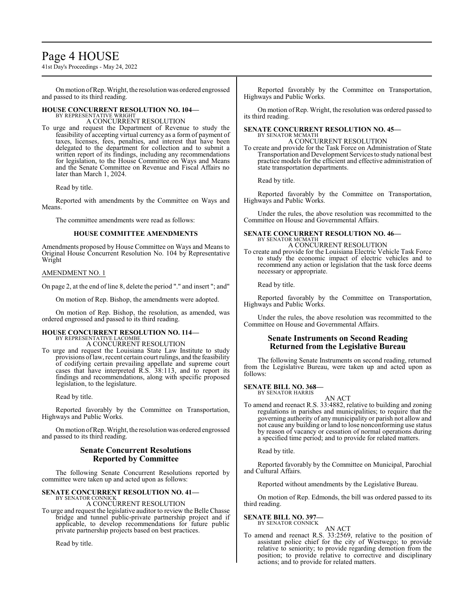## Page 4 HOUSE

41st Day's Proceedings - May 24, 2022

Onmotion ofRep. Wright, the resolution was ordered engrossed and passed to its third reading.

#### **HOUSE CONCURRENT RESOLUTION NO. 104—** BY REPRESENTATIVE WRIGHT

A CONCURRENT RESOLUTION

To urge and request the Department of Revenue to study the feasibility of accepting virtual currency as a form of payment of taxes, licenses, fees, penalties, and interest that have been delegated to the department for collection and to submit a written report of its findings, including any recommendations for legislation, to the House Committee on Ways and Means and the Senate Committee on Revenue and Fiscal Affairs no later than March 1, 2024.

Read by title.

Reported with amendments by the Committee on Ways and Means.

The committee amendments were read as follows:

#### **HOUSE COMMITTEE AMENDMENTS**

Amendments proposed by House Committee on Ways and Means to Original House Concurrent Resolution No. 104 by Representative Wright

#### AMENDMENT NO. 1

On page 2, at the end of line 8, delete the period "." and insert "; and"

On motion of Rep. Bishop, the amendments were adopted.

On motion of Rep. Bishop, the resolution, as amended, was ordered engrossed and passed to its third reading.

#### **HOUSE CONCURRENT RESOLUTION NO. 114—**

BY REPRESENTATIVE LACOMBE A CONCURRENT RESOLUTION

To urge and request the Louisiana State Law Institute to study provisions oflaw, recent certain court rulings, and the feasibility of codifying certain prevailing appellate and supreme court cases that have interpreted R.S. 38:113, and to report its findings and recommendations, along with specific proposed legislation, to the legislature.

Read by title.

Reported favorably by the Committee on Transportation, Highways and Public Works.

Onmotion ofRep. Wright, the resolution was ordered engrossed and passed to its third reading.

#### **Senate Concurrent Resolutions Reported by Committee**

The following Senate Concurrent Resolutions reported by committee were taken up and acted upon as follows:

#### **SENATE CONCURRENT RESOLUTION NO. 41—** BY SENATOR CONNICK

A CONCURRENT RESOLUTION

To urge and request the legislative auditor to review the Belle Chasse bridge and tunnel public-private partnership project and if applicable, to develop recommendations for future public private partnership projects based on best practices.

Read by title.

Reported favorably by the Committee on Transportation, Highways and Public Works.

On motion ofRep. Wright, the resolution was ordered passed to its third reading.

#### **SENATE CONCURRENT RESOLUTION NO. 45—** BY SENATOR MCMATH

A CONCURRENT RESOLUTION

To create and provide for the Task Force on Administration of State Transportation and Development Services to study national best practice models for the efficient and effective administration of state transportation departments.

Read by title.

Reported favorably by the Committee on Transportation, Highways and Public Works.

Under the rules, the above resolution was recommitted to the Committee on House and Governmental Affairs.

#### **SENATE CONCURRENT RESOLUTION NO. 46—** BY SENATOR MCMATH A CONCURRENT RESOLUTION

To create and provide for the Louisiana Electric Vehicle Task Force to study the economic impact of electric vehicles and to recommend any action or legislation that the task force deems necessary or appropriate.

Read by title.

Reported favorably by the Committee on Transportation, Highways and Public Works.

Under the rules, the above resolution was recommitted to the Committee on House and Governmental Affairs.

#### **Senate Instruments on Second Reading Returned from the Legislative Bureau**

The following Senate Instruments on second reading, returned from the Legislative Bureau, were taken up and acted upon as follows:

**SENATE BILL NO. 368—** BY SENATOR HARRIS

AN ACT

To amend and reenact R.S. 33:4882, relative to building and zoning regulations in parishes and municipalities; to require that the governing authority of any municipality or parish not allow and not cause any building or land to lose nonconforming use status by reason of vacancy or cessation of normal operations during a specified time period; and to provide for related matters.

Read by title.

Reported favorably by the Committee on Municipal, Parochial and Cultural Affairs.

Reported without amendments by the Legislative Bureau.

On motion of Rep. Edmonds, the bill was ordered passed to its third reading.

#### **SENATE BILL NO. 397—** BY SENATOR CONNICK

AN ACT To amend and reenact R.S. 33:2569, relative to the position of assistant police chief for the city of Westwego; to provide relative to seniority; to provide regarding demotion from the position; to provide relative to corrective and disciplinary actions; and to provide for related matters.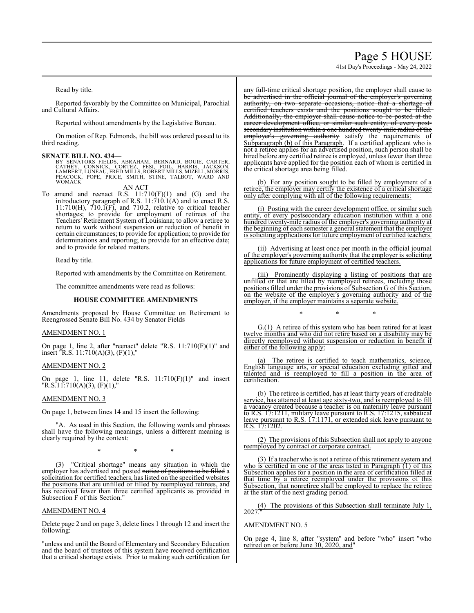## Page 5 HOUSE

41st Day's Proceedings - May 24, 2022

Read by title.

Reported favorably by the Committee on Municipal, Parochial and Cultural Affairs.

Reported without amendments by the Legislative Bureau.

On motion of Rep. Edmonds, the bill was ordered passed to its third reading.

**SENATE BILL NO. 434—** BY SENATORS FIELDS, ABRAHAM, BERNARD, BOUIE, CARTER, CATHEY, CONNICK, CORTEZ, FESI, FOIL, HARRIS, JACKSON, LAMBERT, LUNEAU, FRED MILLS, ROBERT MILLS, MIZELL, MORRIS, PEACOCK, POPE, PRICE, SMITH, STINE, TALBOT, WARD AND WOMACK

AN ACT

To amend and reenact R.S.  $11:710(F)(1)$  and  $(G)$  and the introductory paragraph of R.S. 11:710.1(A) and to enact R.S.  $11:710(H)$ ,  $710.\overline{1(F)}$ , and  $710.2$ , relative to critical teacher shortages; to provide for employment of retirees of the Teachers' Retirement System of Louisiana; to allow a retiree to return to work without suspension or reduction of benefit in certain circumstances; to provide for application; to provide for determinations and reporting; to provide for an effective date; and to provide for related matters.

Read by title.

Reported with amendments by the Committee on Retirement.

The committee amendments were read as follows:

#### **HOUSE COMMITTEE AMENDMENTS**

Amendments proposed by House Committee on Retirement to Reengrossed Senate Bill No. 434 by Senator Fields

#### AMENDMENT NO. 1

On page 1, line 2, after "reenact" delete "R.S. 11:710(F)(1)" and insert "R.S. 11:710(A)(3), (F)(1),"

#### AMENDMENT NO. 2

On page 1, line 11, delete "R.S. 11:710(F)(1)" and insert  $"R.S.11:710(A)(3), (F)(1),"$ 

#### AMENDMENT NO. 3

On page 1, between lines 14 and 15 insert the following:

"A. As used in this Section, the following words and phrases shall have the following meanings, unless a different meaning is clearly required by the context:

\* \* \*

(3) "Critical shortage" means any situation in which the employer has advertised and posted notice of positions to be filled a solicitation for certified teachers, has listed on the specified websites the positions that are unfilled or filled by reemployed retirees, and has received fewer than three certified applicants as provided in Subsection F of this Section."

#### AMENDMENT NO. 4

Delete page 2 and on page 3, delete lines 1 through 12 and insert the following:

"unless and until the Board of Elementary and Secondary Education and the board of trustees of this system have received certification that a critical shortage exists. Prior to making such certification for any full-time critical shortage position, the employer shall cause to be advertised in the official journal of the employer's governing authority, on two separate occasions, notice that a shortage of certified teachers exists and the positions sought to be filled. Additionally, the employer shall cause notice to be posted at the career development office, or similar such entity, of every postsecondary institution within a one hundred twenty-mile radius of the employer's governing authority satisfy the requirements of Subparagraph (b) of this Paragraph. If a certified applicant who is not a retiree applies for an advertised position, such person shall be hired before any certified retiree is employed, unless fewer than three applicants have applied for the position each of whom is certified in the critical shortage area being filled.

(b) For any position sought to be filled by employment of a retiree, the employer may certify the existence of a critical shortage only after complying with all of the following requirements:

(i) Posting with the career development office, or similar such entity, of every postsecondary education institution within a one hundred twenty-mile radius of the employer's governing authority at the beginning of each semester a general statement that the employer is soliciting applications for future employment of certified teachers.

(ii) Advertising at least once per month in the official journal of the employer's governing authority that the employer is soliciting applications for future employment of certified teachers.

(iii) Prominently displaying a listing of positions that are unfilled or that are filled by reemployed retirees, including those positions filled under the provisions of Subsection G of this Section, on the website of the employer's governing authority and of the employer, if the employer maintains a separate website.

\* \* \*

G.(1) A retiree of this system who has been retired for at least twelve months and who did not retire based on a disability may be directly reemployed without suspension or reduction in benefit if either of the following apply:

The retiree is certified to teach mathematics, science, English language arts, or special education excluding gifted and talented and is reemployed to fill a position in the area of certification.

(b) The retiree is certified, has at least thirty years of creditable service, has attained at least age sixty-two, and is reemployed to fill a vacancy created because a teacher is on maternity leave pursuant to R.S. 17:1211, military leave pursuant to R.S. 17:1215, sabbatical leave pursuant to R.S. 17:1171, or extended sick leave pursuant to R.S. 17:1202.

(2) The provisions of this Subsection shall not apply to anyone reemployed by contract or corporate contract.

(3) If a teacher who is not a retiree of this retirement system and who is certified in one of the areas listed in Paragraph (1) of this Subsection applies for a position in the area of certification filled at that time by a retiree reemployed under the provisions of this Subsection, that nonretiree shall be employed to replace the retiree at the start of the next grading period.

(4) The provisions of this Subsection shall terminate July 1,  $2027.$ 

#### AMENDMENT NO. 5

On page 4, line 8, after "system" and before "who" insert "who retired on or before June 30, 2020, and"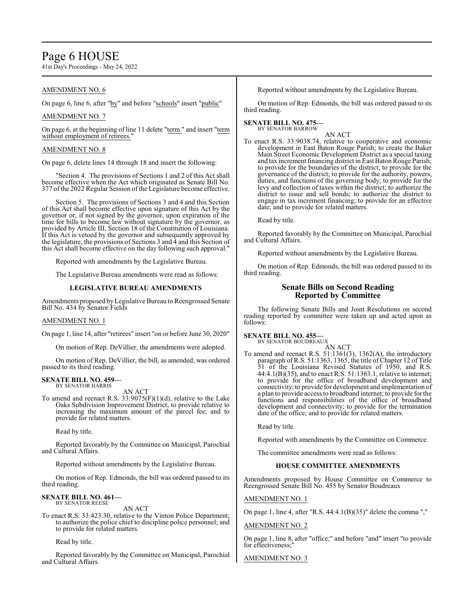## Page 6 HOUSE

41st Day's Proceedings - May 24, 2022

#### AMENDMENT NO. 6

On page 6, line 6, after "by" and before "schools" insert "public"

#### AMENDMENT NO. 7

On page 6, at the beginning of line 11 delete "term." and insert "term without employment of retirees."

#### AMENDMENT NO. 8

On page 6, delete lines 14 through 18 and insert the following:

"Section 4. The provisions of Sections 1 and 2 of this Act shall become effective when the Act which originated as Senate Bill No. 377 of the 2022 Regular Session of the Legislature become effective.

Section 5. The provisions of Sections 3 and 4 and this Section of this Act shall become effective upon signature of this Act by the governor or, if not signed by the governor, upon expiration of the time for bills to become law without signature by the governor, as provided by Article III, Section 18 of the Constitution of Louisiana. If this Act is vetoed by the governor and subsequently approved by the legislature, the provisions of Sections 3 and 4 and this Section of this Act shall become effective on the day following such approval."

Reported with amendments by the Legislative Bureau.

The Legislative Bureau amendments were read as follows:

#### **LEGISLATIVE BUREAU AMENDMENTS**

Amendments proposed byLegislative Bureau to Reengrossed Senate Bill No. 434 by Senator Fields

#### AMENDMENT NO. 1

On page 1, line 14, after "retirees" insert "on or before June 30, 2020"

On motion of Rep. DeVillier, the amendments were adopted.

On motion of Rep. DeVillier, the bill, as amended, was ordered passed to its third reading.

#### **SENATE BILL NO. 459—** BY SENATOR HARRIS

AN ACT To amend and reenact R.S.  $33:9075(F)(1)(d)$ , relative to the Lake Oaks Subdivision Improvement District; to provide relative to increasing the maximum amount of the parcel fee; and to provide for related matters.

Read by title.

Reported favorably by the Committee on Municipal, Parochial and Cultural Affairs.

Reported without amendments by the Legislative Bureau.

On motion of Rep. Edmonds, the bill was ordered passed to its third reading.

### **SENATE BILL NO. 461—** BY SENATOR REESE

AN ACT

To enact R.S. 33:423.30, relative to the Vinton Police Department; to authorize the police chief to discipline police personnel; and to provide for related matters.

Read by title.

Reported favorably by the Committee on Municipal, Parochial and Cultural Affairs.

Reported without amendments by the Legislative Bureau.

On motion of Rep. Edmonds, the bill was ordered passed to its third reading.

### **SENATE BILL NO. 475—** BY SENATOR BARROW

AN ACT

To enact R.S. 33:9038.74, relative to cooperative and economic development in East Baton Rouge Parish; to create the Baker Main Street Economic Development District as a special taxing and tax increment financing district in East Baton Rouge Parish; to provide for the boundaries of the district; to provide for the governance of the district; to provide for the authority, powers, duties, and functions of the governing body; to provide for the levy and collection of taxes within the district; to authorize the district to issue and sell bonds; to authorize the district to engage in tax increment financing; to provide for an effective date; and to provide for related matters.

Read by title.

Reported favorably by the Committee on Municipal, Parochial and Cultural Affairs.

Reported without amendments by the Legislative Bureau.

On motion of Rep. Edmonds, the bill was ordered passed to its third reading.

#### **Senate Bills on Second Reading Reported by Committee**

The following Senate Bills and Joint Resolutions on second reading reported by committee were taken up and acted upon as follows:

**SENATE BILL NO. 455—** BY SENATOR BOUDREAUX

AN ACT

To amend and reenact R.S.  $51:1361(3)$ ,  $1362(A)$ , the introductory paragraph of R.S. 51:1363, 1365, the title of Chapter 12 of Title 51 of the Louisiana Revised Statutes of 1950, and R.S. 44:4.1(B)(35), and to enact R.S. 51:1363.1, relative to internet; to provide for the office of broadband development and connectivity; to provide for development and implementation of a plan to provide access to broadband internet; to provide for the functions and responsibilities of the office of broadband development and connectivity; to provide for the termination date of the office; and to provide for related matters.

Read by title.

Reported with amendments by the Committee on Commerce.

The committee amendments were read as follows:

#### **HOUSE COMMITTEE AMENDMENTS**

Amendments proposed by House Committee on Commerce to Reengrossed Senate Bill No. 455 by Senator Boudreaux

#### AMENDMENT NO. 1

On page 1, line 4, after "R.S. 44:4.1(B)(35)" delete the comma ","

#### AMENDMENT NO. 2

On page 1, line 8, after "office;" and before "and" insert "to provide for effectiveness;

#### AMENDMENT NO. 3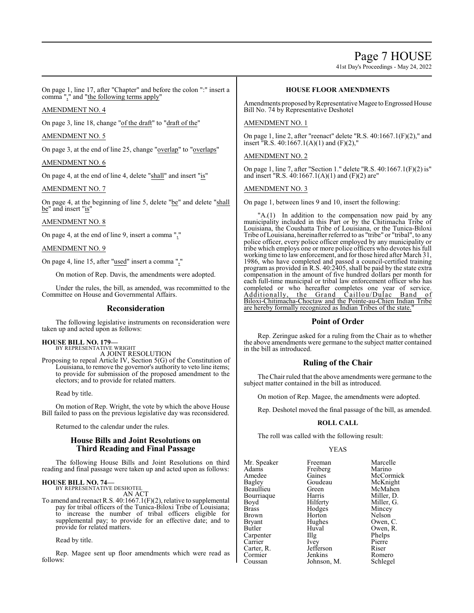Page 7 HOUSE

41st Day's Proceedings - May 24, 2022

On page 1, line 17, after "Chapter" and before the colon ":" insert a comma "," and "the following terms apply"

#### AMENDMENT NO. 4

On page 3, line 18, change "of the draft" to "draft of the"

#### AMENDMENT NO. 5

On page 3, at the end of line 25, change "overlap" to "overlaps"

#### AMENDMENT NO. 6

On page 4, at the end of line 4, delete "shall" and insert "is"

#### AMENDMENT NO. 7

On page 4, at the beginning of line 5, delete "be" and delete "shall be" and insert "is"

#### AMENDMENT NO. 8

On page 4, at the end of line 9, insert a comma ","

#### AMENDMENT NO. 9

On page 4, line 15, after "used" insert a comma ","

On motion of Rep. Davis, the amendments were adopted.

Under the rules, the bill, as amended, was recommitted to the Committee on House and Governmental Affairs.

#### **Reconsideration**

The following legislative instruments on reconsideration were taken up and acted upon as follows:

#### **HOUSE BILL NO. 179—**

BY REPRESENTATIVE WRIGHT A JOINT RESOLUTION

Proposing to repeal Article IV, Section 5(G) of the Constitution of Louisiana, to remove the governor's authority to veto line items; to provide for submission of the proposed amendment to the electors; and to provide for related matters.

Read by title.

On motion of Rep. Wright, the vote by which the above House Bill failed to pass on the previous legislative day was reconsidered.

Returned to the calendar under the rules.

#### **House Bills and Joint Resolutions on Third Reading and Final Passage**

The following House Bills and Joint Resolutions on third reading and final passage were taken up and acted upon as follows:

#### **HOUSE BILL NO. 74—** BY REPRESENTATIVE DESHOTEL

AN ACT

To amend and reenact R.S. 40:1667.1(F)(2), relative to supplemental pay for tribal officers of the Tunica-Biloxi Tribe of Louisiana; to increase the number of tribal officers eligible for supplemental pay; to provide for an effective date; and to provide for related matters.

Read by title.

Rep. Magee sent up floor amendments which were read as follows:

#### **HOUSE FLOOR AMENDMENTS**

Amendments proposed by Representative Magee to Engrossed House Bill No. 74 by Representative Deshotel

#### AMENDMENT NO. 1

On page 1, line 2, after "reenact" delete "R.S. 40:1667.1(F)(2)," and insert  $\text{R.S. } 40:1667.1(A)(1)$  and  $(F)(2)$ ,

#### AMENDMENT NO. 2

On page 1, line 7, after "Section 1." delete "R.S. 40:1667.1(F)(2) is" and insert "R.S. 40:1667.1(A)(1) and (F)(2) are"

#### AMENDMENT NO. 3

On page 1, between lines 9 and 10, insert the following:

"A.(1) In addition to the compensation now paid by any municipality included in this Part or by the Chitimacha Tribe of Louisiana, the Coushatta Tribe of Louisiana, or the Tunica-Biloxi Tribe ofLouisiana, hereinafter referred to as "tribe" or "tribal", to any police officer, every police officer employed by any municipality or tribe which employs one or more police officers who devotes his full working time to law enforcement, and for those hired after March 31, 1986, who have completed and passed a council-certified training program as provided in R.S. 40:2405, shall be paid by the state extra compensation in the amount of five hundred dollars per month for each full-time municipal or tribal law enforcement officer who has completed or who hereafter completes one year of service. Additionally, the Grand Caillou/Dulac Band of Biloxi-Chitimacha-Choctaw and the Pointe-au-Chien Indian Tribe are hereby formally recognized as Indian Tribes of the state.

### **Point of Order**

Rep. Zeringue asked for a ruling from the Chair as to whether the above amendments were germane to the subject matter contained in the bill as introduced.

### **Ruling of the Chair**

The Chair ruled that the above amendments were germane to the subject matter contained in the bill as introduced.

On motion of Rep. Magee, the amendments were adopted.

Rep. Deshotel moved the final passage of the bill, as amended.

#### **ROLL CALL**

The roll was called with the following result:

Johnson, M.

#### YEAS

Mr. Speaker Freeman Marcelle<br>
Adams Freiberg Marino Adams Freiberg<br>Amedee Gaines Amedee Gaines McCormick<br>
Bagley Goudeau McKnight Bagley Goudeau McKnight Bourriaque Harris<br>Boyd Hilferty Boyd Hilferty Miller, G.<br>Brass Hodges Mincey Brass Hodges<br>Brown Horton Brown Horton Nelson<br>Bryant Hughes Owen, Bryant Hughes Owen, C.<br>Butler Huval Owen, R. Carpenter Illg<br>Carrier Ivev Carrier Ivey Pierre<br>Carter R. Jefferson Riser Carter, R. Jefferson Riser Cormier Jenkins Romero<br>Coussan Johnson, M. Schlegel

Green McMahen<br>Harris Miller, D. Huval Owen, R.<br>Illg Phelps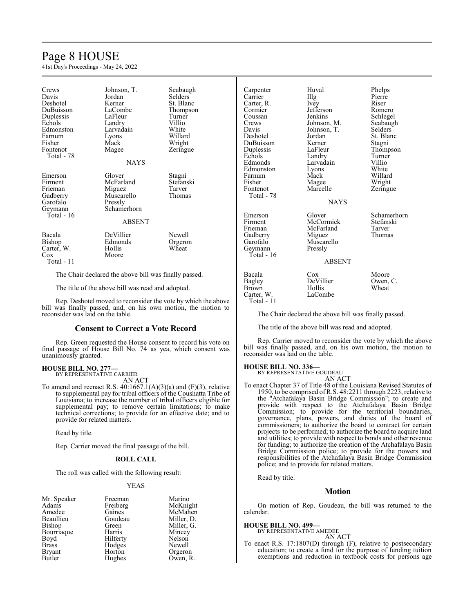## Page 8 HOUSE

41st Day's Proceedings - May 24, 2022

| Crews<br>Davis<br>Deshotel<br>DuBuisson<br>Duplessis<br>Echols<br>Edmonston<br>Farnum<br>Fisher<br>Fontenot<br>Total - 78 | Johnson, T.<br>Jordan<br>Kerner<br>LaCombe<br>LaFleur<br>Landry<br>Larvadain<br>Lyons<br>Mack<br>Magee<br><b>NAYS</b> | Seabaugh<br>Selders<br>St. Blanc<br>Thompson<br>Turner<br>Villio<br>White<br>Willard<br>Wright<br>Zeringue |
|---------------------------------------------------------------------------------------------------------------------------|-----------------------------------------------------------------------------------------------------------------------|------------------------------------------------------------------------------------------------------------|
| Emerson<br>Firment<br>Frieman<br>Gadberry<br>Garofalo<br>Geymann<br>Total - 16                                            | Glover<br>McFarland<br>Miguez<br>Muscarello<br>Pressly<br>Schamerhorn<br><b>ABSENT</b>                                | Stagni<br>Stefanski<br>Tarver<br>Thomas                                                                    |
| Bacala<br>Bishop<br>Carter, W.<br>$\cos$<br>Total - 11                                                                    | DeVillier<br>Edmonds<br>Hollis<br>Moore                                                                               | Newell<br>Orgeron<br>Wheat                                                                                 |

The Chair declared the above bill was finally passed.

The title of the above bill was read and adopted.

Rep. Deshotel moved to reconsider the vote by which the above bill was finally passed, and, on his own motion, the motion to reconsider was laid on the table.

#### **Consent to Correct a Vote Record**

Rep. Green requested the House consent to record his vote on final passage of House Bill No. 74 as yea, which consent was unanimously granted.

### **HOUSE BILL NO. 277—** BY REPRESENTATIVE CARRIER

AN ACT

To amend and reenact R.S.  $40:1667.1(A)(3)(a)$  and  $(F)(3)$ , relative to supplemental pay for tribal officers of the Coushatta Tribe of Louisiana; to increase the number of tribal officers eligible for supplemental pay; to remove certain limitations; to make technical corrections; to provide for an effective date; and to provide for related matters.

Read by title.

Rep. Carrier moved the final passage of the bill.

#### **ROLL CALL**

The roll was called with the following result:

#### YEAS

| Mr. Speaker   | Freeman  | Marino     |
|---------------|----------|------------|
| Adams         | Freiberg | McKnight   |
| Amedee        | Gaines   | McMahen    |
| Beaullieu     | Goudeau  | Miller, D. |
| Bishop        | Green    | Miller, G. |
| Bourriaque    | Harris   | Mincey     |
| Boyd          | Hilferty | Nelson     |
| <b>Brass</b>  | Hodges   | Newell     |
| <b>Bryant</b> | Horton   | Orgeron    |
| Butler        | Hughes   | Owen, R.   |

| Carpenter<br>Carrier<br>Carter, R.<br>Cormier<br>Coussan<br>Crews<br>Davis<br>Deshotel   | Huval<br>Illg<br>Ivey<br>Jefferson<br>Jenkins<br>Johnson, M.<br>Johnson, T.<br>Jordan | Phelps<br>Pierre<br>Riser<br>Romero<br>Schlegel<br>Seabaugh<br>Selders<br>St. Blanc |
|------------------------------------------------------------------------------------------|---------------------------------------------------------------------------------------|-------------------------------------------------------------------------------------|
| DuBuisson<br>Duplessis<br>Echols<br>Edmonds<br>Edmonston<br>Farnum<br>Fisher<br>Fontenot | Kerner<br>LaFleur<br>Landry<br>Larvadain<br>Lyons<br>Mack<br>Magee<br>Marcelle        | Stagni<br>Thompson<br>Turner<br>Villio<br>White<br>Willard<br>Wright<br>Zeringue    |
| Total - 78                                                                               | <b>NAYS</b>                                                                           |                                                                                     |
| Emerson<br>Firment<br>Frieman<br>Gadberry<br>Garofalo<br>Geymann<br>Total - 16           | Glover<br>McCormick<br>McFarland<br>Miguez<br>Muscarello<br>Pressly<br><b>ABSENT</b>  | Schamerhorn<br>Stefanski<br>Tarver<br>Thomas                                        |
| Bacala<br>Bagley<br>Brown<br>Carter, W.<br>Total - 11                                    | Cox<br>DeVillier<br>Hollis<br>LaCombe                                                 | Moore<br>Owen, C.<br>Wheat                                                          |

The Chair declared the above bill was finally passed.

The title of the above bill was read and adopted.

Rep. Carrier moved to reconsider the vote by which the above bill was finally passed, and, on his own motion, the motion to reconsider was laid on the table.

### **HOUSE BILL NO. 336—** BY REPRESENTATIVE GOUDEAU

AN ACT

To enact Chapter 37 of Title 48 of the Louisiana Revised Statutes of 1950, to be comprised ofR.S. 48:2211 through 2223, relative to the "Atchafalaya Basin Bridge Commission"; to create and provide with respect to the Atchafalaya Basin Bridge Commission; to provide for the territorial boundaries, governance, plans, powers, and duties of the board of commissioners; to authorize the board to contract for certain projects to be performed; to authorize the board to acquire land and utilities; to provide with respect to bonds and other revenue for funding; to authorize the creation of the Atchafalaya Basin Bridge Commission police; to provide for the powers and responsibilities of the Atchafalaya Basin Bridge Commission police; and to provide for related matters.

Read by title.

#### **Motion**

On motion of Rep. Goudeau, the bill was returned to the calendar.

#### **HOUSE BILL NO. 499—**

BY REPRESENTATIVE AMEDEE

AN ACT To enact R.S. 17:1807(D) through (F), relative to postsecondary education; to create a fund for the purpose of funding tuition exemptions and reduction in textbook costs for persons age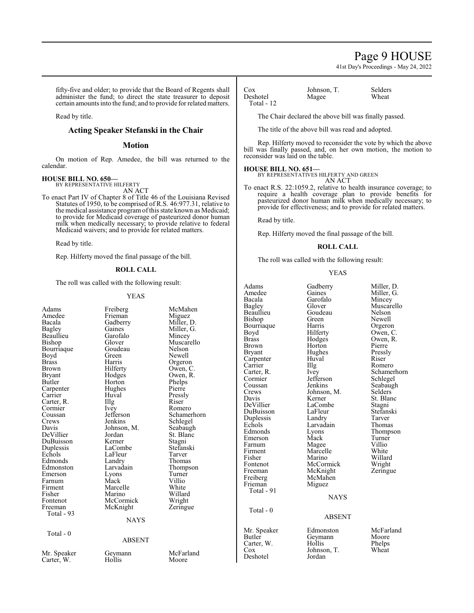### Page 9 HOUSE

41st Day's Proceedings - May 24, 2022

fifty-five and older; to provide that the Board of Regents shall administer the fund; to direct the state treasurer to deposit certain amounts into the fund; and to provide for related matters.

Read by title.

#### **Acting Speaker Stefanski in the Chair**

#### **Motion**

On motion of Rep. Amedee, the bill was returned to the calendar.

### **HOUSE BILL NO. 650—** BY REPRESENTATIVE HILFERTY

AN ACT

To enact Part IV of Chapter 8 of Title 46 of the Louisiana Revised Statutes of 1950, to be comprised of R.S. 46:977.31, relative to the medical assistance programofthis state known as Medicaid; to provide for Medicaid coverage of pasteurized donor human milk when medically necessary; to provide relative to federal Medicaid waivers; and to provide for related matters.

Read by title.

Rep. Hilferty moved the final passage of the bill.

#### **ROLL CALL**

The roll was called with the following result:

### YEAS

|                                                                                                                                                                                                                                                                                                                                                                     | Y EAS                                                                                                                                                                                                                                                                                                                                                   |                                                                                                                                                                                                                                                                                                                                                         | Bacala                                                                                                                                                                                                                                                                                                                                                                   | Garofalo                                                                                                                                                                                                                                                                                                                            | Mincey                                                                                                                                                                                                                                                                                        |
|---------------------------------------------------------------------------------------------------------------------------------------------------------------------------------------------------------------------------------------------------------------------------------------------------------------------------------------------------------------------|---------------------------------------------------------------------------------------------------------------------------------------------------------------------------------------------------------------------------------------------------------------------------------------------------------------------------------------------------------|---------------------------------------------------------------------------------------------------------------------------------------------------------------------------------------------------------------------------------------------------------------------------------------------------------------------------------------------------------|--------------------------------------------------------------------------------------------------------------------------------------------------------------------------------------------------------------------------------------------------------------------------------------------------------------------------------------------------------------------------|-------------------------------------------------------------------------------------------------------------------------------------------------------------------------------------------------------------------------------------------------------------------------------------------------------------------------------------|-----------------------------------------------------------------------------------------------------------------------------------------------------------------------------------------------------------------------------------------------------------------------------------------------|
| Adams<br>Amedee<br>Bacala<br>Bagley<br>Beaullieu<br>Bishop<br>Bourriaque<br>Boyd<br>Brass<br>Brown<br><b>Bryant</b><br>Butler<br>Carpenter<br>Carrier<br>Carter, R.<br>Cormier<br>Coussan<br>Crews<br>Davis<br>DeVillier<br>DuBuisson<br>Duplessis<br>Echols<br>Edmonds<br>Edmonston<br>Emerson<br>Farnum<br>Firment<br>Fisher<br>Fontenot<br>Freeman<br>Total - 93 | Freiberg<br>Frieman<br>Gadberry<br>Gaines<br>Garofalo<br>Glover<br>Goudeau<br>Green<br>Harris<br>Hilferty<br>Hodges<br>Horton<br>Hughes<br>Huval<br>Illg<br>Ivey<br>Jefferson<br>Jenkins<br>Johnson, M.<br>Jordan<br>Kerner<br>LaCombe<br>LaFleur<br>Landry<br>Larvadain<br>Lyons<br>Mack<br>Marcelle<br>Marino<br>McCormick<br>McKnight<br><b>NAYS</b> | McMahen<br>Miguez<br>Miller, D.<br>Miller, G.<br>Mincey<br>Muscarello<br>Nelson<br>Newell<br>Orgeron<br>Owen, C.<br>Owen, R.<br>Phelps<br>Pierre<br>Pressly<br>Riser<br>Romero<br>Schamerhorn<br>Schlegel<br>Seabaugh<br>St. Blanc<br>Stagni<br>Stefanski<br>Tarver<br>Thomas<br>Thompson<br>Turner<br>Villio<br>White<br>Willard<br>Wright<br>Zeringue | Bagley<br>Beaullieu<br><b>Bishop</b><br>Bourriaque<br>Boyd<br><b>Brass</b><br><b>Brown</b><br><b>Bryant</b><br>Carpenter<br>Carrier<br>Carter, R.<br>Cormier<br>Coussan<br>Crews<br>Davis<br>DeVillier<br>DuBuisson<br>Duplessis<br>Echols<br>Edmonds<br>Emerson<br>Farnum<br>Firment<br>Fisher<br>Fontenot<br>Freeman<br>Freiberg<br>Frieman<br>Total - 91<br>Total - 0 | Glover<br>Goudeau<br>Green<br>Harris<br>Hilferty<br>Hodges<br>Horton<br>Hughes<br>Huval<br>Illg<br>Ivey<br>Jefferson<br>Jenkins<br>Johnson, M.<br>Kerner<br>LaCombe<br>LaFleur<br>Landry<br>Larvadain<br>Lyons<br>Mack<br>Magee<br>Marcelle<br>Marino<br>McCormick<br>McKnight<br>McMahen<br>Miguez<br><b>NAYS</b><br><b>ABSENT</b> | Muscarello<br>Nelson<br>Newell<br>Orgeron<br>Owen, C.<br>Owen, R.<br>Pierre<br>Pressly<br>Riser<br>Romero<br>Schamerhorn<br>Schlegel<br>Seabaugh<br>Selders<br>St. Blanc<br>Stagni<br>Stefanski<br>Tarver<br>Thomas<br>Thompson<br>Turner<br>Villio<br>White<br>Willard<br>Wright<br>Zeringue |
| Total - 0                                                                                                                                                                                                                                                                                                                                                           | <b>ABSENT</b>                                                                                                                                                                                                                                                                                                                                           |                                                                                                                                                                                                                                                                                                                                                         | Mr. Speaker<br>Butler<br>Carter, W.                                                                                                                                                                                                                                                                                                                                      | Edmonston<br>Geymann<br>Hollis                                                                                                                                                                                                                                                                                                      | McFarland<br>Moore<br>Phelps                                                                                                                                                                                                                                                                  |
| Mr. Speaker<br>Carter, W.                                                                                                                                                                                                                                                                                                                                           | Geymann<br>Hollis                                                                                                                                                                                                                                                                                                                                       | McFarland<br>Moore                                                                                                                                                                                                                                                                                                                                      | $\cos$<br>Deshotel                                                                                                                                                                                                                                                                                                                                                       | Johnson, T.<br>Jordan                                                                                                                                                                                                                                                                                                               | Wheat                                                                                                                                                                                                                                                                                         |
|                                                                                                                                                                                                                                                                                                                                                                     |                                                                                                                                                                                                                                                                                                                                                         |                                                                                                                                                                                                                                                                                                                                                         |                                                                                                                                                                                                                                                                                                                                                                          |                                                                                                                                                                                                                                                                                                                                     |                                                                                                                                                                                                                                                                                               |

### Deshotel Total - 12

Cox Johnson, T. Selders<br>Deshotel Magee Wheat

The Chair declared the above bill was finally passed.

The title of the above bill was read and adopted.

Rep. Hilferty moved to reconsider the vote by which the above bill was finally passed, and, on her own motion, the motion to reconsider was laid on the table.

#### **HOUSE BILL NO. 651—**

BY REPRESENTATIVES HILFERTY AND GREEN

AN ACT

To enact R.S. 22:1059.2, relative to health insurance coverage; to require a health coverage plan to provide benefits for pasteurized donor human milk when medically necessary; to provide for effectiveness; and to provide for related matters.

Read by title.

Rep. Hilferty moved the final passage of the bill.

#### **ROLL CALL**

The roll was called with the following result:

#### YEAS

| Adams        | Gadberry    | Miller, D. |
|--------------|-------------|------------|
| Amedee       | Gaines      | Miller, G. |
| Bacala       | Garofalo    | Mincey     |
| Bagley       | Glover      | Muscarello |
| Beaullieu    | Goudeau     | Nelson     |
| Bishop       | Green       | Newell     |
| Bourriaque   | Harris      | Orgeron    |
| Boyd         | Hilferty    | Owen, C.   |
| Brass        | Hodges      | Owen, R.   |
| <b>Brown</b> | Horton      | Pierre     |
| Bryant       | Hughes      | Pressly    |
| Carpenter    | Huval       | Riser      |
| Carrier      | Illg        | Romero     |
| Carter, R.   | Ivey        | Schamerho  |
| Cormier      | Jefferson   | Schlegel   |
| Coussan      | Jenkins     | Seabaugh   |
| Crews        | Johnson, M. | Selders    |
| Davis        | Kerner      | St. Blanc  |
| DeVillier    | LaCombe     | Stagni     |
| DuBuisson    | LaFleur     | Stefanski  |
| Duplessis    | Landry      | Tarver     |
| Echols       | Larvadain   | Thomas     |
| Edmonds      | Lyons       | Thompson   |
| Emerson      | Mack        | Turner     |
| Farnum       | Magee       | Villio     |
| Firment      | Marcelle    | White      |
| Fisher       | Marino      | Willard    |
| Fontenot     | McCormick   | Wright     |
| Freeman      | McKnight    | Zeringue   |
| Freiberg     | McMahen     |            |
| Frieman      | Miguez      |            |
| Total - 91   |             |            |
|              | <b>NAYS</b> |            |
| Total - 0    |             |            |
|              | ABSENT      |            |
| Mr. Speaker  | Edmonston   | McFarland  |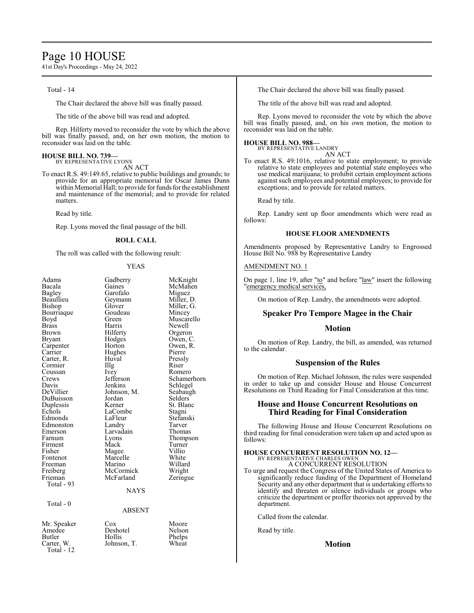### Page 10 HOUSE

41st Day's Proceedings - May 24, 2022

Total - 14

The Chair declared the above bill was finally passed.

The title of the above bill was read and adopted.

Rep. Hilferty moved to reconsider the vote by which the above bill was finally passed, and, on her own motion, the motion to reconsider was laid on the table.

### **HOUSE BILL NO. 739—** BY REPRESENTATIVE LYONS

AN ACT

To enact R.S. 49:149.65, relative to public buildings and grounds; to provide for an appropriate memorial for Oscar James Dunn within Memorial Hall; to provide for funds for the establishment and maintenance of the memorial; and to provide for related matters.

Read by title.

Rep. Lyons moved the final passage of the bill.

#### **ROLL CALL**

The roll was called with the following result:

#### YEAS

| Adams<br>Bacala<br>Bagley<br>Beaullieu<br>Bishop<br>Bourriaque<br>Boyd<br><b>Brass</b><br><b>Brown</b><br><b>Bryant</b><br>Carpenter<br>Carrier<br>Carter, R.<br>Cormier<br>Coussan<br>Crews<br>Davis<br>DeVillier<br>DuBuisson<br>Duplessis<br>Echols<br>Edmonds<br>Edmonston<br>Emerson<br>Farnum<br>Firment<br>Fisher | Gadberry<br>Gaines<br>Garofalo<br>Geymann<br>Glover<br>Goudeau<br>Green<br>Harris<br>Hilferty<br>Hodges<br>Horton<br>Hughes<br>Huval<br>Illg<br><i>lvey</i><br>Jefferson<br>Jenkins<br>Johnson, M.<br>Jordan<br>Kerner<br>LaCombe<br>LaFleur<br>Landry<br>Larvadain<br>Lyons<br>Mack<br>Magee | McKnight<br>McMahen<br>Miguez<br>Miller, D.<br>Miller, G.<br>Mincey<br>Muscarello<br>Newell<br>Orgeron<br>Owen, C.<br>Owen, R.<br>Pierre<br>Pressly<br>Riser<br>Romero<br>Schamerhorn<br>Schlegel<br>Seabaugh<br>Selders<br>St. Blanc<br>Stagni<br>Stefanski<br>Tarver<br>Thomas<br>Thompson<br>Turner<br>Villio |
|--------------------------------------------------------------------------------------------------------------------------------------------------------------------------------------------------------------------------------------------------------------------------------------------------------------------------|-----------------------------------------------------------------------------------------------------------------------------------------------------------------------------------------------------------------------------------------------------------------------------------------------|------------------------------------------------------------------------------------------------------------------------------------------------------------------------------------------------------------------------------------------------------------------------------------------------------------------|
|                                                                                                                                                                                                                                                                                                                          |                                                                                                                                                                                                                                                                                               |                                                                                                                                                                                                                                                                                                                  |
|                                                                                                                                                                                                                                                                                                                          |                                                                                                                                                                                                                                                                                               |                                                                                                                                                                                                                                                                                                                  |
|                                                                                                                                                                                                                                                                                                                          |                                                                                                                                                                                                                                                                                               |                                                                                                                                                                                                                                                                                                                  |
|                                                                                                                                                                                                                                                                                                                          |                                                                                                                                                                                                                                                                                               |                                                                                                                                                                                                                                                                                                                  |
|                                                                                                                                                                                                                                                                                                                          |                                                                                                                                                                                                                                                                                               |                                                                                                                                                                                                                                                                                                                  |
|                                                                                                                                                                                                                                                                                                                          |                                                                                                                                                                                                                                                                                               |                                                                                                                                                                                                                                                                                                                  |
|                                                                                                                                                                                                                                                                                                                          |                                                                                                                                                                                                                                                                                               |                                                                                                                                                                                                                                                                                                                  |
|                                                                                                                                                                                                                                                                                                                          |                                                                                                                                                                                                                                                                                               |                                                                                                                                                                                                                                                                                                                  |
|                                                                                                                                                                                                                                                                                                                          |                                                                                                                                                                                                                                                                                               |                                                                                                                                                                                                                                                                                                                  |
|                                                                                                                                                                                                                                                                                                                          |                                                                                                                                                                                                                                                                                               |                                                                                                                                                                                                                                                                                                                  |
|                                                                                                                                                                                                                                                                                                                          |                                                                                                                                                                                                                                                                                               |                                                                                                                                                                                                                                                                                                                  |
|                                                                                                                                                                                                                                                                                                                          |                                                                                                                                                                                                                                                                                               |                                                                                                                                                                                                                                                                                                                  |
| Fontenot                                                                                                                                                                                                                                                                                                                 | Marcelle                                                                                                                                                                                                                                                                                      | White                                                                                                                                                                                                                                                                                                            |
| Freeman                                                                                                                                                                                                                                                                                                                  | Marino                                                                                                                                                                                                                                                                                        | Willard                                                                                                                                                                                                                                                                                                          |
| Freiberg                                                                                                                                                                                                                                                                                                                 | McCormick                                                                                                                                                                                                                                                                                     | Wright                                                                                                                                                                                                                                                                                                           |
| Frieman                                                                                                                                                                                                                                                                                                                  | McFarland                                                                                                                                                                                                                                                                                     | Zeringue                                                                                                                                                                                                                                                                                                         |
| Total - 93                                                                                                                                                                                                                                                                                                               |                                                                                                                                                                                                                                                                                               |                                                                                                                                                                                                                                                                                                                  |
|                                                                                                                                                                                                                                                                                                                          | <b>NAYS</b>                                                                                                                                                                                                                                                                                   |                                                                                                                                                                                                                                                                                                                  |
| Total - 0                                                                                                                                                                                                                                                                                                                |                                                                                                                                                                                                                                                                                               |                                                                                                                                                                                                                                                                                                                  |
|                                                                                                                                                                                                                                                                                                                          | ABSENT                                                                                                                                                                                                                                                                                        |                                                                                                                                                                                                                                                                                                                  |
|                                                                                                                                                                                                                                                                                                                          |                                                                                                                                                                                                                                                                                               |                                                                                                                                                                                                                                                                                                                  |
| Mr. Speaker                                                                                                                                                                                                                                                                                                              | Cox                                                                                                                                                                                                                                                                                           | Moore                                                                                                                                                                                                                                                                                                            |
| Amedee                                                                                                                                                                                                                                                                                                                   | Deshotel                                                                                                                                                                                                                                                                                      | Nelson                                                                                                                                                                                                                                                                                                           |
| Butler                                                                                                                                                                                                                                                                                                                   | Hollis                                                                                                                                                                                                                                                                                        | Phelps                                                                                                                                                                                                                                                                                                           |
| Carter. W.                                                                                                                                                                                                                                                                                                               | Johnson. T.                                                                                                                                                                                                                                                                                   | Wheat                                                                                                                                                                                                                                                                                                            |

Amendments proposed by Representative Landry to Engrossed House Bill No. 988 by Representative Landry AMENDMENT NO. 1 On page 1, line 19, after "to" and before "law" insert the following 'emergency medical services, On motion of Rep. Landry, the amendments were adopted.

### **Speaker Pro Tempore Magee in the Chair**

The Chair declared the above bill was finally passed. The title of the above bill was read and adopted.

reconsider was laid on the table.

BY REPRESENTATIVE LANDRY

**HOUSE BILL NO. 988—**

Read by title.

follows:

Rep. Lyons moved to reconsider the vote by which the above bill was finally passed, and, on his own motion, the motion to

AN ACT To enact R.S. 49:1016, relative to state employment; to provide relative to state employees and potential state employees who use medical marijuana; to prohibit certain employment actions against such employees and potential employees; to provide for

Rep. Landry sent up floor amendments which were read as

**HOUSE FLOOR AMENDMENTS**

exceptions; and to provide for related matters.

#### **Motion**

On motion of Rep. Landry, the bill, as amended, was returned to the calendar.

#### **Suspension of the Rules**

On motion of Rep. Michael Johnson, the rules were suspended in order to take up and consider House and House Concurrent Resolutions on Third Reading for Final Consideration at this time.

#### **House and House Concurrent Resolutions on Third Reading for Final Consideration**

The following House and House Concurrent Resolutions on third reading for final consideration were taken up and acted upon as follows:

#### **HOUSE CONCURRENT RESOLUTION NO. 12—** BY REPRESENTATIVE CHARLES OWEN

A CONCURRENT RESOLUTION

To urge and request the Congress of the United States of America to significantly reduce funding of the Department of Homeland Security and any other department that is undertaking efforts to identify and threaten or silence individuals or groups who criticize the department or proffer theories not approved by the department.

Called from the calendar.

Read by title.

**Motion**

Total - 12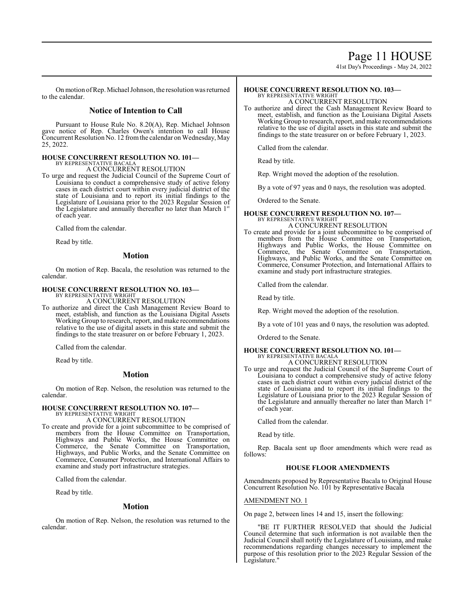### Page 11 HOUSE

41st Day's Proceedings - May 24, 2022

Onmotion ofRep. Michael Johnson, the resolution was returned to the calendar.

### **Notice of Intention to Call**

Pursuant to House Rule No. 8.20(A), Rep. Michael Johnson gave notice of Rep. Charles Owen's intention to call House Concurrent Resolution No. 12 from the calendar on Wednesday, May 25, 2022.

## **HOUSE CONCURRENT RESOLUTION NO. 101—** BY REPRESENTATIVE BACALA

A CONCURRENT RESOLUTION

To urge and request the Judicial Council of the Supreme Court of Louisiana to conduct a comprehensive study of active felony cases in each district court within every judicial district of the state of Louisiana and to report its initial findings to the Legislature of Louisiana prior to the 2023 Regular Session of the Legislature and annually thereafter no later than March 1st of each year.

Called from the calendar.

Read by title.

#### **Motion**

On motion of Rep. Bacala, the resolution was returned to the calendar.

#### **HOUSE CONCURRENT RESOLUTION NO. 103—**

BY REPRESENTATIVE WRIGHT A CONCURRENT RESOLUTION

To authorize and direct the Cash Management Review Board to meet, establish, and function as the Louisiana Digital Assets Working Group to research, report, and make recommendations relative to the use of digital assets in this state and submit the findings to the state treasurer on or before February 1, 2023.

Called from the calendar.

Read by title.

#### **Motion**

On motion of Rep. Nelson, the resolution was returned to the calendar.

#### **HOUSE CONCURRENT RESOLUTION NO. 107—** BY REPRESENTATIVE WRIGHT

A CONCURRENT RESOLUTION

To create and provide for a joint subcommittee to be comprised of members from the House Committee on Transportation, Highways and Public Works, the House Committee on Commerce, the Senate Committee on Transportation, Highways, and Public Works, and the Senate Committee on Commerce, Consumer Protection, and International Affairs to examine and study port infrastructure strategies.

Called from the calendar.

Read by title.

#### **Motion**

On motion of Rep. Nelson, the resolution was returned to the calendar.

#### **HOUSE CONCURRENT RESOLUTION NO. 103—** BY REPRESENTATIVE WRIGHT

A CONCURRENT RESOLUTION

To authorize and direct the Cash Management Review Board to meet, establish, and function as the Louisiana Digital Assets Working Group to research, report, and make recommendations relative to the use of digital assets in this state and submit the findings to the state treasurer on or before February 1, 2023.

Called from the calendar.

Read by title.

Rep. Wright moved the adoption of the resolution.

By a vote of 97 yeas and 0 nays, the resolution was adopted.

Ordered to the Senate.

### **HOUSE CONCURRENT RESOLUTION NO. 107—** BY REPRESENTATIVE WRIGHT A CONCURRENT RESOLUTION

To create and provide for a joint subcommittee to be comprised of members from the House Committee on Transportation, Highways and Public Works, the House Committee on Commerce, the Senate Committee on Transportation, Highways, and Public Works, and the Senate Committee on Commerce, Consumer Protection, and International Affairs to examine and study port infrastructure strategies.

Called from the calendar.

Read by title.

Rep. Wright moved the adoption of the resolution.

By a vote of 101 yeas and 0 nays, the resolution was adopted.

Ordered to the Senate.

#### **HOUSE CONCURRENT RESOLUTION NO. 101—** BY REPRESENTATIVE BACALA

- A CONCURRENT RESOLUTION
- To urge and request the Judicial Council of the Supreme Court of Louisiana to conduct a comprehensive study of active felony cases in each district court within every judicial district of the state of Louisiana and to report its initial findings to the Legislature of Louisiana prior to the 2023 Regular Session of the Legislature and annually thereafter no later than March 1st of each year.

Called from the calendar.

Read by title.

Rep. Bacala sent up floor amendments which were read as follows:

#### **HOUSE FLOOR AMENDMENTS**

Amendments proposed by Representative Bacala to Original House Concurrent Resolution No. 101 by Representative Bacala

#### AMENDMENT NO. 1

On page 2, between lines 14 and 15, insert the following:

"BE IT FURTHER RESOLVED that should the Judicial Council determine that such information is not available then the Judicial Council shall notify the Legislature of Louisiana, and make recommendations regarding changes necessary to implement the purpose of this resolution prior to the 2023 Regular Session of the Legislature."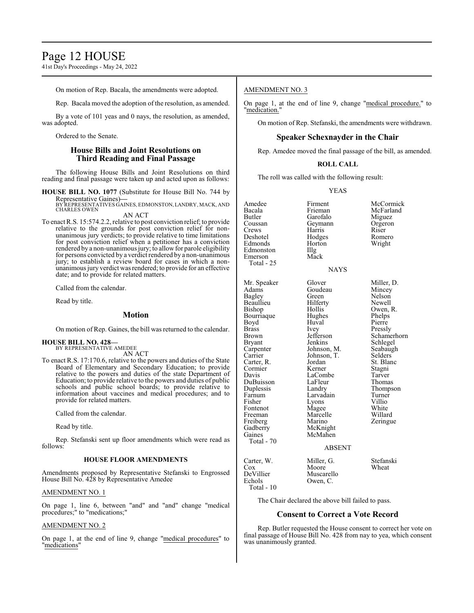### Page 12 HOUSE

41st Day's Proceedings - May 24, 2022

On motion of Rep. Bacala, the amendments were adopted.

Rep. Bacala moved the adoption of the resolution, as amended.

By a vote of 101 yeas and 0 nays, the resolution, as amended, was adopted.

Ordered to the Senate.

#### **House Bills and Joint Resolutions on Third Reading and Final Passage**

The following House Bills and Joint Resolutions on third reading and final passage were taken up and acted upon as follows:

**HOUSE BILL NO. 1077** (Substitute for House Bill No. 744 by Representative Gaines)**—**

BY REPRESENTATIVES GAINES, EDMONSTON,LANDRY, MACK, AND CHARLES OWEN

AN ACT

To enact R.S. 15:574.2.2, relative to post conviction relief; to provide relative to the grounds for post conviction relief for nonunanimous jury verdicts; to provide relative to time limitations for post conviction relief when a petitioner has a conviction rendered by a non-unanimous jury; to allow for parole eligibility for persons convicted by a verdict rendered by a non-unanimous jury; to establish a review board for cases in which a nonunanimous jury verdict was rendered; to provide for an effective date; and to provide for related matters.

Called from the calendar.

Read by title.

#### **Motion**

On motion of Rep. Gaines, the bill was returned to the calendar.

#### **HOUSE BILL NO. 428—**

BY REPRESENTATIVE AMEDEE AN ACT

To enact R.S. 17:170.6, relative to the powers and duties of the State Board of Elementary and Secondary Education; to provide relative to the powers and duties of the state Department of Education; to provide relative to the powers and duties of public schools and public school boards; to provide relative to information about vaccines and medical procedures; and to provide for related matters.

Called from the calendar.

Read by title.

Rep. Stefanski sent up floor amendments which were read as follows:

#### **HOUSE FLOOR AMENDMENTS**

Amendments proposed by Representative Stefanski to Engrossed House Bill No. 428 by Representative Amedee

#### AMENDMENT NO. 1

On page 1, line 6, between "and" and "and" change "medical procedures;" to "medications;"

#### AMENDMENT NO. 2

On page 1, at the end of line 9, change "medical procedures" to "medications"

#### AMENDMENT NO. 3

On page 1, at the end of line 9, change "medical procedure." to 'medication.

On motion of Rep. Stefanski, the amendments were withdrawn.

#### **Speaker Schexnayder in the Chair**

Rep. Amedee moved the final passage of the bill, as amended.

#### **ROLL CALL**

The roll was called with the following result:

YEAS

Amedee Firment McCormick<br>Bacala Frieman McFarland Bacala Frieman McFarland<br>Butler Garofalo Miguez Butler Garofalo Miguez Coussan Geymann Orgeron<br>Crews Harris Riser Crews Harris<br>Deshotel Hodges Edmonds Hor<br>Edmonston IIIg Edmonston Illg<br>Emerson Mack Emerson Total - 25 Mr. Speaker Glover Miller, D.<br>Adams Goudeau Mincey Adams Goudeau<br>Bagley Green Beaullieu Hilfert<br>Bishop Hollis Bourriaque Hughes Phelps<br>Boyd Huval Pierre Boyd Huval<br>Brass Ivev Brass Ivey Pressly Brown Jefferson Schamerhorn<br>Bryant Jenkins Schlegel Bryant **I**enkins Schlegel<br>Carpenter Johnson, M. Seabaugh Carpenter Johnson, M. Seabaughter Seabaughter<br>Carrier Johnson, T. Selders Carrier Johnson, T.<br>Carter, R. Jordan Carter, R. Jordan St. Blanc<br>Cormier Kerner Stagni Cormier Kerner Stagni<br>
Davis LaCombe Tarver DuBuisson LaFleu<br>
Duplessis Landry Duplessis Landry Thompson<br>
Farnum I arvadain Turner Farnum Larvadain Turner<br>Fisher Lyons Villio Fisher Lyons Villio<br>Fontenot Magee White Fontenot Magee White<br>
Freeman Marcelle Willard Freeman Marcelle<br>Freiberg Marino Gadberry<br>Gaines McMahen Total - 70

Hodges Romero<br>
Horton Wright

NAYS

Green Nelson<br>Hilferty Newell Hollis Owen, R.<br>Hughes Phelps LaCombe Tarver<br>
LaFleur Thomas Marino Zeringue<br>McKnight

#### ABSENT

| Carter, W.<br>Cox<br>DeVillier | Miller, G.<br>Moore<br>Muscarello | Stefanski<br>Wheat |
|--------------------------------|-----------------------------------|--------------------|
| Echols<br>Total $-10$          | Owen, C.                          |                    |
|                                |                                   |                    |

The Chair declared the above bill failed to pass.

#### **Consent to Correct a Vote Record**

Rep. Butler requested the House consent to correct her vote on final passage of House Bill No. 428 from nay to yea, which consent was unanimously granted.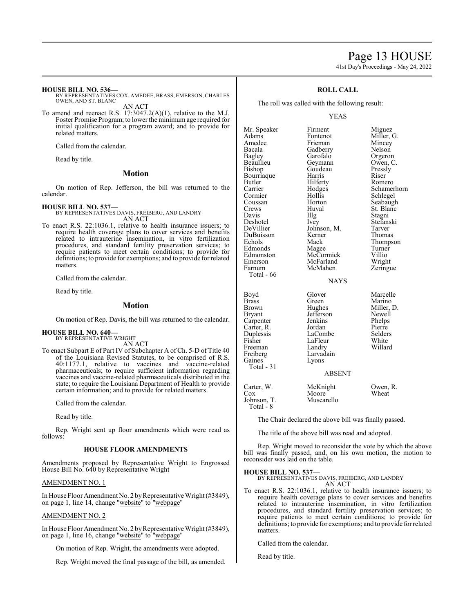# Page 13 HOUSE

41st Day's Proceedings - May 24, 2022

Miller, G. Mincey Nelson Orgeron Owen, C. Pressly<br>Riser

**Romero** Schamerhorn Schlegel Seabaugh St. Blanc<br>Stagni

Stefanski Tarver Thomas Thompson Turner<br>Villio

Wright Zeringue

Marcelle<br>Marino

Miller, D. Newell Phelps<br>Pierre

#### **HOUSE BILL NO. 536—**

BY REPRESENTATIVES COX, AMEDEE, BRASS, EMERSON, CHARLES OWEN, AND ST. BLANC AN ACT

To amend and reenact R.S. 17:3047.2(A)(1), relative to the M.J. Foster Promise Program; to lower the minimumage required for initial qualification for a program award; and to provide for related matters.

Called from the calendar.

Read by title.

#### **Motion**

On motion of Rep. Jefferson, the bill was returned to the calendar.

**HOUSE BILL NO. 537—** BY REPRESENTATIVES DAVIS, FREIBERG, AND LANDRY AN ACT

To enact R.S. 22:1036.1, relative to health insurance issuers; to require health coverage plans to cover services and benefits related to intrauterine insemination, in vitro fertilization procedures, and standard fertility preservation services; to require patients to meet certain conditions; to provide for definitions; to provide for exemptions; and to provide for related matters.

Called from the calendar.

Read by title.

#### **Motion**

On motion of Rep. Davis, the bill was returned to the calendar.

**HOUSE BILL NO. 640—** BY REPRESENTATIVE WRIGHT

AN ACT

To enact Subpart E of Part IV of Subchapter A of Ch. 5-D of Title 40 of the Louisiana Revised Statutes, to be comprised of R.S. 40:1177.1, relative to vaccines and vaccine-related pharmaceuticals; to require sufficient information regarding vaccines and vaccine-related pharmaceuticals distributed in the state; to require the Louisiana Department of Health to provide certain information; and to provide for related matters.

Called from the calendar.

Read by title.

Rep. Wright sent up floor amendments which were read as follows:

#### **HOUSE FLOOR AMENDMENTS**

Amendments proposed by Representative Wright to Engrossed House Bill No. 640 by Representative Wright

#### AMENDMENT NO. 1

In House Floor Amendment No. 2 by Representative Wright (#3849), on page 1, line 14, change "website" to "webpage"

#### AMENDMENT NO. 2

In House Floor Amendment No. 2 by Representative Wright (#3849), on page 1, line 16, change "website" to "webpage"

On motion of Rep. Wright, the amendments were adopted.

Rep. Wright moved the final passage of the bill, as amended.

#### **ROLL CALL**

The roll was called with the following result:

#### YEAS

| Mr. Speaker<br>Adams<br>Amedee<br>Bacala<br>Bagley<br>Beaullieu<br>Bishop<br>Bourriaque<br>Butler<br>Carrier<br>Cormier<br>Coussan<br>Crews<br>Davis<br>Deshotel<br>DeVillier<br>DuBuisson<br>Echols<br>Edmonds<br>Edmonston<br>Emerson<br>Farnum<br>Total - 66 | Firment<br>Fontenot<br>Frieman<br>Gadberry<br>Garofalo<br>Geymann<br>Goudeau<br>Harris<br>Hilferty<br>Hodges<br>Hollis<br>Horton<br>Huval<br>Illg<br>Ivey<br>Johnson, M.<br>Kerner<br>Mack<br>Magee<br>McCormick<br>McFarland<br>McMahen<br><b>NAYS</b> | Miguez<br>Miller,<br>Mincey<br>Nelson<br>Orgeror<br>Owen,<br>Pressly<br>Riser<br>Romerc<br>Schame<br>Schlege<br>Seabau<br>St. Blar<br>Stagni<br>Stefansl<br>Tarver<br>Thomas<br>Thomps<br>Turner<br>Villio<br>Wright<br>Zeringu |
|-----------------------------------------------------------------------------------------------------------------------------------------------------------------------------------------------------------------------------------------------------------------|---------------------------------------------------------------------------------------------------------------------------------------------------------------------------------------------------------------------------------------------------------|---------------------------------------------------------------------------------------------------------------------------------------------------------------------------------------------------------------------------------|
| Boyd<br><b>Brass</b><br>Brown<br><b>Bryant</b><br>Carpenter<br>Carter, R.<br>Duplessis<br>Fisher<br>Freeman<br>Freiberg<br>Gaines<br>Total - 31                                                                                                                 | Glover<br>Green<br>Hughes<br>Jefferson<br>Jenkins<br>Jordan<br>LaCombe<br>LaFleur<br>Landry<br>Larvadain<br>Lyons<br><b>ABSENT</b>                                                                                                                      | Marcell<br>Marino<br>Miller,<br>Newell<br>Phelps<br>Pierre<br>Selders<br>White<br>Willard                                                                                                                                       |

Carter, W. McKnight Owen, R.<br>Cox Moore Wheat Cox Moore Wheat

Johnson, T. Muscarello Total - 8

The Chair declared the above bill was finally passed.

The title of the above bill was read and adopted.

Rep. Wright moved to reconsider the vote by which the above bill was finally passed, and, on his own motion, the motion to reconsider was laid on the table.

#### **HOUSE BILL NO. 537—**

BY REPRESENTATIVES DAVIS, FREIBERG, AND LANDRY AN ACT

To enact R.S. 22:1036.1, relative to health insurance issuers; to require health coverage plans to cover services and benefits related to intrauterine insemination, in vitro fertilization procedures, and standard fertility preservation services; to require patients to meet certain conditions; to provide for definitions; to provide for exemptions; and to provide for related matters.

Called from the calendar.

Read by title.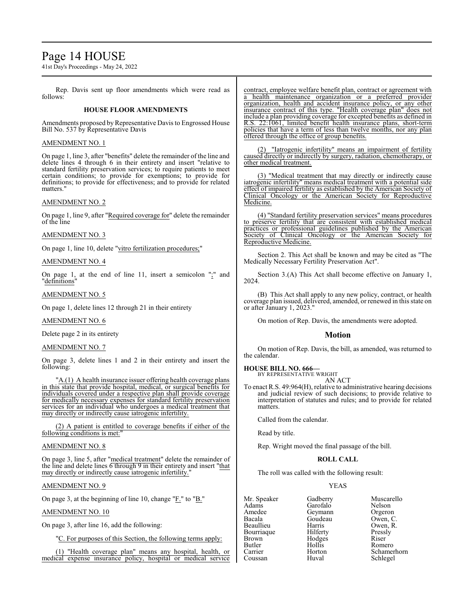### Page 14 HOUSE

41st Day's Proceedings - May 24, 2022

Rep. Davis sent up floor amendments which were read as follows:

#### **HOUSE FLOOR AMENDMENTS**

Amendments proposed by Representative Davis to Engrossed House Bill No. 537 by Representative Davis

#### AMENDMENT NO. 1

On page 1, line 3, after "benefits" delete the remainder of the line and delete lines 4 through 6 in their entirety and insert "relative to standard fertility preservation services; to require patients to meet certain conditions; to provide for exemptions; to provide for definitions; to provide for effectiveness; and to provide for related matters.

#### AMENDMENT NO. 2

On page 1, line 9, after "Required coverage for" delete the remainder of the line

#### AMENDMENT NO. 3

On page 1, line 10, delete "vitro fertilization procedures;"

#### AMENDMENT NO. 4

On page 1, at the end of line 11, insert a semicolon ";" and "definitions"

#### AMENDMENT NO. 5

On page 1, delete lines 12 through 21 in their entirety

#### AMENDMENT NO. 6

Delete page 2 in its entirety

#### AMENDMENT NO. 7

On page 3, delete lines 1 and 2 in their entirety and insert the following:

"A.(1) A health insurance issuer offering health coverage plans in this state that provide hospital, medical, or surgical benefits for individuals covered under a respective plan shall provide coverage for medically necessary expenses for standard fertility preservation services for an individual who undergoes a medical treatment that may directly or indirectly cause iatrogenic infertility.

(2) A patient is entitled to coverage benefits if either of the following conditions is met:

### AMENDMENT NO. 8

On page 3, line 5, after "medical treatment" delete the remainder of the line and delete lines 6 through 9 in their entirety and insert "that may directly or indirectly cause iatrogenic infertility.

#### AMENDMENT NO. 9

On page 3, at the beginning of line 10, change "F." to "B."

#### AMENDMENT NO. 10

On page 3, after line 16, add the following:

"C. For purposes of this Section, the following terms apply:

(1) "Health coverage plan" means any hospital, health, or medical expense insurance policy, hospital or medical service contract, employee welfare benefit plan, contract or agreement with a health maintenance organization or a preferred provider organization, health and accident insurance policy, or any other insurance contract of this type. "Health coverage plan" does not include a plan providing coverage for excepted benefits as defined in R.S. 22:1061, limited benefit health insurance plans, short-term policies that have a term of less than twelve months, nor any plan offered through the office of group benefits.

(2) "Iatrogenic infertility" means an impairment of fertility caused directly or indirectly by surgery, radiation, chemotherapy, or other medical treatment.

(3) "Medical treatment that may directly or indirectly cause iatrogenic infertility" means medical treatment with a potential side effect of impaired fertility as established by the American Society of Clinical Oncology or the American Society for Reproductive Clinical Oncology or the American Society for Medicine.

(4) "Standard fertility preservation services" means procedures to preserve fertility that are consistent with established medical practices or professional guidelines published by the American Society of Clinical Oncology or the American Society for Reproductive Medicine.

Section 2. This Act shall be known and may be cited as "The Medically Necessary Fertility Preservation Act".

Section 3.(A) This Act shall become effective on January 1, 2024.

(B) This Act shall apply to any new policy, contract, or health coverage plan issued, delivered, amended, or renewed in this state on or after January 1, 2023."

On motion of Rep. Davis, the amendments were adopted.

#### **Motion**

On motion of Rep. Davis, the bill, as amended, was returned to the calendar.

## **HOUSE BILL NO. 666—** BY REPRESENTATIVE WRIGHT

AN ACT

To enact R.S. 49:964(H), relative to administrative hearing decisions and judicial review of such decisions; to provide relative to interpretation of statutes and rules; and to provide for related matters.

Called from the calendar.

Read by title.

Rep. Wright moved the final passage of the bill.

#### **ROLL CALL**

The roll was called with the following result:

#### YEAS

Mr. Speaker Gadberry Muscarello<br>
Adams Garofalo Nelson Adams Garofalo Nelson<br>Amedee Geymann Orgeron Amedee Geymann Orgeron Bacala Goudeau<br>Beaullieu Harris Bourriaque Hilferty Pressl<br>Brown Hodges Riser Brown Hodges<br>Butler Hollis Butler Hollis Romero<br>Carrier Horton Schame Coussan Huval Schlegel

Harris Owen, R.<br>Hilferty Pressly Horton Schamerhorn<br>Huval Schlegel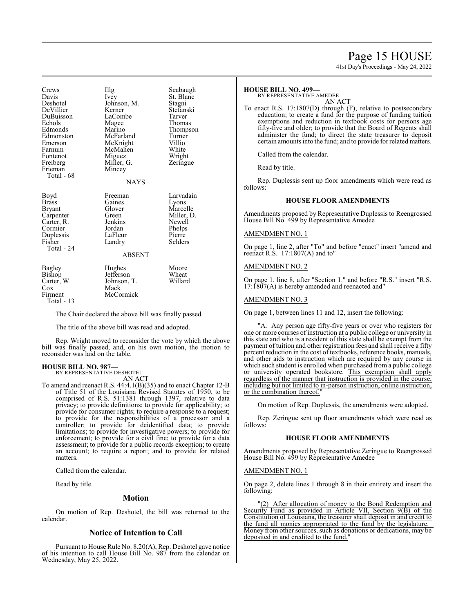### Page 15 HOUSE

41st Day's Proceedings - May 24, 2022

| Crews<br>Davis<br>Deshotel<br>DeVillier<br>DuBuisson<br>Echols<br>Edmonds<br>Edmonston<br>Emerson<br>Farnum<br>Fontenot<br>Freiberg<br>Frieman<br>Total - 68 | Illg<br>Ivey<br>Johnson, M.<br>Kerner<br>LaCombe<br>Magee<br>Marino<br>McFarland<br>McKnight<br>McMahen<br>Miguez<br>Miller, G.<br>Mincey<br><b>NAYS</b> | Seabaugh<br>St. Blanc<br>Stagni<br>Stefanski<br>Tarver<br>Thomas<br>Thompson<br>Turner<br>Villio<br>White<br>Wright<br>Zeringue |
|--------------------------------------------------------------------------------------------------------------------------------------------------------------|----------------------------------------------------------------------------------------------------------------------------------------------------------|---------------------------------------------------------------------------------------------------------------------------------|
| Boyd<br>Brass<br>Bryant<br>Carpenter<br>Carter, R.<br>Cormier<br>Duplessis<br>Fisher<br>Total - 24                                                           | Freeman<br>Gaines<br>Glover<br>Green<br>Jenkins<br>Jordan<br>LaFleur<br>Landry<br><b>ABSENT</b>                                                          | Larvadain<br>Lyons<br>Marcelle<br>Miller, D.<br>Newell<br>Phelps<br>Pierre<br>Selders                                           |
| Bagley<br>Bishop<br>Carter, W.<br>Cox<br>Firment<br>Total - 13                                                                                               | Hughes<br>Jefferson<br>Johnson, T.<br>Mack<br>McCormick                                                                                                  | Moore<br>Wheat<br>Willard                                                                                                       |

The Chair declared the above bill was finally passed.

The title of the above bill was read and adopted.

Rep. Wright moved to reconsider the vote by which the above bill was finally passed, and, on his own motion, the motion to reconsider was laid on the table.

#### **HOUSE BILL NO. 987—** BY REPRESENTATIVE DESHOTEL

AN ACT

To amend and reenact R.S. 44:4.1(B)(35) and to enact Chapter 12-B of Title 51 of the Louisiana Revised Statutes of 1950, to be comprised of R.S. 51:1381 through 1397, relative to data privacy; to provide definitions; to provide for applicability; to provide for consumer rights; to require a response to a request; to provide for the responsibilities of a processor and a controller; to provide for deidentified data; to provide limitations; to provide for investigative powers; to provide for enforcement; to provide for a civil fine; to provide for a data assessment; to provide for a public records exception; to create an account; to require a report; and to provide for related matters.

Called from the calendar.

Read by title.

#### **Motion**

On motion of Rep. Deshotel, the bill was returned to the calendar.

#### **Notice of Intention to Call**

Pursuant to House Rule No. 8.20(A), Rep. Deshotel gave notice of his intention to call House Bill No. 987 from the calendar on Wednesday, May 25, 2022.

#### **HOUSE BILL NO. 499—**

BY REPRESENTATIVE AMEDEE

AN ACT To enact R.S. 17:1807(D) through (F), relative to postsecondary education; to create a fund for the purpose of funding tuition exemptions and reduction in textbook costs for persons age fifty-five and older; to provide that the Board of Regents shall administer the fund; to direct the state treasurer to deposit certain amounts into the fund; and to provide for related matters.

Called from the calendar.

Read by title.

Rep. Duplessis sent up floor amendments which were read as follows:

#### **HOUSE FLOOR AMENDMENTS**

Amendments proposed by Representative Duplessis to Reengrossed House Bill No. 499 by Representative Amedee

#### AMENDMENT NO. 1

On page 1, line 2, after "To" and before "enact" insert "amend and reenact R.S.  $17:1807(A)$  and to"

#### AMENDMENT NO. 2

On page 1, line 8, after "Section 1." and before "R.S." insert "R.S.  $17:1807(A)$  is hereby amended and reenacted and"

#### AMENDMENT NO. 3

On page 1, between lines 11 and 12, insert the following:

"A. Any person age fifty-five years or over who registers for one or more courses of instruction at a public college or university in this state and who is a resident of this state shall be exempt from the payment of tuition and other registration fees and shall receive a fifty percent reduction in the cost of textbooks, reference books, manuals, and other aids to instruction which are required by any course in which such student is enrolled when purchased from a public college or university operated bookstore. This exemption shall apply regardless of the manner that instruction is provided in the course, including but not limited to in-person instruction, online instruction, or the combination thereof."

On motion of Rep. Duplessis, the amendments were adopted.

Rep. Zeringue sent up floor amendments which were read as follows:

#### **HOUSE FLOOR AMENDMENTS**

Amendments proposed by Representative Zeringue to Reengrossed House Bill No. 499 by Representative Amedee

#### AMENDMENT NO. 1

On page 2, delete lines 1 through 8 in their entirety and insert the following:

"(2) After allocation of money to the Bond Redemption and Security Fund as provided in Article VII, Section 9(B) of the Constitution of Louisiana, the treasurer shall deposit in and credit to the fund all monies appropriated to the fund by the legislature. Money from other sources, such as donations or dedications, may be deposited in and credited to the fund."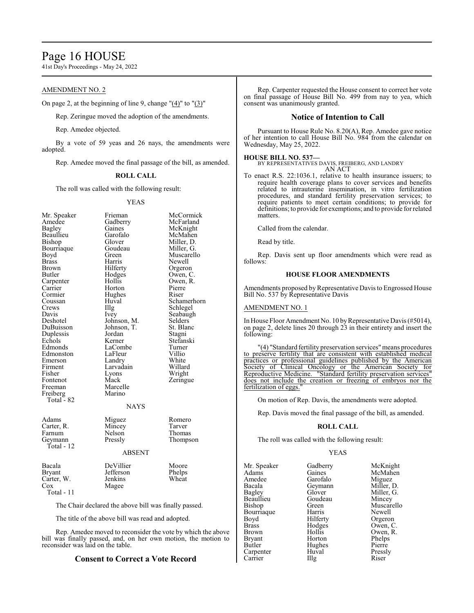### Page 16 HOUSE

41st Day's Proceedings - May 24, 2022

#### AMENDMENT NO. 2

On page 2, at the beginning of line 9, change "(4)" to "(3)"

Rep. Zeringue moved the adoption of the amendments.

Rep. Amedee objected.

By a vote of 59 yeas and 26 nays, the amendments were adopted.

Rep. Amedee moved the final passage of the bill, as amended.

#### **ROLL CALL**

The roll was called with the following result:

#### YEAS

| Mr. Speaker | Frieman       | McCormick   |
|-------------|---------------|-------------|
| Amedee      | Gadberry      | McFarland   |
| Bagley      | Gaines        | McKnight    |
| Beaullieu   | Garofalo      | McMahen     |
| Bishop      | Glover        | Miller, D.  |
| Bourriaque  | Goudeau       | Miller, G.  |
| Boyd        | Green         | Muscarello  |
| Brass       | Harris        | Newell      |
| Brown       | Hilferty      | Orgeron     |
| Butler      | Hodges        | Owen, C.    |
| Carpenter   | Hollis        | Owen, R.    |
| Carrier     | Horton        | Pierre      |
| Cormier     | Hughes        | Riser       |
| Coussan     | Huval         | Schamerhorn |
| Crews       | IIIg          | Schlegel    |
| Davis       | Ivey          | Seabaugh    |
| Deshotel    | Johnson, M.   | Selders     |
| DuBuisson   | Johnson, T.   | St. Blanc   |
| Duplessis   | Jordan        | Stagni      |
| Echols      | Kerner        | Stefanski   |
| Edmonds     | LaCombe       | Turner      |
| Edmonston   | LaFleur       | Villio      |
| Emerson     | Landry        | White       |
| Firment     | Larvadain     | Willard     |
| Fisher      | Lyons         | Wright      |
| Fontenot    | Mack          | Zeringue    |
| Freeman     | Marcelle      |             |
| Freiberg    | Marino        |             |
| Total - 82  |               |             |
|             | <b>NAYS</b>   |             |
| Adams       | Miguez        | Romero      |
| Carter, R.  | Mincey        | Tarver      |
| Farnum      | Nelson        | Thomas      |
| Geymann     | Pressly       | Thompson    |
| Total - 12  |               |             |
|             | <b>ABSENT</b> |             |
| Bacala      | DeVillier     | Moore       |
| Bryant      | Jefferson     | Phelps      |
| Carter, W.  | Jenkins       | Wheat       |
| Cox         | Magee         |             |
| Total - 11  |               |             |
|             |               |             |

The Chair declared the above bill was finally passed.

The title of the above bill was read and adopted.

Rep. Amedee moved to reconsider the vote by which the above bill was finally passed, and, on her own motion, the motion to reconsider was laid on the table.

### **Consent to Correct a Vote Record**

Rep. Carpenter requested the House consent to correct her vote on final passage of House Bill No. 499 from nay to yea, which consent was unanimously granted.

#### **Notice of Intention to Call**

Pursuant to House Rule No. 8.20(A), Rep. Amedee gave notice of her intention to call House Bill No. 984 from the calendar on Wednesday, May 25, 2022.

#### **HOUSE BILL NO. 537—**

BY REPRESENTATIVES DAVIS, FREIBERG, AND LANDRY AN ACT

To enact R.S. 22:1036.1, relative to health insurance issuers; to require health coverage plans to cover services and benefits related to intrauterine insemination, in vitro fertilization procedures, and standard fertility preservation services; to require patients to meet certain conditions; to provide for definitions; to provide for exemptions; and to provide for related matters.

Called from the calendar.

Read by title.

Rep. Davis sent up floor amendments which were read as follows:

#### **HOUSE FLOOR AMENDMENTS**

Amendments proposed by Representative Davis to Engrossed House Bill No. 537 by Representative Davis

#### AMENDMENT NO. 1

In House Floor Amendment No. 10 by Representative Davis (#5014), on page 2, delete lines 20 through 23 in their entirety and insert the following:

"(4) "Standard fertility preservation services" means procedures to preserve fertility that are consistent with established medical practices or professional guidelines published by the American Society of Clinical Oncology or the American Society for Reproductive Medicine. "Standard fertility preservation services does not include the creation or freezing of embryos nor the fertilization of eggs.

On motion of Rep. Davis, the amendments were adopted.

Rep. Davis moved the final passage of the bill, as amended.

#### **ROLL CALL**

The roll was called with the following result:

#### YEAS

| Mr. Speaker   | Gadberry  | McKnight   |
|---------------|-----------|------------|
| Adams         | Gaines    | McMahen    |
| Amedee        | Garofalo  | Miguez     |
| Bacala        | Geymann   | Miller, D. |
| Bagley        | Glover    | Miller, G. |
| Beaullieu     | Goudeau   | Mincey     |
| Bishop        | Green     | Muscarello |
| Bourriaque    | Harris    | Newell     |
| Boyd          | Hilferty  | Orgeron    |
| <b>Brass</b>  | Hodges    | Owen, C.   |
| <b>Brown</b>  | Hollis    | Owen, R.   |
| <b>Bryant</b> | Horton    | Phelps     |
| Butler        | Hughes    | Pierre     |
| Carpenter     | Huval     | Pressly    |
| Carrier       | $\prod$ g | Riser      |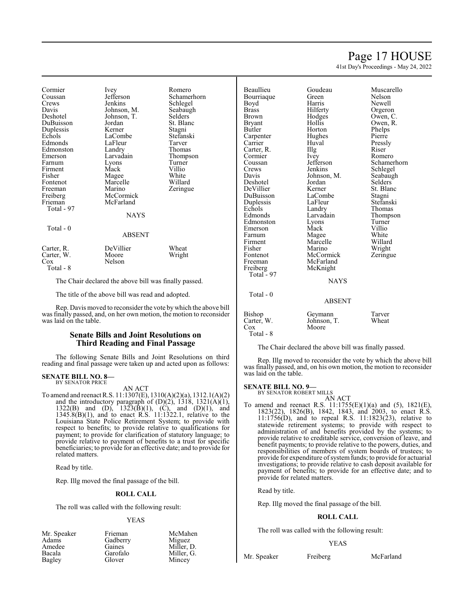### Page 17 HOUSE

41st Day's Proceedings - May 24, 2022

Cormier Ivey Romero<br>Coussan Jefferson Schamer Coussan Jefferson Schamerhorn<br>Crews Jenkins Schlegel Crews Jenkins Schlegel Davis Johnson, M. Seabaughten<br>Deshotel Johnson, T. Selders DuBuisson Duplessis Kerner Stagni<br>
Echols LaCombe Stefanski Edmonds LaFleur Tarver<br>Edmonston Landry Thomas Edmonston Landry<br>Emerson Larvadain Emerson Larvadain Thompson<br>
Farnum Lyons Turner Firment Mack Villio<br>Fisher Magee White Fisher Magee White<br>Fontenot Marcelle Willard Marcelle Freeman Marino Zeringue<br>
Freiberg McCormick Zeringue Freiberg McCormick<br>Frieman McFarland Total - 97  $Total = 0$ 

Johnson, T. Selders<br>Jordan St. Blanc LaCombe Stefans<br>LaFleur Tarver Lyons Turner<br>Mack Villio McFarland

#### **NAYS**

| 10tal - U                                    | <b>ABSENT</b>                |                 |
|----------------------------------------------|------------------------------|-----------------|
| Carter, R.<br>Carter, W.<br>Cox<br>Total - 8 | DeVillier<br>Moore<br>Nelson | Wheat<br>Wright |

The Chair declared the above bill was finally passed.

The title of the above bill was read and adopted.

Rep. Davis moved to reconsider the vote by which the above bill was finally passed, and, on her own motion, the motion to reconsider was laid on the table.

#### **Senate Bills and Joint Resolutions on Third Reading and Final Passage**

The following Senate Bills and Joint Resolutions on third reading and final passage were taken up and acted upon as follows:

### **SENATE BILL NO. 8—** BY SENATOR PRICE

AN ACT

To amend and reenact R.S. 11:1307(E), 1310(A)(2)(a), 1312.1(A)(2) and the introductory paragraph of  $(D)(2)$ , 1318, 1321 $(A)(1)$ , 1322(B) and (D),  $1323(B)(1)$ , (C), and (D)(1), and 1345.8(B)(1), and to enact R.S. 11:1322.1, relative to the Louisiana State Police Retirement System; to provide with respect to benefits; to provide relative to qualifications for payment; to provide for clarification of statutory language; to provide relative to payment of benefits to a trust for specific beneficiaries; to provide for an effective date; and to provide for related matters.

Read by title.

Rep. Illg moved the final passage of the bill.

#### **ROLL CALL**

The roll was called with the following result:

#### YEAS

| Mr. Speaker | Frieman  | McMahen    |
|-------------|----------|------------|
| Adams       | Gadberry | Miguez     |
| Amedee      | Gaines   | Miller, D. |
| Bacala      | Garofalo | Miller, G. |
| Bagley      | Glover   | Mincey     |

Beaullieu Goudeau Muscarello Bourriaque Green<br>Boyd Harris Boyd Harris Newell<br>Brass Hilferty Orgero Brass Filerty Orgeron<br>Brown Hodges Owen, C Brown Hodges Owen, C.<br>Brvant Hollis Owen, R. Butler Horton Phelps<br>
Carpenter Hughes Pierre Carpenter Hughes Pierre<br>
Carrier Huval Pressly Carrier Huval Pressly Carter, R. Illg Riser<br>Cormier Ivey Romero Cormier Ivey<br>Coussan Jefferson Coussan Jefferson Schamerhorn<br>Crews Jenkins Schlegel Crews Jenkins Schlegel<br>Davis Johnson, M. Seabaugh Deshotel DeVillier Kerner St. Blanc<br>
DuBuisson LaCombe Stagni DuBuisson LaCombe Stagni<br>
Duplessis LaFleur Stefanski Duplessis LaFleu<br>Echols Landry Echols Landry Thomas<br>Edmonds Larvadain Thomas Edmonston Lyons Turner<br>Emerson Mack Villio Emerson Mack Villio<br>
Farnum Magee White Farnum Magee White<br>
Firment Marcelle Willard Firment Marcelle<br>Fisher Marino Fisher Marino Wright<br>Fontenot McCormick Zeringue Fontenot McCormick<br>Freeman McFarland Freeman McFarland<br>Freiberg McKnight Total $\degree$ 97 Total - 0

McKnight **NAYS** 

Owen, R. Johnson, M. Seabaughters<br>Jordan Selders Larvadain Thompson<br>Lyons Turner

#### ABSENT

| Bishop     | Geymann     | Tarver |
|------------|-------------|--------|
| Carter, W. | Johnson, T. | Wheat  |
| Cox        | Moore       |        |
| Total - 8  |             |        |

The Chair declared the above bill was finally passed.

Rep. Illg moved to reconsider the vote by which the above bill was finally passed, and, on his own motion, the motion to reconsider was laid on the table.

#### **SENATE BILL NO. 9—**

BY SENATOR ROBERT MILLS AN ACT

To amend and reenact R.S. 11:1755(E)(1)(a) and (5), 1821(E), 1823(22), 1826(B), 1842, 1843, and 2003, to enact R.S. 11:1756(D), and to repeal R.S. 11:1823(23), relative to statewide retirement systems; to provide with respect to administration of and benefits provided by the systems; to provide relative to creditable service, conversion of leave, and benefit payments; to provide relative to the powers, duties, and responsibilities of members of system boards of trustees; to provide for expenditure of system funds; to provide for actuarial investigations; to provide relative to cash deposit available for payment of benefits; to provide for an effective date; and to provide for related matters.

Read by title.

Rep. Illg moved the final passage of the bill.

#### **ROLL CALL**

The roll was called with the following result:

#### YEAS

Mr. Speaker Freiberg McFarland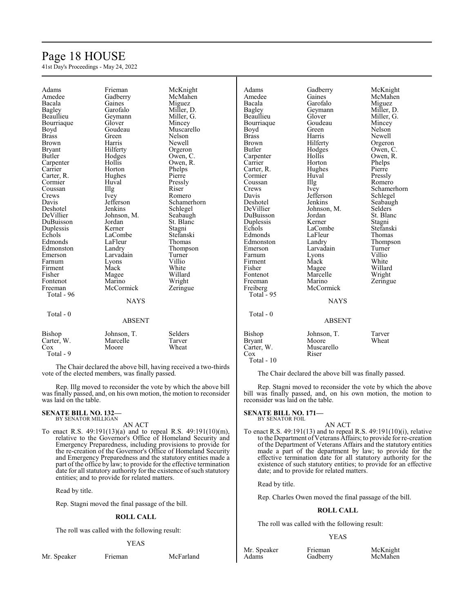## Page 18 HOUSE

41st Day's Proceedings - May 24, 2022

| Adams         | Frieman       | McKnight    | Adams         | Gadberry      | McKnight       |
|---------------|---------------|-------------|---------------|---------------|----------------|
| Amedee        | Gadberry      | McMahen     | Amedee        | Gaines        | McMahen        |
| Bacala        | Gaines        | Miguez      | Bacala        | Garofalo      | Miguez         |
| <b>Bagley</b> | Garofalo      | Miller, D.  | Bagley        | Geymann       | Miller, D.     |
| Beaullieu     | Geymann       | Miller, G.  | Beaullieu     | Glover        | Miller, G.     |
| Bourriaque    | Glover        | Mincey      | Bourriaque    | Goudeau       | Mincey         |
| Boyd          | Goudeau       | Muscarello  | Boyd          | Green         | Nelson         |
| <b>Brass</b>  | Green         | Nelson      | <b>Brass</b>  | Harris        | Newell         |
| <b>Brown</b>  | Harris        | Newell      | <b>Brown</b>  | Hilferty      | Orgeron        |
| <b>Bryant</b> | Hilferty      | Orgeron     | Butler        | Hodges        | Owen, C.       |
| Butler        | Hodges        | Owen, C.    | Carpenter     | Hollis        | Owen, R.       |
| Carpenter     | Hollis        | Owen, R.    | Carrier       | Horton        | Phelps         |
| Carrier       | Horton        | Phelps      | Carter, R.    | Hughes        | Pierre         |
| Carter, R.    | Hughes        | Pierre      | Cormier       | Huval         | Pressly        |
| Cormier       | Huval         | Pressly     | Coussan       | Illg          | Romero         |
| Coussan       | Illg          | Riser       | Crews         | Ivey          | Schamerhorn    |
| Crews         | Ivey          | Romero      | Davis         | Jefferson     | Schlegel       |
| Davis         | Jefferson     | Schamerhorn | Deshotel      | Jenkins       | Seabaugh       |
| Deshotel      | Jenkins       | Schlegel    | DeVillier     | Johnson, M.   | <b>Selders</b> |
| DeVillier     | Johnson, M.   | Seabaugh    | DuBuisson     | Jordan        | St. Blanc      |
| DuBuisson     | Jordan        | St. Blanc   | Duplessis     | Kerner        | Stagni         |
| Duplessis     | Kerner        | Stagni      | Echols        | LaCombe       | Stefanski      |
| Echols        | LaCombe       | Stefanski   | Edmonds       | LaFleur       | Thomas         |
| Edmonds       | LaFleur       | Thomas      | Edmonston     | Landry        | Thompson       |
| Edmonston     | Landry        | Thompson    | Emerson       | Larvadain     | Turner         |
| Emerson       | Larvadain     | Turner      | Farnum        | Lyons         | Villio         |
| Farnum        | Lyons         | Villio      | Firment       | Mack          | White          |
| Firment       | Mack          | White       | Fisher        | Magee         | Willard        |
| Fisher        | Magee         | Willard     | Fontenot      | Marcelle      | Wright         |
| Fontenot      | Marino        | Wright      | Freeman       | Marino        | Zeringue       |
| Freeman       | McCormick     | Zeringue    | Freiberg      | McCormick     |                |
| Total - 96    |               |             | Total $-95$   |               |                |
|               | <b>NAYS</b>   |             |               | <b>NAYS</b>   |                |
| Total - 0     |               |             | Total - 0     |               |                |
|               | <b>ABSENT</b> |             |               | <b>ABSENT</b> |                |
| <b>Bishop</b> | Johnson, T.   | Selders     | Bishop        | Johnson, T.   | Tarver         |
| Carter, W.    | Marcelle      | Tarver      | <b>Bryant</b> | Moore         | Wheat          |
| Cox           | Moore         | Wheat       | Carter, W.    | Muscarello    |                |
| Total - 9     |               |             | Cox           | Riser         |                |
|               |               |             | Total - 10    |               |                |

The Chair declared the above bill, having received a two-thirds vote of the elected members, was finally passed.

Rep. Illg moved to reconsider the vote by which the above bill was finally passed, and, on his own motion, the motion to reconsider was laid on the table.

### **SENATE BILL NO. 132—** BY SENATOR MILLIGAN

AN ACT

To enact R.S. 49:191(13)(a) and to repeal R.S. 49:191(10)(m), relative to the Governor's Office of Homeland Security and Emergency Preparedness, including provisions to provide for the re-creation of the Governor's Office of Homeland Security and Emergency Preparedness and the statutory entities made a part of the office by law; to provide for the effective termination date for all statutory authority for the existence of such statutory entities; and to provide for related matters.

Read by title.

Rep. Stagni moved the final passage of the bill.

#### **ROLL CALL**

The roll was called with the following result:

#### YEAS

Mr. Speaker Frieman McFarland

The Chair declared the above bill was finally passed.

Rep. Stagni moved to reconsider the vote by which the above bill was finally passed, and, on his own motion, the motion to reconsider was laid on the table.

### **SENATE BILL NO. 171—** BY SENATOR FOIL

- 
- AN ACT To enact R.S. 49:191(13) and to repeal R.S. 49:191(10)(i), relative to the Department of Veterans Affairs; to provide for re-creation of the Department of Veterans Affairs and the statutory entities made a part of the department by law; to provide for the effective termination date for all statutory authority for the existence of such statutory entities; to provide for an effective date; and to provide for related matters.

Read by title.

Rep. Charles Owen moved the final passage of the bill.

#### **ROLL CALL**

The roll was called with the following result:

Gadberry

#### YEAS

Mr. Speaker Frieman McKnight<br>
Adams Gadberry McMahen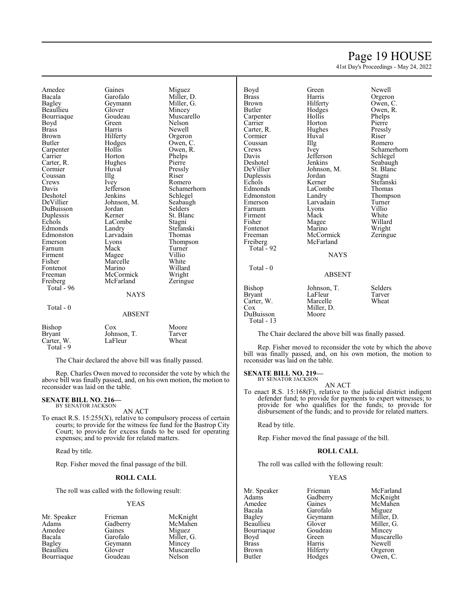### Page 19 HOUSE

41st Day's Proceedings - May 24, 2022

Amedee Gaines Miguez Bacala Garofalo Miller, D.<br>Bagley Geymann Miller, G. Beaullieu Glover Mincey Bourriaque Goude<br>Boyd Green Brass Harris Newell Brown Hilferty Orgeron<br>Butler Hodges Owen, C Carpenter Hollis Owen,<br>Carrier Horton Phelps Carter, R. Hughes Pierre<br>
Cormier Huval Pressly Cormier Huval Pressl<br>Coussan Illg Riser Coussan Illg<br>Crews Ivey Davis Jefferson Schamerhorn<br>Deshotel Jenkins Schlegel Deshotel Jenkins Schlegel<br>DeVillier Johnson, M. Seabaugh DuBuisson Jordan Selders Duplessis Kerner St. Blanch<br>Echols LaCombe Stagni Edmonds Landry Stefansk<br>Edmonston Larvadain Thomas Edmonston Larvada<br>
Emerson Lyons Farnum Mack Turne<br>
Firment Magee Villio Firment Magee Villio<br>Fisher Marcelle White Fontenot Marino Willard<br>Freeman McCormick Wright Freeman McCormick Wright<br>
Freiberg McFarland Zeringue McFarland Total  $-96$  Total - 0 ABSENT

Geymann Miller,<br>Glover Mincey Hodges Owen, C.<br>Hollis Owen, R. Horton Phelps<br>
Hughes Pierre Ivey Romero<br>Jefferson Schamer Johnson, M. Seabaughter Seabaughter Seabaughter Seabaughter Seabaughter Seabaughter Seabaughter Seabaughter Seabaughter Seabaughter Seabaughter Seabaughter Seabaughter Seabaughter Seabaughter Seabaughter Seabaughter Seabau LaCombe Stagni<br>
Landry Stefanski Eyons Thompson<br>
Mack Turner Marcelle White<br>Marino Willard **NAYS** 

Nelson

#### Bishop Cox Moore<br>Bryant Johnson, T. Tarver Bryant Johnson, T. Tarver<br>Carter, W. LaFleur Wheat Carter, W. Total - 9

The Chair declared the above bill was finally passed.

Rep. Charles Owen moved to reconsider the vote by which the above bill was finally passed, and, on his own motion, the motion to reconsider was laid on the table.

#### **SENATE BILL NO. 216—** BY SENATOR JACKSON

AN ACT

To enact R.S. 15:255(X), relative to compulsory process of certain courts; to provide for the witness fee fund for the Bastrop City Court; to provide for excess funds to be used for operating expenses; and to provide for related matters.

Read by title.

Rep. Fisher moved the final passage of the bill.

#### **ROLL CALL**

The roll was called with the following result:

#### YEAS

Mr. Speaker Frieman McKnight<br>
Adams Gadberry McMahen Gadberry McMah<br>Gaines Miguez Amedee Gaines<br>Bacala Garofalo Bacala Garofalo Miller, G. Bagley Geymann<br>Beaullieu Glover Glover Muscarello<br>Goudeau Nelson Bourriaque

| Boyd<br><b>Brass</b><br>Brown<br>Butler<br>Carpenter<br>Carrier<br>Carter, R.<br>Cormier<br>Coussan<br>Crews<br>Davis<br>Deshotel<br>DeVillier<br>Duplessis<br>Echols<br>Edmonds<br>Edmonston<br>Emerson<br>Farnum<br>Firment<br>Fisher<br>Fontenot<br>Freeman<br>Freiberg<br>Total - 92 | Green<br>Harris<br>Hilferty<br>Hodges<br>Hollis<br>Horton<br>Hughes<br>Huval<br>Illg<br><i>lvey</i><br>Jefferson<br>Jenkins<br>Johnson, M.<br>Jordan<br>Kerner<br>LaCombe<br>Landry<br>Larvadain<br>Lyons<br>Mack<br>Magee<br>Marino<br>McCormick<br>McFarland<br><b>NAYS</b> | Newell<br>Orgeron<br>Owen, C.<br>Owen, R.<br>Phelps<br>Pierre<br>Pressly<br>Riser<br>Romero<br>Schamerhorn<br>Schlegel<br>Seabaugh<br>St. Blanc<br>Stagni<br>Stefanski<br>Thomas<br>Thompson<br>Turner<br>Villio<br>White<br>Willard<br>Wright<br>Zeringue |
|------------------------------------------------------------------------------------------------------------------------------------------------------------------------------------------------------------------------------------------------------------------------------------------|-------------------------------------------------------------------------------------------------------------------------------------------------------------------------------------------------------------------------------------------------------------------------------|------------------------------------------------------------------------------------------------------------------------------------------------------------------------------------------------------------------------------------------------------------|
| $Total - 0$                                                                                                                                                                                                                                                                              | <b>ABSENT</b>                                                                                                                                                                                                                                                                 |                                                                                                                                                                                                                                                            |
| Bishop<br>Bryant<br>Carter, W.<br>Cox<br>DuBuisson<br>Total - 13                                                                                                                                                                                                                         | Johnson, T.<br>LaFleur<br>Marcelle<br>Miller, D.<br>Moore                                                                                                                                                                                                                     | Selders<br>Tarver<br>Wheat                                                                                                                                                                                                                                 |

The Chair declared the above bill was finally passed.

Rep. Fisher moved to reconsider the vote by which the above bill was finally passed, and, on his own motion, the motion to reconsider was laid on the table.

**SENATE BILL NO. 219—**

BY SENATOR JACKSON

AN ACT

To enact R.S. 15:168(F), relative to the judicial district indigent defender fund; to provide for payments to expert witnesses; to provide for who qualifies for the funds; to provide for disbursement of the funds; and to provide for related matters.

Read by title.

Rep. Fisher moved the final passage of the bill.

#### **ROLL CALL**

The roll was called with the following result:

#### YEAS

| Mr. Speaker | Frieman  | McFarland  |
|-------------|----------|------------|
| Adams       | Gadberry | McKnight   |
| Amedee      | Gaines   | McMahen    |
| Bacala      | Garofalo | Miguez     |
| Bagley      | Geymann  | Miller, D. |
| Beaullieu   | Glover   | Miller, G. |
| Bourriaque  | Goudeau  | Mincey     |
| Boyd        | Green    | Muscarello |
| Brass       | Harris   | Newell     |
| Brown       | Hilferty | Orgeron    |
| Butler      | Hodges   | Owen, C.   |
|             |          |            |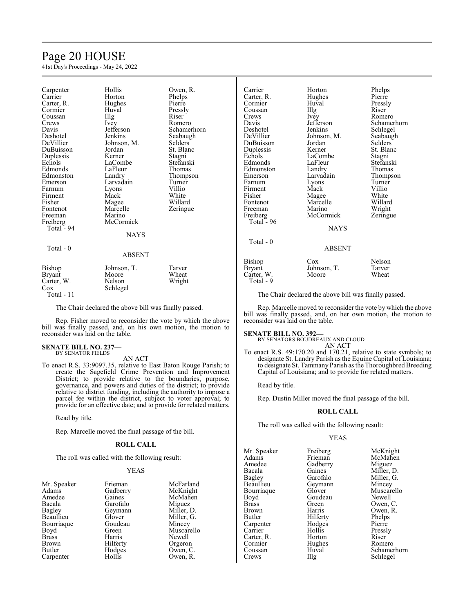## Page 20 HOUSE

41st Day's Proceedings - May 24, 2022

| Carpenter<br>Carrier<br>Carter, R.<br>Cormier<br>Coussan<br>Crews<br>Davis<br>Deshotel<br>DeVillier<br>DuBuisson<br>Duplessis<br>Echols<br>Edmonds<br>Edmonston<br>Emerson<br>Farnum<br>Firment<br>Fisher<br>Fontenot<br>Freeman<br>Freiberg<br>Total - 94 | Hollis<br>Horton<br>Hughes<br>Huval<br>Illg<br>Ivey<br>Jefferson<br>Jenkins<br>Johnson, M.<br>Jordan<br>Kerner<br>LaCombe<br>LaFleur<br>Landry<br>Larvadain<br>Lyons<br>Mack<br>Magee<br>Marcelle<br>Marino<br>McCormick<br><b>NAYS</b> | Owen, R.<br>Phelps<br>Pierre<br>Pressly<br>Riser<br>Romero<br>Schamerhorn<br>Seabaugh<br>Selders<br>St. Blanc<br>Stagni<br>Stefanski<br>Thomas<br>Thompson<br>Turner<br>Villio<br>White<br>Willard<br>Zeringue |
|------------------------------------------------------------------------------------------------------------------------------------------------------------------------------------------------------------------------------------------------------------|-----------------------------------------------------------------------------------------------------------------------------------------------------------------------------------------------------------------------------------------|----------------------------------------------------------------------------------------------------------------------------------------------------------------------------------------------------------------|
|                                                                                                                                                                                                                                                            |                                                                                                                                                                                                                                         |                                                                                                                                                                                                                |
|                                                                                                                                                                                                                                                            |                                                                                                                                                                                                                                         |                                                                                                                                                                                                                |
| Total - 0                                                                                                                                                                                                                                                  | <b>ABSENT</b>                                                                                                                                                                                                                           |                                                                                                                                                                                                                |
| Bishop<br>Bryant<br>Carter, W.<br>Cox                                                                                                                                                                                                                      | Johnson, T.<br>Moore<br>Nelson<br>Schlegel                                                                                                                                                                                              | Tarver<br>Wheat<br>Wright                                                                                                                                                                                      |

The Chair declared the above bill was finally passed.

Rep. Fisher moved to reconsider the vote by which the above bill was finally passed, and, on his own motion, the motion to reconsider was laid on the table.

#### **SENATE BILL NO. 237—** BY SENATOR FIELDS

Total - 11

AN ACT

To enact R.S. 33:9097.35, relative to East Baton Rouge Parish; to create the Sagefield Crime Prevention and Improvement District; to provide relative to the boundaries, purpose, governance, and powers and duties of the district; to provide relative to district funding, including the authority to impose a parcel fee within the district, subject to voter approval; to provide for an effective date; and to provide for related matters.

Read by title.

Rep. Marcelle moved the final passage of the bill.

#### **ROLL CALL**

The roll was called with the following result:

#### YEAS

| Mr. Speaker  | Frieman  | McFarland  |
|--------------|----------|------------|
| Adams        | Gadberry | McKnight   |
| Amedee       | Gaines   | McMahen    |
| Bacala       | Garofalo | Miguez     |
| Bagley       | Geymann  | Miller, D. |
| Beaullieu    | Glover   | Miller, G. |
| Bourriague   | Goudeau  | Mincey     |
| Boyd         | Green    | Muscarello |
| <b>Brass</b> | Harris   | Newell     |
| <b>Brown</b> | Hilferty | Orgeron    |
| Butler       | Hodges   | Owen, C.   |
| Carpenter    | Hollis   | Owen, R.   |

| Carrier<br>Carter, R.<br>Cormier<br>Coussan<br>Crews<br>Davis<br>Deshotel<br>DeVillier<br>DuBuisson<br>Duplessis<br>Echols<br>Edmonds<br>Edmonston<br>Emerson<br>Farnum | Horton<br>Hughes<br>Huval<br>Illg<br>Ivey<br>Jefferson<br>Jenkins<br>Johnson, M.<br>Jordan<br>Kerner<br>LaCombe<br>LaFleur<br>Landry<br>Larvadain | Phelps<br>Pierre<br>Pressly<br>Riser<br>Romero<br>Schamerhorn<br>Schlegel<br>Seabaugh<br>Selders<br>St. Blanc<br>Stagni<br>Stefanski<br>Thomas<br>Thompson<br>Turner |
|-------------------------------------------------------------------------------------------------------------------------------------------------------------------------|---------------------------------------------------------------------------------------------------------------------------------------------------|----------------------------------------------------------------------------------------------------------------------------------------------------------------------|
| Firment                                                                                                                                                                 | Lyons<br>Mack                                                                                                                                     | Villio                                                                                                                                                               |
| Fisher<br>Fontenot<br>Freeman<br>Freiberg                                                                                                                               | Magee<br>Marcelle<br>Marino<br>McCormick                                                                                                          | White<br>Willard<br>Wright<br>Zeringue                                                                                                                               |
| Total - 96<br>$Total - 0$                                                                                                                                               | <b>NAYS</b><br><b>ABSENT</b>                                                                                                                      |                                                                                                                                                                      |
|                                                                                                                                                                         |                                                                                                                                                   |                                                                                                                                                                      |
| Bishop<br>Bryant<br>Carter, W.<br>Total - 9                                                                                                                             | $\cos$<br>Johnson, T.<br>Moore                                                                                                                    | Nelson<br>Tarver<br>Wheat                                                                                                                                            |

The Chair declared the above bill was finally passed.

Rep. Marcelle moved to reconsider the vote by which the above bill was finally passed, and, on her own motion, the motion to reconsider was laid on the table.

#### **SENATE BILL NO. 392—**

BY SENATORS BOUDREAUX AND CLOUD AN ACT

To enact R.S. 49:170.20 and 170.21, relative to state symbols; to designate St. Landry Parish as the Equine Capital of Louisiana; to designate St. Tammany Parish as the Thoroughbred Breeding Capital of Louisiana; and to provide for related matters.

Read by title.

Rep. Dustin Miller moved the final passage of the bill.

#### **ROLL CALL**

The roll was called with the following result:

#### YEAS

Mr. Speaker Freiberg McKnight<br>
Adams Frieman McMahen Adams Frieman McMahen<br>Amedee Gadberry Miguez Amedee Gadberry<br>Bacala Gaines Bacala Gaines Miller, D.<br>Bagley Garofalo Miller, G. Bagley Garofalo Miller, G.<br>Beaullieu Geymann Mincey Bourriaque Glover Muscarello<br>Boyd Goudeau Newell Boyd Goudeau<br>Brass Green Brass Green Owen, C.<br>Brown Harris Owen, R. Brown Harris Owen, R.<br>Butler Hilferty Phelps Carpenter Hodge<br>Carrier Hollis Carter, R. Horton Riser Cormier Hughes Romero Cormier Hughe<br>Coussan Huval

Hilferty Phelps<br>Hodges Pierre

Geymann Mincey<br>Glover Muscarello Hollis Pressly<br>
Horton Riser Coussan Huval Schamerhorn<br>Crews IIIg Schlegel Schlegel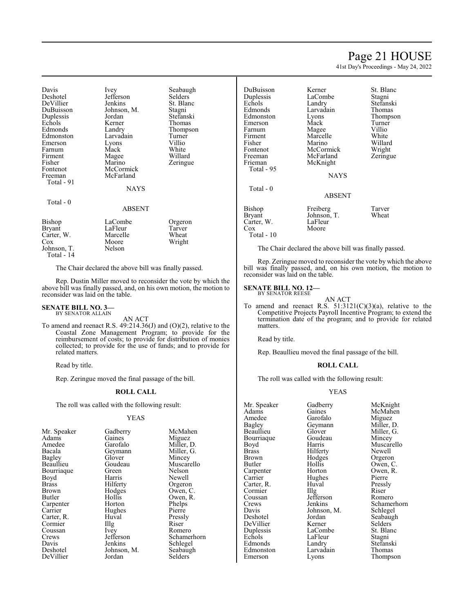### Page 21 HOUSE

41st Day's Proceedings - May 24, 2022

| Davis<br>Deshotel<br>DeVillier<br>DuBuisson<br>Duplessis<br>Echols<br>Edmonds<br>Edmonston<br>Emerson<br>Farnum<br>Firment<br>Fisher<br>Fontenot<br>Freeman<br>Total - 91 | Ivey<br>Jefferson<br>Jenkins<br>Johnson, M.<br>Jordan<br>Kerner<br>Landry<br>Larvadain<br>Lyons<br>Mack<br>Magee<br>Marino<br>McCormick<br>McFarland<br>NAYS | Seabaugh<br>Selders<br>St. Blanc<br>Stagni<br>Stefanski<br>Thomas<br>Thompson<br>Turner<br>Villio<br>White<br>Willard<br>Zeringue |
|---------------------------------------------------------------------------------------------------------------------------------------------------------------------------|--------------------------------------------------------------------------------------------------------------------------------------------------------------|-----------------------------------------------------------------------------------------------------------------------------------|
| Total $-0$                                                                                                                                                                | <b>ABSENT</b>                                                                                                                                                |                                                                                                                                   |
| Bishop<br>Bryant<br>Carter, W.<br>Cox<br>Johnson, T.<br>Total - 14                                                                                                        | LaCombe<br>LaFleur<br>Marcelle<br>Moore<br>Nelson                                                                                                            | Orgeron<br>Tarver<br>Wheat<br>Wright                                                                                              |

The Chair declared the above bill was finally passed.

Rep. Dustin Miller moved to reconsider the vote by which the above bill was finally passed, and, on his own motion, the motion to reconsider was laid on the table.

**SENATE BILL NO. 3—** BY SENATOR ALLAIN

AN ACT

To amend and reenact R.S. 49:214.36(J) and (O)(2), relative to the Coastal Zone Management Program; to provide for the reimbursement of costs; to provide for distribution of monies collected; to provide for the use of funds; and to provide for related matters.

Read by title.

Rep. Zeringue moved the final passage of the bill.

#### **ROLL CALL**

The roll was called with the following result:

#### YEAS

| Mr. Speaker | Gadberry          | McM    |
|-------------|-------------------|--------|
| Adams       | Gaines            | Migu   |
| Amedee      | Garofalo          | Mille  |
| Bacala      | Geymann           | Mille  |
| Bagley      | Glover            | Minc   |
| Beaullieu   | Goudeau           | Musc   |
| Bourriaque  | Green             | Nelso  |
| Boyd        | Harris            | Newe   |
| Brass       | Hilferty          | Orge   |
| Brown       | Hodges            | Ower   |
| Butler      | Hollis            | Ower   |
| Carpenter   | Horton            | Phelp  |
| Carrier     | Hughes            | Pierro |
| Carter, R.  | Huval             | Press  |
| Cormier     | $\prod_{i=1}^{n}$ | Riser  |
| Coussan     | Ivey              | Rom    |
| Crews       | Jefferson         | Schar  |
| Davis       | Jenkins           | Schle  |
| Deshotel    | Johnson, M.       | Seaba  |
| DeVillier   | Jordan            | Selde  |
|             |                   |        |

ry McMahen Adams Miguez<br>
Adams Miller, 1 o Miller, D.<br>https://willer, G. Miller, G. Mincey u Muscarello Nelson Newell Orgeron Owen, C. Owen, R. Phelps Pierre Pressly<br>Riser Property<br>
Ive Schamer Schamerhorn s Schlegel<br>n, M. Seabaugl Seabaugh Selders<sup>1</sup>

| DuBuisson     | Kerner      | St. Blanc |
|---------------|-------------|-----------|
| Duplessis     | LaCombe     | Stagni    |
| Echols        | Landry      | Stefanski |
| Edmonds       | Larvadain   | Thomas    |
| Edmonston     | Lyons       | Thompson  |
| Emerson       | Mack        | Turner    |
| Farnum        | Magee       | Villio    |
| Firment       | Marcelle    | White     |
| Fisher        | Marino      | Willard   |
| Fontenot      | McCormick   | Wright    |
| Freeman       | McFarland   | Zeringue  |
| Frieman       | McKnight    |           |
| Total - 95    |             |           |
|               | NAYS        |           |
| Total - 0     |             |           |
|               | ABSENT      |           |
|               |             |           |
| Bishop        | Freiberg    | Tarver    |
| <b>Bryant</b> | Johnson, T. | Wheat     |
| Carter, W.    | LaFleur     |           |
| $\cos$        | Moore       |           |
| Total - 10    |             |           |

The Chair declared the above bill was finally passed.

Rep. Zeringue moved to reconsider the vote by which the above bill was finally passed, and, on his own motion, the motion to reconsider was laid on the table.

#### **SENATE BILL NO. 12—** BY SENATOR REESE

AN ACT To amend and reenact R.S.  $51:3121(C)(3)(a)$ , relative to the Competitive Projects Payroll Incentive Program; to extend the termination date of the program; and to provide for related matters.

Read by title.

Rep. Beaullieu moved the final passage of the bill.

#### **ROLL CALL**

The roll was called with the following result:

#### YEAS

| Mr. Speaker | Gadberry          | McKnight    |
|-------------|-------------------|-------------|
| Adams       | Gaines            | McMahen     |
| Amedee      | Garofalo          | Miguez      |
| Bagley      | Geymann           | Miller, D.  |
| Beaullieu   | Glover            | Miller, G.  |
| Bourriaque  | Goudeau           | Mincey      |
| Boyd        | Harris            | Muscarello  |
| Brass       | Hilferty          | Newell      |
| Brown       | Hodges            | Orgeron     |
| Butler      | Hollis            | Owen, C.    |
| Carpenter   | Horton            | Owen, R.    |
| Carrier     | Hughes            | Pierre      |
| Carter, R.  | Huval             | Pressly     |
| Cormier     | $\prod_{i=1}^{n}$ | Riser       |
| Coussan     | Jefferson         | Romero      |
| Crews       | Jenkins           | Schamerhorn |
| Davis       | Johnson, M.       | Schlegel    |
| Deshotel    | Jordan            | Seabaugh    |
| DeVillier   | Kerner            | Selders     |
| Duplessis   | LaCombe           | St. Blanc   |
| Echols      | LaFleur           | Stagni      |
| Edmonds     | Landry            | Stefanski   |
| Edmonston   | Larvadain         | Thomas      |
| Emerson     | Lyons             | Thompson    |
|             |                   |             |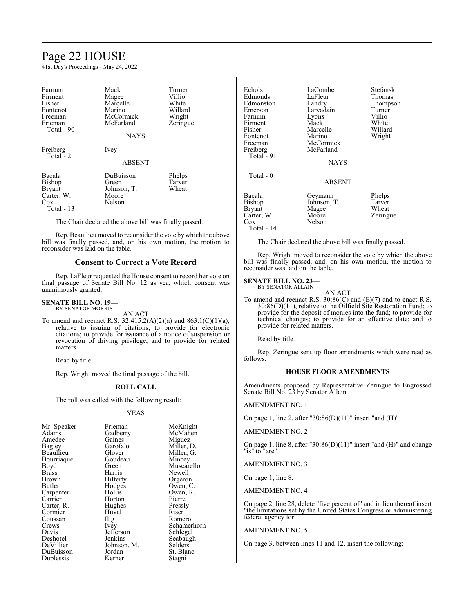### Page 22 HOUSE

41st Day's Proceedings - May 24, 2022

| Farnum<br>Firment<br>Fisher<br>Fontenot<br>Freeman<br>Frieman<br>Total - 90 | Mack<br>Magee<br>Marcelle<br>Marino<br>McCormick<br>McFarland<br><b>NAYS</b> | Turner<br>Villio<br>White<br>Willard<br>Wright<br>Zeringue |
|-----------------------------------------------------------------------------|------------------------------------------------------------------------------|------------------------------------------------------------|
| Freiberg<br>Total $-2$                                                      | Ivey<br><b>ABSENT</b>                                                        |                                                            |
| Bacala<br><b>Bishop</b><br><b>Bryant</b><br>Carter, W.<br>Cox<br>Total - 13 | DuBuisson<br>Green<br>Johnson, T.<br>Moore<br>Nelson                         | Phelps<br>Tarver<br>Wheat                                  |

The Chair declared the above bill was finally passed.

Rep. Beaullieu moved to reconsider the vote bywhich the above bill was finally passed, and, on his own motion, the motion to reconsider was laid on the table.

#### **Consent to Correct a Vote Record**

Rep. LaFleur requested the House consent to record her vote on final passage of Senate Bill No. 12 as yea, which consent was unanimously granted.

#### **SENATE BILL NO. 19—** BY SENATOR MORRIS

AN ACT

To amend and reenact R.S. 32:415.2(A)(2)(a) and 863.1(C)(1)(a), relative to issuing of citations; to provide for electronic citations; to provide for issuance of a notice of suspension or revocation of driving privilege; and to provide for related matters.

Read by title.

Rep. Wright moved the final passage of the bill.

#### **ROLL CALL**

The roll was called with the following result:

#### YEAS

| Mr. Speaker<br>Adams<br>Amedee<br><b>Bagley</b><br>Beaullieu<br>Bourriaque<br>Boyd<br>Brass<br>Brown<br>Butler<br>Carpenter<br>Carrier<br>Carter, R.<br>Cormier<br>Coussan<br>Crews<br>Davis<br>Deshotel<br>DeVillier | Frieman<br>Gadberry<br>Gaines<br>Garofalo<br>Glover<br>Goudeau<br>Green<br>Harris<br>Hilferty<br>Hodges<br>Hollis<br>Horton<br>Hughes<br>Huval<br>$\prod_{i=1}^{n}$<br>Ivey<br>Jefferson<br>Jenkins<br>Johnson, M. | McKnight<br>McMahen<br>Miguez<br>Miller, D.<br>Miller, G.<br>Mincey<br>Muscarello<br>Newell<br>Orgeron<br>Owen, C.<br>Owen, R.<br>Pierre<br>Pressly<br>Riser<br>Romero<br>Schamerhorn<br>Schlegel<br>Seabaugh<br>Selders |
|-----------------------------------------------------------------------------------------------------------------------------------------------------------------------------------------------------------------------|--------------------------------------------------------------------------------------------------------------------------------------------------------------------------------------------------------------------|--------------------------------------------------------------------------------------------------------------------------------------------------------------------------------------------------------------------------|
| DuBuisson                                                                                                                                                                                                             | Jordan                                                                                                                                                                                                             | St. Blanc                                                                                                                                                                                                                |
| Duplessis                                                                                                                                                                                                             | Kerner                                                                                                                                                                                                             | Stagni                                                                                                                                                                                                                   |

| Echols<br>Edmonds<br>Edmonston<br>Emerson<br>Farnum<br>Firment<br>Fisher<br>Fontenot<br>Freeman<br>Freiberg<br>Total - 91 | LaCombe<br>LaFleur<br>Landry<br>Larvadain<br>Lyons<br>Mack<br>Marcelle<br>Marino<br>McCormick<br>McFarland<br><b>NAYS</b> | Stefanski<br>Thomas<br>Thompson<br>Turner<br>Villio<br>White<br>Willard<br>Wright |
|---------------------------------------------------------------------------------------------------------------------------|---------------------------------------------------------------------------------------------------------------------------|-----------------------------------------------------------------------------------|
| Total - 0                                                                                                                 | <b>ABSENT</b>                                                                                                             |                                                                                   |
| Bacala<br>Bishop<br>Bryant<br>Carter, W.<br>Cox<br>Total - 14                                                             | Geymann<br>Johnson, T.<br>Magee<br>Moore<br>Nelson                                                                        | Phelps<br>Tarver<br>Wheat<br>Zeringue                                             |

The Chair declared the above bill was finally passed.

Rep. Wright moved to reconsider the vote by which the above bill was finally passed, and, on his own motion, the motion to reconsider was laid on the table.

#### **SENATE BILL NO. 23—**

BY SENATOR ALLAIN AN ACT

To amend and reenact R.S. 30:86(C) and (E)(7) and to enact R.S. 30:86(D)(11), relative to the Oilfield Site Restoration Fund; to provide for the deposit of monies into the fund; to provide for technical changes; to provide for an effective date; and to provide for related matters.

Read by title.

Rep. Zeringue sent up floor amendments which were read as follows:

#### **HOUSE FLOOR AMENDMENTS**

Amendments proposed by Representative Zeringue to Engrossed Senate Bill No. 23 by Senator Allain

#### AMENDMENT NO. 1

On page 1, line 2, after "30:86(D)(11)" insert "and (H)"

#### AMENDMENT NO. 2

On page 1, line 8, after "30:86(D)(11)" insert "and (H)" and change "is" to "are"

#### AMENDMENT NO. 3

On page 1, line 8,

#### AMENDMENT NO. 4

On page 2, line 28, delete "five percent of" and in lieu thereof insert "the limitations set by the United States Congress or administering federal agency for"

#### AMENDMENT NO. 5

On page 3, between lines 11 and 12, insert the following: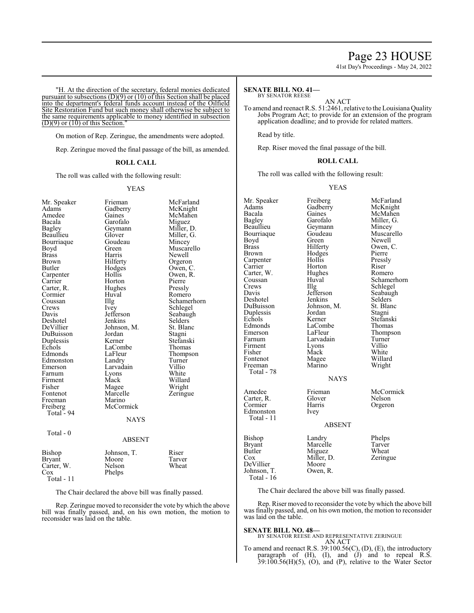41st Day's Proceedings - May 24, 2022

"H. At the direction of the secretary, federal monies dedicated pursuant to subsections (D)(9) or (10) of this Section shall be placed into the department's federal funds account instead of the Oilfield Site Restoration Fund but such money shall otherwise be subject to the same requirements applicable to money identified in subsection  $(D)(9)$  or  $(10)$  of this Section.

On motion of Rep. Zeringue, the amendments were adopted.

Rep. Zeringue moved the final passage of the bill, as amended.

#### **ROLL CALL**

The roll was called with the following result:

#### YEAS

| Mr. Speaker   | Frieman       | McFarland   |
|---------------|---------------|-------------|
| Adams         | Gadberry      | McKnight    |
| Amedee        | Gaines        | McMahen     |
| Bacala        | Garofalo      | Miguez      |
| <b>Bagley</b> | Geymann       | Miller, D.  |
| Beaullieu     | Glover        | Miller, G.  |
| Bourriaque    | Goudeau       | Mincey      |
| Boyd          | Green         | Muscarello  |
| <b>Brass</b>  | Harris        | Newell      |
| <b>Brown</b>  | Hilferty      | Orgeron     |
| Butler        | Hodges        | Owen, C.    |
| Carpenter     | Hollis        | Owen, R.    |
| Carrier       | Horton        | Pierre      |
| Carter, R.    | Hughes        | Pressly     |
| Cormier       | Huval         | Romero      |
| Coussan       | Illg          | Schamerhorn |
| Crews         | <i>lvey</i>   | Schlegel    |
| Davis         | Jefferson     | Seabaugh    |
| Deshotel      | Jenkins       | Selders     |
| DeVillier     | Johnson, M.   | St. Blanc   |
| DuBuisson     | Jordan        | Stagni      |
| Duplessis     | Kerner        | Stefanski   |
| Echols        | LaCombe       | Thomas      |
| Edmonds       | LaFleur       | Thompson    |
| Edmonston     | Landry        | Turner      |
| Emerson       | Larvadain     | Villio      |
| Farnum        | Lyons         | White       |
| Firment       | Mack          | Willard     |
| Fisher        | Magee         | Wright      |
| Fontenot      | Marcelle      | Zeringue    |
| Freeman       | Marino        |             |
| Freiberg      | McCormick     |             |
| Total - 94    |               |             |
|               | <b>NAYS</b>   |             |
| Total - 0     |               |             |
|               | <b>ABSENT</b> |             |
| Bishop        | Johnson, T.   | Riser       |
| <b>Bryant</b> | Moore         | Tarver      |
| Carter, W.    | Nelson        | Wheat       |
| Cox           | Phelps        |             |
| Total - 11    |               |             |
|               |               |             |

The Chair declared the above bill was finally passed.

Rep. Zeringue moved to reconsider the vote by which the above bill was finally passed, and, on his own motion, the motion to reconsider was laid on the table.

#### **SENATE BILL NO. 41—** BY SENATOR REESE

AN ACT

To amend and reenact R.S. 51:2461, relative to the Louisiana Quality Jobs Program Act; to provide for an extension of the program application deadline; and to provide for related matters.

Read by title.

Rep. Riser moved the final passage of the bill.

#### **ROLL CALL**

The roll was called with the following result:

#### YEAS

| Mr. Speaker<br>Adams<br>Bacala<br>Bagley<br>Beaullieu<br>Bourriaque<br>Boyd<br><b>Brass</b><br>Brown<br>Carpenter<br>Carrier<br>Carter, W.<br>Coussan<br>Crews<br>Davis<br>Deshotel<br>DuBuisson<br>Duplessis<br>Echols<br>Edmonds<br>Emerson<br>Farnum<br>Firment<br>Fisher<br>Fontenot<br>Freeman | Freiberg<br>Gadberry<br>Gaines<br>Garofalo<br>Geymann<br>Goudeau<br>Green<br>Hilferty<br>Hodges<br>Hollis<br>Horton<br>Hughes<br>Huval<br>Illg<br>Jefferson<br>Jenkins<br>Johnson, M.<br>Jordan<br>Kerner<br>LaCombe<br>LaFleur<br>Larvadain<br>Lyons<br>Mack<br>Magee<br>Marino | McFarland<br>McKnight<br>McMahen<br>Miller, G.<br>Mincey<br>Muscarello<br>Newell<br>Owen, C.<br>Pierre<br>Pressly<br>Riser<br>Romero<br>Schamerhorn<br>Schlegel<br>Seabaugh<br>Selders<br>St. Blanc<br>Stagni<br>Stefanski<br>Thomas<br>Thompson<br>Turner<br>Villio<br>White<br>Willard<br>Wright |
|-----------------------------------------------------------------------------------------------------------------------------------------------------------------------------------------------------------------------------------------------------------------------------------------------------|----------------------------------------------------------------------------------------------------------------------------------------------------------------------------------------------------------------------------------------------------------------------------------|----------------------------------------------------------------------------------------------------------------------------------------------------------------------------------------------------------------------------------------------------------------------------------------------------|
| Total - 78                                                                                                                                                                                                                                                                                          | <b>NAYS</b>                                                                                                                                                                                                                                                                      |                                                                                                                                                                                                                                                                                                    |
| Amedee<br>Carter, R.<br>Cormier<br>Edmonston<br>Total - 11                                                                                                                                                                                                                                          | Frieman<br>Glover<br>Harris<br>Ivey<br><b>ABSENT</b>                                                                                                                                                                                                                             | McCormick<br>Nelson<br>Orgeron                                                                                                                                                                                                                                                                     |
| Bishop<br><b>Bryant</b><br>Butler<br>$\cos$<br>DeVillier<br>Johnson, T.<br>Total - 16                                                                                                                                                                                                               | Landry<br>Marcelle<br>Miguez<br>Miller, D.<br>Moore<br>Owen, R.                                                                                                                                                                                                                  | Phelps<br>Tarver<br>Wheat<br>Zeringue                                                                                                                                                                                                                                                              |

The Chair declared the above bill was finally passed.

Rep. Riser moved to reconsider the vote by which the above bill was finally passed, and, on his own motion, the motion to reconsider was laid on the table.

#### **SENATE BILL NO. 48—**

BY SENATOR REESE AND REPRESENTATIVE ZERINGUE AN ACT

To amend and reenact R.S. 39:100.56(C), (D), (E), the introductory paragraph of (H), (I), and (J) and to repeal R.S. 39:100.56(H)(5), (O), and (P), relative to the Water Sector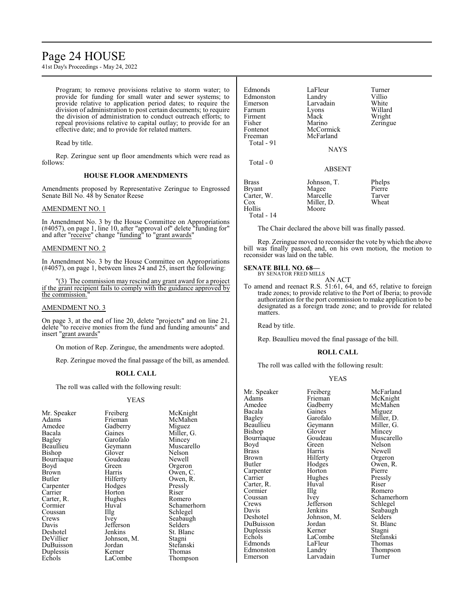### Page 24 HOUSE

41st Day's Proceedings - May 24, 2022

Program; to remove provisions relative to storm water; to provide for funding for small water and sewer systems; to provide relative to application period dates; to require the division of administration to post certain documents; to require the division of administration to conduct outreach efforts; to repeal provisions relative to capital outlay; to provide for an effective date; and to provide for related matters.

Read by title.

Rep. Zeringue sent up floor amendments which were read as follows:

#### **HOUSE FLOOR AMENDMENTS**

Amendments proposed by Representative Zeringue to Engrossed Senate Bill No. 48 by Senator Reese

#### AMENDMENT NO. 1

In Amendment No. 3 by the House Committee on Appropriations (#4057), on page 1, line 10, after "approval of" delete "funding for" and after "receive" change "funding" to "grant awards"

#### AMENDMENT NO. 2

In Amendment No. 3 by the House Committee on Appropriations (#4057), on page 1, between lines 24 and 25, insert the following:

"(3) The commission may rescind any grant award for a project if the grant recipient fails to comply with the guidance approved by the commission."

#### AMENDMENT NO. 3

On page 3, at the end of line 20, delete "projects" and on line 21, delete "to receive monies from the fund and funding amounts" and insert "grant awards"

On motion of Rep. Zeringue, the amendments were adopted.

Rep. Zeringue moved the final passage of the bill, as amended.

#### **ROLL CALL**

The roll was called with the following result:

Gadberry<br>Gaines

#### YEAS

| NIT. Speaker          |
|-----------------------|
| Adams                 |
| Amedee                |
| Bacala                |
| <b>Bagley</b>         |
| Beaullieu             |
| Bishop                |
| Bourriaque            |
| Boyd                  |
| <b>Brown</b>          |
| <b>Butler</b>         |
| Carpenter             |
| Carrier               |
|                       |
| Carter, R.<br>Cormier |
| Coussan               |
| Crews                 |
| Davis                 |
| Deshotel              |
| DeVillier             |
| DuBuisson             |
| Duplessis             |
| Echols                |
|                       |

Garofalo<br>Geymann Glover Nelson<br>Goudeau Newell Goudeau<br>Green Green Orgeron<br>Harris Owen, C Harris Owen, C.<br>Hilferty Owen, R. Hodges Pressl<br>
Horton Riser Horton Riser<br>
Hughes Romero Hughes<br>Huval Huval Schamerhorn<br>Illg Schlegel Illg Schlegel<br>Ivey Seabaugl Jefferson<br>Jenkins Johnson, M.<br>Jordan Jordan Stefanski<br>Kerner Thomas Kerner Thomas<br>LaCombe Thomps

er Speaker Freiberg – McKnight<br>Ams – Frieman – McMahen McMahen<br>Miguez Miller, G.<br>Mincev Muscarello<br>Nelson Owen, R.<br>Pressly Seabaugh<br>Selders St. Blanc<br>Stagni Thompson

| Edmonds<br>Edmonston<br>Emerson<br>Farnum<br>Firment<br>Fisher<br>Fontenot<br>Freeman<br>Total - 91 | LaFleur<br>Landry<br>Larvadain<br>Lyons<br>Mack<br>Marino<br>McCormick<br>McFarland<br><b>NAYS</b> | Turner<br>Villio<br>White<br>Willard<br>Wright<br>Zeringue |
|-----------------------------------------------------------------------------------------------------|----------------------------------------------------------------------------------------------------|------------------------------------------------------------|
| Total - 0                                                                                           | <b>ABSENT</b>                                                                                      |                                                            |
| <b>Brass</b><br><b>Bryant</b><br>Carter, W.<br>Cox<br>Hollis<br>Total - 14                          | Johnson, T.<br>Magee<br>Marcelle<br>Miller, D.<br>Moore                                            | Phelps<br>Pierre<br>Tarver<br>Wheat                        |

The Chair declared the above bill was finally passed.

Rep. Zeringue moved to reconsider the vote by which the above bill was finally passed, and, on his own motion, the motion to reconsider was laid on the table.

#### **SENATE BILL NO. 68—** BY SENATOR FRED MILLS

AN ACT

To amend and reenact R.S. 51:61, 64, and 65, relative to foreign trade zones; to provide relative to the Port of Iberia; to provide authorization for the port commission to make application to be designated as a foreign trade zone; and to provide for related matters.

Read by title.

Rep. Beaullieu moved the final passage of the bill.

#### **ROLL CALL**

The roll was called with the following result:

#### YEAS

| Mr. Speaker   | Freiberg    | McFarland   |
|---------------|-------------|-------------|
| Adams         | Frieman     | McKnight    |
| Amedee        | Gadberry    | McMahen     |
| Bacala        | Gaines      | Miguez      |
| <b>Bagley</b> | Garofalo    | Miller, D.  |
| Beaullieu     | Geymann     | Miller, G.  |
| Bishop        | Glover      | Mincey      |
| Bourriaque    | Goudeau     | Muscarello  |
| Boyd          | Green       | Nelson      |
| Brass         | Harris      | Newell      |
| Brown         | Hilferty    | Orgeron     |
| Butler        | Hodges      | Owen, R.    |
| Carpenter     | Horton      | Pierre      |
| Carrier       | Hughes      | Pressly     |
| Carter, R.    | Huval       | Riser       |
| Cormier       | Illg        | Romero      |
| Coussan       | Ivey        | Schamerhorn |
| Crews         | Jefferson   | Schlegel    |
| Davis         | Jenkins     | Seabaugh    |
| Deshotel      | Johnson, M. | Selders     |
| DuBuisson     | Jordan      | St. Blanc   |
| Duplessis     | Kerner      | Stagni      |
| Echols        | LaCombe     | Stefanski   |
| Edmonds       | LaFleur     | Thomas      |
| Edmonston     | Landry      | Thompson    |
| Emerson       | Larvadain   | Turner      |
|               |             |             |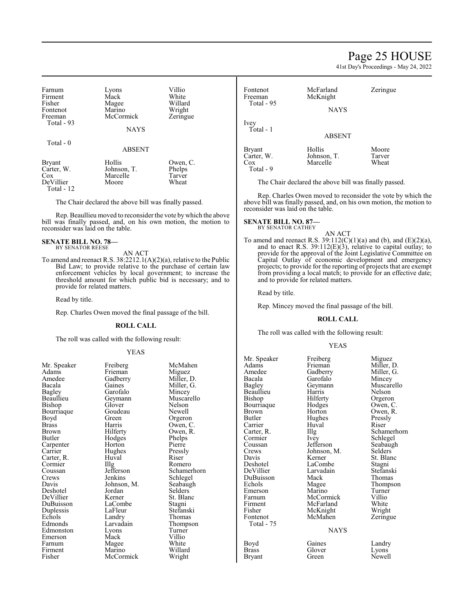### Page 25 HOUSE

41st Day's Proceedings - May 24, 2022

| Farnum        | Lyons         | Villio   |
|---------------|---------------|----------|
| Firment       | Mack          | White    |
| Fisher        | Magee         | Willard  |
| Fontenot      | Marino        | Wright   |
| Freeman       | McCormick     | Zeringue |
| Total - 93    |               |          |
|               | <b>NAYS</b>   |          |
| Total - 0     |               |          |
|               | <b>ABSENT</b> |          |
| <b>Bryant</b> | Hollis        | Owen, C. |
| Carter, W.    | Johnson, T.   | Phelps   |
| Cox           | Marcelle      | Tarver   |
| DeVillier     | Moore         | Wheat    |

Total - 12

The Chair declared the above bill was finally passed.

Rep. Beaullieu moved to reconsider the vote bywhich the above bill was finally passed, and, on his own motion, the motion to reconsider was laid on the table.

## **SENATE BILL NO. 78—** BY SENATOR REESE

AN ACT

To amend and reenact R.S. 38:2212.1(A)(2)(a), relative to the Public Bid Law; to provide relative to the purchase of certain law enforcement vehicles by local government; to increase the threshold amount for which public bid is necessary; and to provide for related matters.

Read by title.

Rep. Charles Owen moved the final passage of the bill.

#### **ROLL CALL**

The roll was called with the following result:

#### YEAS

| NIT. Speaker  | <b>rrepretion</b> | <b>NICIVIA</b> |
|---------------|-------------------|----------------|
| Adams         | Frieman           | Migue.         |
| Amedee        | Gadberry          | Miller,        |
| Bacala        | Gaines            | Miller,        |
| <b>Bagley</b> | Garofalo          | Mincey         |
| Beaullieu     | Geymann           | Musca          |
| Bishop        | Glover            | Nelson         |
| Bourriaque    | Goudeau           | Newell         |
| Boyd          | Green             | Orgero         |
| <b>Brass</b>  | Harris            | Owen,          |
| Brown         | Hilferty          | Owen,          |
| Butler        | Hodges            | Phelps         |
| Carpenter     | Horton            | Pierre         |
| Carrier       | Hughes            | Pressly        |
| Carter, R.    | Huval             | Riser          |
| Cormier       | Illg              | Romer          |
| Coussan       | Jefferson         | Scham          |
| Crews         | Jenkins           | Schleg         |
| Davis         | Johnson, M.       | Seabau         |
| Deshotel      | Jordan            | Selder:        |
| DeVillier     | Kerner            | St. Bla        |
| DuBuisson     | LaCombe           | Stagni         |
| Duplessis     | LaFleur           | <b>Stefans</b> |
| Echols        | Landry            | Thoma          |
| Edmonds       | Larvadain         | Thomp          |
| Edmonston     | Lyons             | Turner         |
| Emerson       | Mack              | Villio         |
| Farnum        | Magee             | White          |
| Firment       | Marino            | Willard        |
| Fisher        | McCormick         | Wright         |

Frieman<br>Gadberry Gadberry Miller, D.<br>Gaines Miller, G. Garofalo<br>Geymann Geymann Muscarello<br>Glover Nelson Goudeau<br>Green Green Orgeron<br>Harris Owen, C Harris Owen, C.<br>Hilferty Owen, R. Hodges Phelps<br>
Horton Pierre Horton Pierre<br>Hughes Pressly Hughes Pressl<br>Huval Riser Huval<br>Illg Illg Romero<br>Jefferson Schamer Johnson, M. Seabaug<br>Jordan Selders Jordan<br>Kerner LaCombe<br>LaFleur LaFleur Stefanski<br>Landry Thomas Landry Thomas<br>Larvadain Thomps Larvadain Thompson<br>Lyons Turner Mack Villio<br>
Mage White Magee Marino Willard<br>
McCormick Wright McCormick

Mr. Speaker Freiberg McMahen<br>Adams Frieman Miguez Miller, G.<br>Mincey Nelson<br>Newell Owen, R.<br>Phelps Jefferson Schamerhorn<br>Jenkins Schlegel Schlegel<br>Seabaugh St. Blanc<br>Stagni

| Fontenot<br>Freeman<br>Total - 95     | McFarland<br>McKnight<br><b>NAYS</b> | Zeringue                 |
|---------------------------------------|--------------------------------------|--------------------------|
| Ivey<br>Total - 1                     | <b>ABSENT</b>                        |                          |
| <b>Bryant</b><br>Carter, W.<br>$\cos$ | Hollis<br>Johnson, T.<br>Marcelle    | Moore<br>Tarver<br>Wheat |

The Chair declared the above bill was finally passed.

Rep. Charles Owen moved to reconsider the vote by which the above bill was finally passed, and, on his own motion, the motion to reconsider was laid on the table.

### **SENATE BILL NO. 87—**<br>BY SENATOR CATHEY

Total - 9

AN ACT

To amend and reenact R.S.  $39:112(C)(1)(a)$  and (b), and (E)(2)(a), and to enact R.S. 39:112(E)(3), relative to capital outlay; to provide for the approval of the Joint Legislative Committee on Capital Outlay of economic development and emergency projects; to provide for the reporting of projects that are exempt from providing a local match; to provide for an effective date; and to provide for related matters.

Read by title.

Rep. Mincey moved the final passage of the bill.

#### **ROLL CALL**

The roll was called with the following result:

#### YEAS

| Mr. Speaker<br>Adams<br>Amedee<br>Bacala<br><b>Bagley</b> | Freiberg<br>Frieman<br>Gadberry<br>Garofalo<br>Geymann | Miguez<br>Miller, D.<br>Miller, G.<br>Mincey<br>Muscarello |
|-----------------------------------------------------------|--------------------------------------------------------|------------------------------------------------------------|
| Beaullieu                                                 | Harris                                                 | Nelson                                                     |
| Bishop                                                    | Hilferty                                               | Orgeron                                                    |
| Bourriaque                                                | Hodges                                                 | Owen, C.                                                   |
| Brown                                                     | Horton                                                 | Owen, R.                                                   |
| Butler                                                    | Hughes                                                 | Pressly                                                    |
| Carrier                                                   | Huval                                                  | Riser                                                      |
| Carter, R.                                                | Illg                                                   | Schamerho                                                  |
| Cormier                                                   | Ivey                                                   | Schlegel                                                   |
| Coussan                                                   | Jefferson                                              | Seabaugh                                                   |
| Crews                                                     | Johnson, M.                                            | Selders                                                    |
| Davis                                                     | Kerner                                                 | St. Blanc                                                  |
| Deshotel                                                  | LaCombe                                                | Stagni                                                     |
| DeVillier                                                 | Larvadain                                              | Stefanski                                                  |
| DuBuisson                                                 | Mack                                                   | Thomas                                                     |
| Echols                                                    | Magee                                                  | Thompson                                                   |
| Emerson                                                   | Marino                                                 | Turner                                                     |
| Farnum                                                    | McCormick                                              | Villio                                                     |
| Firment                                                   | McFarland                                              | White                                                      |
| Fisher                                                    | McKnight                                               | Wright                                                     |
| Fontenot                                                  | McMahen                                                | Zeringue                                                   |
| Total - 75                                                |                                                        |                                                            |
|                                                           | <b>NAYS</b>                                            |                                                            |
| Boyd                                                      | Gaines                                                 | Landry                                                     |
| Brass                                                     | Glover                                                 | Lyons                                                      |
| Bryant                                                    | Green                                                  | Newell                                                     |

Schamerhorn Ivey Schlegel<br>Jefferson Seabaugl Seabaugh<br>Selders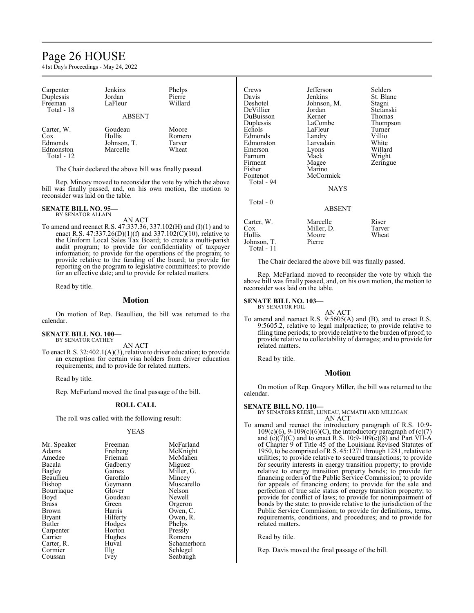### Page 26 HOUSE

41st Day's Proceedings - May 24, 2022

| Carpenter<br>Duplessis<br>Freeman<br>Total - 18            | Jenkins<br>Jordan<br>LaFleur                 | Phelps<br>Pierre<br>Willard        |
|------------------------------------------------------------|----------------------------------------------|------------------------------------|
|                                                            | <b>ABSENT</b>                                |                                    |
| Carter, W.<br>$\cos$<br>Edmonds<br>Edmonston<br>Total - 12 | Goudeau<br>Hollis<br>Johnson, T.<br>Marcelle | Moore<br>Romero<br>Tarver<br>Wheat |

The Chair declared the above bill was finally passed.

Rep. Mincey moved to reconsider the vote by which the above bill was finally passed, and, on his own motion, the motion to reconsider was laid on the table.

### **SENATE BILL NO. 95—** BY SENATOR ALLAIN

AN ACT

To amend and reenact R.S. 47:337.36, 337.102(H) and (I)(1) and to enact R.S. 47:337.26(D)(1)(f) and 337.102(C)(10), relative to the Uniform Local Sales Tax Board; to create a multi-parish audit program; to provide for confidentiality of taxpayer information; to provide for the operations of the program; to provide relative to the funding of the board; to provide for reporting on the program to legislative committees; to provide for an effective date; and to provide for related matters.

Read by title.

#### **Motion**

On motion of Rep. Beaullieu, the bill was returned to the calendar.

#### **SENATE BILL NO. 100—** BY SENATOR CATHEY

AN ACT

To enact R.S. 32:402.1(A)(3), relative to driver education; to provide an exemption for certain visa holders from driver education requirements; and to provide for related matters.

Read by title.

Rep. McFarland moved the final passage of the bill.

#### **ROLL CALL**

The roll was called with the following result:

#### YEAS

| Mr. Speaker<br>Adams<br>Amedee<br>Bacala<br>Bagley<br>Beaullieu | Freeman<br>Freiberg<br>Frieman<br>Gadberry<br>Gaines<br>Garofalo | McFarland<br>McKnight<br>McMahen<br>Miguez<br>Miller, G.<br>Mincey<br>Muscarello |
|-----------------------------------------------------------------|------------------------------------------------------------------|----------------------------------------------------------------------------------|
| Bishop<br>Bourriaque                                            | Geymann<br>Glover                                                | Nelson                                                                           |
| Boyd                                                            | Goudeau                                                          | Newell                                                                           |
| <b>Brass</b>                                                    | Green                                                            | Orgeron                                                                          |
| Brown                                                           | Harris                                                           | Owen, C.                                                                         |
| <b>Bryant</b>                                                   | Hilferty                                                         | Owen, R.                                                                         |
| Butler                                                          | Hodges                                                           | Phelps                                                                           |
| Carpenter                                                       | Horton                                                           | Pressly                                                                          |
| Carrier                                                         | Hughes                                                           | Romero                                                                           |
| Carter, R.                                                      | Huval                                                            | Schamerhorn                                                                      |
| Cormier                                                         | Illg                                                             | Schlegel                                                                         |
| Coussan                                                         | Ivey                                                             | Seabaugh                                                                         |

| Crews       | Jefferson   | Selders   |
|-------------|-------------|-----------|
| Davis       | Jenkins     | St. Blanc |
| Deshotel    | Johnson, M. | Stagni    |
| DeVillier   | Jordan      | Stefanski |
| DuBuisson   | Kerner      | Thomas    |
| Duplessis   | LaCombe     | Thompson  |
| Echols      | LaFleur     | Turner    |
| Edmonds     | Landry      | Villio    |
| Edmonston   | Larvadain   | White     |
| Emerson     | Lyons       | Willard   |
| Farnum      | Mack        | Wright    |
| Firment     | Magee       | Zeringue  |
| Fisher      | Marino      |           |
| Fontenot    | McCormick   |           |
| Total - 94  |             |           |
|             | <b>NAYS</b> |           |
|             |             |           |
| Total $-0$  |             |           |
|             | ABSENT      |           |
| Carter, W.  | Marcelle    | Riser     |
| $\cos$      | Miller, D.  | Tarver    |
| Hollis      | Moore       | Wheat     |
| Johnson, T. | Pierre      |           |
| Total - 11  |             |           |

The Chair declared the above bill was finally passed.

Rep. McFarland moved to reconsider the vote by which the above bill was finally passed, and, on his own motion, the motion to reconsider was laid on the table.

#### **SENATE BILL NO. 103—** BY SENATOR FOIL

AN ACT

To amend and reenact R.S. 9:5605(A) and (B), and to enact R.S. 9:5605.2, relative to legal malpractice; to provide relative to filing time periods; to provide relative to the burden of proof; to provide relative to collectability of damages; and to provide for related matters.

Read by title.

#### **Motion**

On motion of Rep. Gregory Miller, the bill was returned to the calendar.

#### **SENATE BILL NO. 110—**

BY SENATORS REESE, LUNEAU, MCMATH AND MILLIGAN AN ACT

To amend and reenact the introductory paragraph of R.S. 10:9-  $109(c)(6)$ ,  $9-109(c)(6)(C)$ , the introductory paragraph of  $(c)(7)$ and  $(c)(7)(C)$  and to enact R.S. 10:9-109 $(c)(8)$  and Part VII-A of Chapter 9 of Title 45 of the Louisiana Revised Statutes of 1950, to be comprised ofR.S. 45:1271 through 1281, relative to utilities; to provide relative to secured transactions; to provide for security interests in energy transition property; to provide relative to energy transition property bonds; to provide for financing orders of the Public Service Commission; to provide for appeals of financing orders; to provide for the sale and perfection of true sale status of energy transition property; to provide for conflict of laws; to provide for nonimpairment of bonds by the state; to provide relative to the jurisdiction of the Public Service Commission; to provide for definitions, terms, requirements, conditions, and procedures; and to provide for related matters.

Read by title.

Rep. Davis moved the final passage of the bill.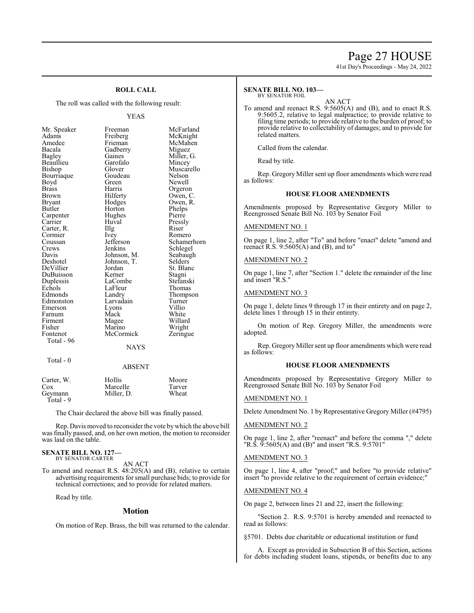## Page 27 HOUSE

41st Day's Proceedings - May 24, 2022

### **ROLL CALL**

The roll was called with the following result:

#### YEAS

| Mr. Speaker  | Freeman       | McFarland   |
|--------------|---------------|-------------|
| Adams        | Freiberg      | McKnight    |
| Amedee       | Frieman       | McMahen     |
| Bacala       | Gadberry      | Miguez      |
| Bagley       | Gaines        | Miller, G.  |
| Beaullieu    | Garofalo      | Mincey      |
| Bishop       | Glover        | Muscarello  |
| Bourriaque   | Goudeau       | Nelson      |
| Boyd         | Green         | Newell      |
| <b>Brass</b> | Harris        | Orgeron     |
| Brown        | Hilferty      | Owen, C.    |
| Bryant       | Hodges        | Owen, R.    |
| Butler       | Horton        | Phelps      |
| Carpenter    | Hughes        | Pierre      |
| Carrier      | Huval         | Pressly     |
| Carter, R.   | Illg          | Riser       |
| Cormier      | Ivey          | Romero      |
| Coussan      | Jefferson     | Schamerhorn |
| Crews        | Jenkins       | Schlegel    |
| Davis        | Johnson, M.   | Seabaugh    |
| Deshotel     | Johnson, T.   | Selders     |
| DeVillier    | Jordan        | St. Blanc   |
| DuBuisson    | Kerner        | Stagni      |
| Duplessis    | LaCombe       | Stefanski   |
| Echols       | LaFleur       | Thomas      |
| Edmonds      | Landry        | Thompson    |
| Edmonston    | Larvadain     | Turner      |
| Emerson      | Lyons         | Villio      |
| Farnum       | Mack          | White       |
| Firment      | Magee         | Willard     |
| Fisher       | Marino        | Wright      |
| Fontenot     | McCormick     | Zeringue    |
| Total - 96   |               |             |
|              | <b>NAYS</b>   |             |
| Total - 0    |               |             |
|              | <b>ABSENT</b> |             |
|              |               |             |

| Carter, W. | Hollis     | Moore  |
|------------|------------|--------|
| Cox        | Marcelle   | Tarver |
| Geymann    | Miller, D. | Wheat  |
| Total - 9  |            |        |

The Chair declared the above bill was finally passed.

Rep. Davis moved to reconsider the vote by which the above bill was finally passed, and, on her own motion, the motion to reconsider was laid on the table.

#### **SENATE BILL NO. 127—** BY SENATOR CARTER

AN ACT

To amend and reenact R.S. 48:205(A) and (B), relative to certain advertising requirements forsmall purchase bids; to provide for technical corrections; and to provide for related matters.

Read by title.

#### **Motion**

On motion of Rep. Brass, the bill was returned to the calendar.

#### **SENATE BILL NO. 103—** BY SENATOR FOIL

AN ACT

To amend and reenact R.S. 9:5605(A) and (B), and to enact R.S. 9:5605.2, relative to legal malpractice; to provide relative to filing time periods; to provide relative to the burden of proof; to provide relative to collectability of damages; and to provide for related matters.

Called from the calendar.

Read by title.

Rep. Gregory Miller sent up floor amendments which were read as follows:

#### **HOUSE FLOOR AMENDMENTS**

Amendments proposed by Representative Gregory Miller to Reengrossed Senate Bill No. 103 by Senator Foil

#### AMENDMENT NO. 1

On page 1, line 2, after "To" and before "enact" delete "amend and reenact R.S.  $9:5605(A)$  and (B), and to"

#### AMENDMENT NO. 2

On page 1, line 7, after "Section 1." delete the remainder of the line and insert "R.S."

#### AMENDMENT NO. 3

On page 1, delete lines 9 through 17 in their entirety and on page 2, delete lines 1 through 15 in their entirety.

On motion of Rep. Gregory Miller, the amendments were adopted.

Rep. Gregory Miller sent up floor amendments which were read as follows:

#### **HOUSE FLOOR AMENDMENTS**

Amendments proposed by Representative Gregory Miller to Reengrossed Senate Bill No. 103 by Senator Foil

#### AMENDMENT NO. 1

Delete Amendment No. 1 by Representative Gregory Miller (#4795)

#### AMENDMENT NO. 2

On page 1, line 2, after "reenact" and before the comma "," delete "R.S. 9:5605(A) and (B)" and insert "R.S. 9:5701"

#### AMENDMENT NO. 3

On page 1, line 4, after "proof;" and before "to provide relative" insert "to provide relative to the requirement of certain evidence;"

#### AMENDMENT NO. 4

On page 2, between lines 21 and 22, insert the following:

"Section 2. R.S. 9:5701 is hereby amended and reenacted to read as follows:

§5701. Debts due charitable or educational institution or fund

A. Except as provided in Subsection B of this Section, actions for debts including student loans, stipends, or benefits due to any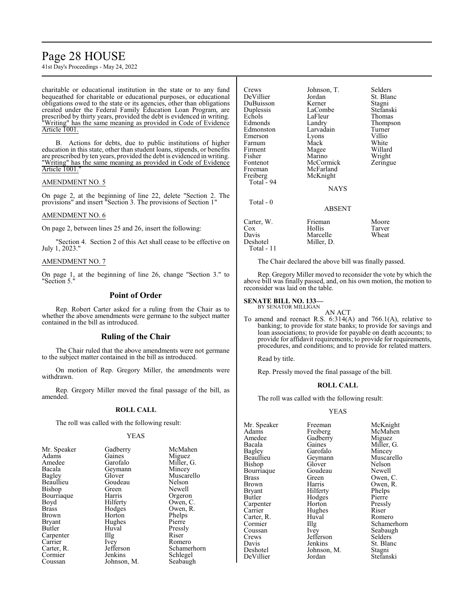### Page 28 HOUSE

41st Day's Proceedings - May 24, 2022

charitable or educational institution in the state or to any fund bequeathed for charitable or educational purposes, or educational obligations owed to the state or its agencies, other than obligations created under the Federal Family Education Loan Program, are prescribed by thirty years, provided the debt is evidenced in writing. "Writing" has the same meaning as provided in Code of Evidence Article 1001.

B. Actions for debts, due to public institutions of higher education in this state, other than student loans, stipends, or benefits are prescribed by ten years, provided the debt is evidenced in writing. "Writing" has the same meaning as provided in Code of Evidence Article 1001.

#### AMENDMENT NO. 5

On page 2, at the beginning of line 22, delete "Section 2. The provisions" and insert "Section 3. The provisions of Section 1"

#### AMENDMENT NO. 6

On page 2, between lines 25 and 26, insert the following:

"Section 4. Section 2 of this Act shall cease to be effective on July 1, 2023."

#### AMENDMENT NO. 7

On page 1, at the beginning of line 26, change "Section 3." to "Section 5."

#### **Point of Order**

Rep. Robert Carter asked for a ruling from the Chair as to whether the above amendments were germane to the subject matter contained in the bill as introduced.

### **Ruling of the Chair**

The Chair ruled that the above amendments were not germane to the subject matter contained in the bill as introduced.

On motion of Rep. Gregory Miller, the amendments were withdrawn.

Rep. Gregory Miller moved the final passage of the bill, as amended.

#### **ROLL CALL**

The roll was called with the following result:

#### YEAS

| Mr. Speaker  | Gadberry    | McMal   |
|--------------|-------------|---------|
| Adams        | Gaines      | Miguez  |
| Amedee       | Garofalo    | Miller, |
| Bacala       | Geymann     | Mincey  |
| Bagley       | Glover      | Muscar  |
| Beaullieu    | Goudeau     | Nelson  |
| Bishop       | Green       | Newell  |
| Bourriaque   | Harris      | Orgero  |
| Boyd         | Hilferty    | Owen,   |
| <b>Brass</b> | Hodges      | Owen,   |
| Brown        | Horton      | Phelps  |
| Bryant       | Hughes      | Pierre  |
| Butler       | Huval       | Pressly |
| Carpenter    | $\prod$ llg | Riser   |
| Carrier      | Ivey        | Romer   |
| Carter, R.   | Jefferson   | Scham   |
| Cormier      | Jenkins     | Schlege |
| Coussan      | Johnson, M. | Seabau  |
|              |             |         |

McMahen **Miguez** Miller, G. Mincey Muscarello Nelson<br>Newell Orgeron Owen, C. Owen, R. Phelps<br>Pierre Pressly<br>Riser Romero Schamerhorn Schlegel Seabaugh

| Crews      | Johnson, T. | Selders   |
|------------|-------------|-----------|
| DeVillier  | Jordan      | St. Blanc |
| DuBuisson  | Kerner      | Stagni    |
| Duplessis  | LaCombe     | Stefanski |
| Echols     | LaFleur     | Thomas    |
| Edmonds    | Landry      | Thompson  |
| Edmonston  | Larvadain   | Turner    |
| Emerson    | Lyons       | Villio    |
| Farnum     | Mack        | White     |
| Firment    | Magee       | Willard   |
| Fisher     | Marino      | Wright    |
| Fontenot   | McCormick   | Zeringue  |
| Freeman    | McFarland   |           |
| Freiberg   | McKnight    |           |
| Total - 94 |             |           |
|            | NAYS        |           |
| Total - 0  |             |           |
|            | ABSENT      |           |
| Carter, W. | Frieman     | Moore     |
| Cox        | Hollis      | Tarver    |
| Davis      | Marcelle    | Wheat     |
| Deshotel   | Miller, D.  |           |
| Total - 11 |             |           |

The Chair declared the above bill was finally passed.

Rep. Gregory Miller moved to reconsider the vote by which the above bill was finally passed, and, on his own motion, the motion to reconsider was laid on the table.

#### **SENATE BILL NO. 133—**

BY SENATOR MILLIGAN AN ACT

To amend and reenact R.S. 6:314(A) and 766.1(A), relative to banking; to provide for state banks; to provide for savings and loan associations; to provide for payable on death accounts; to provide for affidavit requirements; to provide for requirements, procedures, and conditions; and to provide for related matters.

Read by title.

Rep. Pressly moved the final passage of the bill.

#### **ROLL CALL**

The roll was called with the following result:

#### YEAS

Mr. Speaker Freeman McKnight<br>
Adams Freiberg McMahen Adams Freiberg McMahen<br>Amedee Gadberry Miguez Amedee Gadberry<br>Bacala Gaines Bacala Gaines Miller, G. Bagley Garofalo<br>Beaullieu Geymann Bishop Glover Nelson<br>Bourriaque Goudeau Newell Bourriaque Goude<br>Brass Green Brass Green Owen, C.<br>Brown Harris Owen, R. Brown Harris Owen, R.<br>Bryant Hilferty Phelps Bryant Hilferty Phelps<br>Butler Hodges Pierre Carpenter Horton Press<br>
Carrier Hughes Riser Carter, R.<br>Cormier Coussan Ivey Seabaugh<br>Crews Jefferson Selders Crews Jefferson<br>Davis Jenkins Davis Jenkins St. Blanc<br>Deshotel Johnson, M. Stagni Deshotel Johnson, M. Stagni<br>DeVillier Jordan Stefan:

Hodges Pierre<br>
Horton Pressly Hughes Riser<br>Huval Romero

Geymann Muscarello<br>Glover Nelson Cormier Illg Schamerhorn<br>
Coussan Ivev Seabaugh Stefanski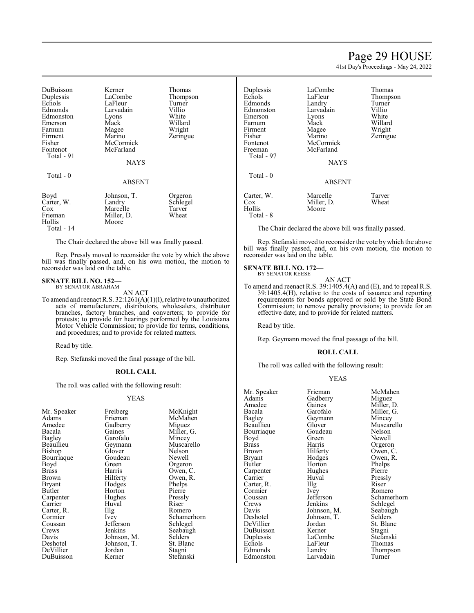### Page 29 HOUSE

41st Day's Proceedings - May 24, 2022

Thomas Thompson Turner<br>Villio

Willard Wright Zeringue

Tarver Wheat

| DuBuisson  | Kerner      | Thomas   |
|------------|-------------|----------|
| Duplessis  | LaCombe     | Thompson |
| Echols     | LaFleur     | Turner   |
| Edmonds    | Larvadain   | Villio   |
| Edmonston  | Lyons       | White    |
| Emerson    | Mack        | Willard  |
| Farnum     | Magee       | Wright   |
| Firment    | Marino      | Zeringue |
| Fisher     | McCormick   |          |
| Fontenot   | McFarland   |          |
| Total - 91 |             |          |
|            | <b>NAYS</b> |          |
|            |             |          |
| Total $-0$ |             |          |
|            | ABSENT      |          |
| Boyd       | Johnson, T. | Orgeron  |
| Carter, W. | Landry      | Schlegel |
| Cox        | Marcelle    | Tarver   |
| Frieman    | Miller, D.  | Wheat    |
| Hollis     | Moore       |          |
|            |             |          |

Total - 14

The Chair declared the above bill was finally passed.

Rep. Pressly moved to reconsider the vote by which the above bill was finally passed, and, on his own motion, the motion to reconsider was laid on the table.

#### **SENATE BILL NO. 152—**

BY SENATOR ABRAHAM AN ACT

To amend and reenact R.S. 32:1261(A)(1)(l), relative to unauthorized acts of manufacturers, distributors, wholesalers, distributor branches, factory branches, and converters; to provide for protests; to provide for hearings performed by the Louisiana Motor Vehicle Commission; to provide for terms, conditions, and procedures; and to provide for related matters.

Read by title.

Rep. Stefanski moved the final passage of the bill.

#### **ROLL CALL**

The roll was called with the following result:

#### YEAS

| Mr. Speaker   | Freiberg          | McKn    |
|---------------|-------------------|---------|
| Adams         | Frieman           | McMa    |
| Amedee        | Gadberry          | Migue   |
| Bacala        | Gaines            | Miller  |
| <b>Bagley</b> | Garofalo          | Mince   |
| Beaullieu     | Geymann           | Musca   |
| Bishop        | Glover            | Nelson  |
| Bourriaque    | Goudeau           | Newel   |
| Boyd          | Green             | Orgero  |
| <b>Brass</b>  | Harris            | Owen,   |
| Brown         | Hilferty          | Owen,   |
| <b>Bryant</b> | Hodges            | Phelps  |
| Butler        | Horton            | Pierre  |
| Carpenter     | Hughes            | Pressl  |
| Carrier       | Huval             | Riser   |
| Carter, R.    | $\prod_{i=1}^{n}$ | Romer   |
| Cormier       | Ivey              | Schan   |
| Coussan       | Jefferson         | Schleg  |
| Crews         | Jenkins           | Seabai  |
| Davis         | Johnson, M.       | Selder  |
| Deshotel      | Johnson, T.       | St. Bla |
| DeVillier     | Jordan            | Stagni  |
| DuBuisson     | Kerner            | Stefan  |

Freiberg McKnight<br>Frieman McMahen McMahen<br>Miguez Miller, G.<br>Mincey Muscarello<br>Nelson Glover Nelson<br>Goudeau Newell Green Orgeron<br>Harris Owen, C Harris Owen, C.<br>Hilferty Owen, R. Owen, R.<br>Phelps Hodges Phelps<br>Horton Pierre Horton Pierre<br>Hughes Pressly Hughes Pressl<br>Huval Riser The Romero<br>
Ivev Schamer Ivey Schamerhorn<br>Jefferson Schlegel Jefferson Schlegel<br>Jenkins Seabaugh Seabaugh<br>Selders Johnson, M. Selders<br>Johnson, T. St. Blanc Johnson, T. St. Blanch<br>Jordan Stagni Kerner Stefanski

| Duplessis<br>Echols<br>Edmonds<br>Edmonston<br>Emerson<br>Farnum<br>Firment<br>Fisher<br>Fontenot<br>Freeman<br>Total - 97 | LaCombe<br>LaFleur<br>Landry<br>Larvadain<br>Lyons<br>Mack<br>Magee<br>Marino<br>McCormick<br>McFarland<br><b>NAYS</b> | Thom<br>Thom<br>Turne<br>Villio<br>White<br>Willar<br>Wrigh<br>Zering |
|----------------------------------------------------------------------------------------------------------------------------|------------------------------------------------------------------------------------------------------------------------|-----------------------------------------------------------------------|
| Total - 0                                                                                                                  | <b>ABSENT</b>                                                                                                          |                                                                       |
| Carter, W.<br>Cox<br>Hollis<br>Total - 8                                                                                   | Marcelle<br>Miller, D.<br>Moore                                                                                        | Tarve:<br>Wheat                                                       |

The Chair declared the above bill was finally passed.

Rep. Stefanski moved to reconsider the vote by which the above bill was finally passed, and, on his own motion, the motion to reconsider was laid on the table.

#### **SENATE BILL NO. 172—** BY SENATOR REESE

AN ACT

To amend and reenact R.S. 39:1405.4(A) and (E), and to repeal R.S. 39:1405.4(H), relative to the costs of issuance and reporting requirements for bonds approved or sold by the State Bond Commission; to remove penalty provisions; to provide for an effective date; and to provide for related matters.

Read by title.

Rep. Geymann moved the final passage of the bill.

#### **ROLL CALL**

The roll was called with the following result:

#### YEAS

| Mr. Speaker   | Frieman     | McMahen        |
|---------------|-------------|----------------|
| Adams         | Gadberry    | Miguez         |
| Amedee        | Gaines      | Miller, D.     |
| Bacala        | Garofalo    | Miller, G.     |
| <b>Bagley</b> | Geymann     | Mincey         |
| Beaullieu     | Glover      | Muscarello     |
| Bourriaque    | Goudeau     | Nelson         |
| Boyd          | Green       | Newell         |
| Brass         | Harris      | Orgeron        |
| Brown         | Hilferty    | Owen, C.       |
| Bryant        | Hodges      | Owen, R.       |
| Butler        | Horton      | Phelps         |
| Carpenter     | Hughes      | Pierre         |
| Carrier       | Huval       | Pressly        |
| Carter, R.    | Illg        | Riser          |
| Cormier       | Ivey        | Romero         |
| Coussan       | Jefferson   | Schamerhorn    |
| Crews         | Jenkins     | Schlegel       |
| Davis         | Johnson, M. | Seabaugh       |
| Deshotel      | Johnson, T. | <b>Selders</b> |
| DeVillier     | Jordan      | St. Blanc      |
| DuBuisson     | Kerner      | Stagni         |
| Duplessis     | LaCombe     | Stefanski      |
| Echols        | LaFleur     | Thomas         |
| Edmonds       | Landry      | Thompson       |
| Edmonston     | Larvadain   | Turner         |
|               |             |                |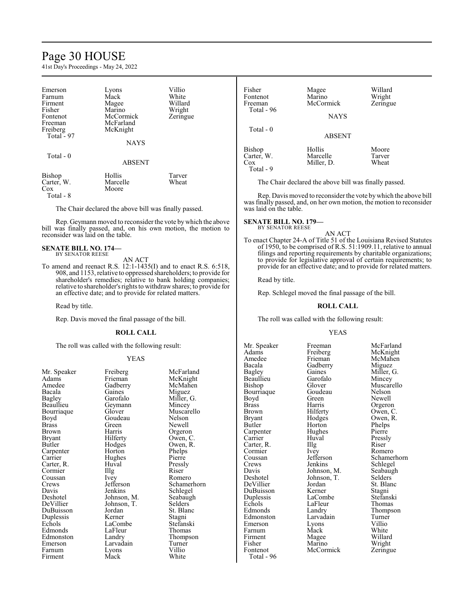### Page 30 HOUSE

41st Day's Proceedings - May 24, 2022

| Emerson<br>Farnum<br>Firment<br>Fisher<br>Fontenot<br>Freeman<br>Freiberg<br>Total - 97 | Lyons<br>Mack<br>Magee<br>Marino<br>McCormick<br>McFarland<br>McKnight<br><b>NAYS</b> | Villio<br>White<br>Willard<br>Wright<br>Zeringue |
|-----------------------------------------------------------------------------------------|---------------------------------------------------------------------------------------|--------------------------------------------------|
| Total $-0$                                                                              | <b>ABSENT</b>                                                                         |                                                  |
| Bishop<br>Carter, W.<br>Cox<br>Total - 8                                                | Hollis<br>Marcelle<br>Moore                                                           | Tarver<br>Wheat                                  |

The Chair declared the above bill was finally passed.

Rep. Geymann moved to reconsider the vote bywhich the above bill was finally passed, and, on his own motion, the motion to reconsider was laid on the table.

#### **SENATE BILL NO. 174—** BY SENATOR REESE

#### AN ACT

To amend and reenact R.S. 12:1-1435(I) and to enact R.S. 6:518, 908, and 1153, relative to oppressed shareholders; to provide for shareholder's remedies; relative to bank holding companies; relative to shareholder's rights to withdraw shares; to provide for an effective date; and to provide for related matters.

Read by title.

Rep. Davis moved the final passage of the bill.

#### **ROLL CALL**

The roll was called with the following result:

#### YEAS

Adams Frieman McKnight<br>Amedee Gadberry McMahen Amedee Gadberry McMahen<br>Bacala Gaines Miguez Bacala Gaines Miguez Bagley Garofalo Miller, G. Bourriaque Glover Muscar<br>Boyd Goudeau Nelson Boyd Goudeau<br>Brass Green Brass Green Newell<br>Brown Harris Orgeror Brown Harris Orgeron<br>Bryant Hilferty Owen. C Bryant Hilferty<br>Butler Hodges Carpenter Horton Phelps<br>
Carrier Hughes Pierre Carrier Hughes<br>Carter, R. Huyal Cormier IIIg Riser<br>Coussan Ivey Romero Coussan Ivey<br>Crews Jefferson Crews Jefferson Schamerhorn<br>
Davis Jenkins Schlegel Davis Jenkins Schlegel<br>Deshotel Johnson, M. Seabaugh Deshotel Johnson, M. Seabaughter Seabaughter Johnson, T. Selders DuBuisson Jordan St. Blanc<br>Duplessis Kerner Stagni Duplessis Kerner Stagni Edmonds LaFleu<br>Edmonston Landry Edmonston Landry Thompson<br>
Emerson Larvadain Turner Farnum Lyons Villio<br>Firment Mack White **Firment** 

Geymann Mincey<br>Glover Muscarello Hodges Owen, R.<br>Horton Phelps Huval Pressly<br>
Illg Riser Johnson, T. Selders<br>Jordan St. Blanc LaCombe Stefansk<br>LaFleur Thomas Larvadain Turner<br>Lyons Villio

Mr. Speaker Freiberg McFarland<br>Adams Frieman McKnight

| Fisher<br>Fontenot<br>Freeman<br>Total - 96 | Magee<br>Marino<br>McCormick<br><b>NAYS</b> | Willard<br>Wright<br>Zeringue |
|---------------------------------------------|---------------------------------------------|-------------------------------|
| Total - 0                                   | <b>ABSENT</b>                               |                               |
| Bishop<br>Carter, W.<br>Cox<br>Total - 9    | Hollis<br>Marcelle<br>Miller, D.            | Moore<br>Tarver<br>Wheat      |

The Chair declared the above bill was finally passed.

Rep. Davis moved to reconsider the vote bywhich the above bill was finally passed, and, on her own motion, the motion to reconsider was laid on the table.

### **SENATE BILL NO. 179—** BY SENATOR REESE

AN ACT

To enact Chapter 24-A of Title 51 of the Louisiana Revised Statutes of 1950, to be comprised of R.S. 51:1909.11, relative to annual filings and reporting requirements by charitable organizations; to provide for legislative approval of certain requirements; to provide for an effective date; and to provide for related matters.

Read by title.

Rep. Schlegel moved the final passage of the bill.

#### **ROLL CALL**

The roll was called with the following result:

#### YEAS

Amedee Frieman McMahen<br>Bacala Gadberry Miguez Bacala Gadberry<br>Bagley Gaines Beaullieu Garofal<br>Bishop Glover Bourriaque Goude<br>Boyd Green Boyd Green Newell<br>Brass Harris Orgerol Brass Harris Orgeron<br>Brown Hilferty Owen, C Brown Hilferty Owen, C.<br>Bryant Hodges Owen, R. Bryant Hodges Owen, R.<br>Butler Horton Phelps Carpenter Hughe<br>Carrier Huval Carter, R. Illg Riser<br>Cormier Ivey Romero Cormier Ivey<br>Coussan Jefferson Crews Jenkins Schlegel<br>Davis Johnson, M. Seabaugh Davis Johnson, M. Seabaugh<br>Deshotel Johnson, T. Selders DeVillier Jordan St. Blanck<br>DuBuisson Kerner Stagni DuBuisson Kerner Stagni Duplessis LaCombe Stefansk<br>Echols LaFleur Thomas Echols LaFleur<br>Edmonds Landry Edmonston Larvadain Turner<br>
Emerson Lyons Villio Emerson Lyons<br>Farnum Mack Firment Magee Willard<br>Fisher Marino Wright Fisher Marino<br>Fontenot McCori Total - 96

Horton Phelps<br>Hughes Pierre Huval Pressly<br>
Illg Riser Johnson, T. Selders<br>Jordan St. Blanc Mack White<br>Magee Willard McCormick Zeringue

Mr. Speaker Freeman McFarland<br>Adams Freiberg McKnight Adams Freiberg McKnight<br>Amedee Frieman McMahen Gaines Miller, G.<br>Garofalo Mincey Glover Muscarello<br>Goudeau Nelson Coussan Jefferson Schamerhorn<br>Crews Jenkins Schlegel Landry Thompson<br>
Larvadain Turner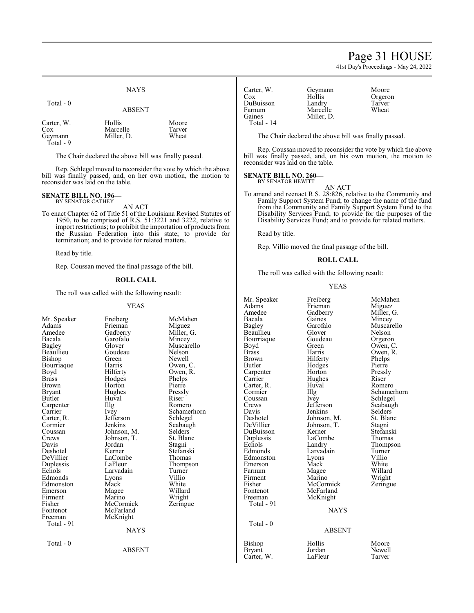### Page 31 HOUSE

41st Day's Proceedings - May 24, 2022

|                                           | <b>NAYS</b>                      |                          |
|-------------------------------------------|----------------------------------|--------------------------|
| Total - 0                                 | <b>ABSENT</b>                    |                          |
| Carter, W.<br>Cox<br>Geymann<br>Total - 9 | Hollis<br>Marcelle<br>Miller, D. | Moore<br>Tarver<br>Wheat |

The Chair declared the above bill was finally passed.

Rep. Schlegel moved to reconsider the vote by which the above bill was finally passed, and, on her own motion, the motion to reconsider was laid on the table.

#### **SENATE BILL NO. 196—** BY SENATOR CATHEY

AN ACT

To enact Chapter 62 of Title 51 of the Louisiana Revised Statutes of 1950, to be comprised of R.S. 51:3221 and 3222, relative to import restrictions; to prohibit the importation of products from the Russian Federation into this state; to provide for termination; and to provide for related matters.

Read by title.

Rep. Coussan moved the final passage of the bill.

#### **ROLL CALL**

The roll was called with the following result:

#### YEAS

|               | טר <i>ו</i> ם ו |             | Auguis<br>Amedee | гтгениан<br>Gadberry | <b>IVII</b> guud<br>Miller, G. |
|---------------|-----------------|-------------|------------------|----------------------|--------------------------------|
| Mr. Speaker   | Freiberg        | McMahen     | Bacala           | Gaines               | Mincey                         |
| Adams         | Frieman         | Miguez      | Bagley           | Garofalo             | Muscarell                      |
| Amedee        | Gadberry        | Miller, G.  | Beaullieu        | Glover               | Nelson                         |
| Bacala        | Garofalo        | Mincey      | Bourriague       | Goudeau              | Orgeron                        |
| Bagley        | Glover          | Muscarello  | Boyd             | Green                | Owen, C.                       |
| Beaullieu     | Goudeau         | Nelson      | <b>Brass</b>     | Harris               | Owen, R.                       |
| Bishop        | Green           | Newell      | <b>Brown</b>     | Hilferty             | Phelps                         |
| Bourriaque    | Harris          | Owen, C.    | <b>Butler</b>    | Hodges               | Pierre                         |
| Boyd          | Hilferty        | Owen, R.    | Carpenter        | Horton               | Pressly                        |
| <b>Brass</b>  | Hodges          | Phelps      | Carrier          | Hughes               | Riser                          |
| Brown         | Horton          | Pierre      | Carter, R.       | Huval                | Romero                         |
| <b>Bryant</b> | Hughes          | Pressly     | Cormier          | Illg                 | Schamerh                       |
| Butler        | Huval           | Riser       | Coussan          | Ivey                 | Schlegel                       |
| Carpenter     | Illg            | Romero      | Crews            | Jefferson            | Seabaugh                       |
| Carrier       | Ivey            | Schamerhorn | Davis            | Jenkins              | Selders <sup>7</sup>           |
| Carter, R.    | Jefferson       | Schlegel    | Deshotel         | Johnson, M.          | St. Blanc                      |
| Cormier       | Jenkins         | Seabaugh    | DeVillier        | Johnson, T.          | Stagni                         |
| Coussan       | Johnson, M.     | Selders     | DuBuisson        | Kerner               | Stefanski                      |
| Crews         | Johnson, T.     | St. Blanc   | Duplessis        | LaCombe              | Thomas                         |
| Davis         | Jordan          | Stagni      | Echols           | Landry               | Thompson                       |
| Deshotel      | Kerner          | Stefanski   | Edmonds          | Larvadain            | Turner                         |
| DeVillier     | LaCombe         | Thomas      | Edmonston        | Lyons                | Villio                         |
| Duplessis     | LaFleur         | Thompson    | Emerson          | Mack                 | White                          |
| Echols        | Larvadain       | Turner      | Farnum           | Magee                | Willard                        |
| Edmonds       | Lyons           | Villio      | Firment          | Marino               | Wright                         |
| Edmonston     | Mack            | White       | Fisher           | McCormick            | Zeringue                       |
| Emerson       | Magee           | Willard     | Fontenot         | McFarland            |                                |
| Firment       | Marino          | Wright      | Freeman          | McKnight             |                                |
| Fisher        | McCormick       | Zeringue    | Total - 91       |                      |                                |
| Fontenot      | McFarland       |             |                  | <b>NAYS</b>          |                                |
| Freeman       | McKnight        |             |                  |                      |                                |
| Total - 91    |                 |             | Total - 0        |                      |                                |
|               | <b>NAYS</b>     |             |                  | <b>ABSENT</b>        |                                |
| Total - 0     |                 |             | Bishop           | Hollis               | Moore                          |
|               | <b>ABSENT</b>   |             | <b>Bryant</b>    | Jordan               | Newell                         |
|               |                 |             | Carter, W.       | LaFleur              | Tarver                         |
|               |                 |             |                  |                      |                                |

| Carter, W. | Geymann    |
|------------|------------|
| Cox        | Hollis     |
| DuBuisson  | Landry     |
| Farnum     | Marcelle   |
| Gaines     | Miller, D. |
| Total - 14 |            |

Geymann Moore<br>Hollis Orgero Hollis Orgeron<br>Company Tarver Tarver<br>Wheat

The Chair declared the above bill was finally passed.

Rep. Coussan moved to reconsider the vote by which the above bill was finally passed, and, on his own motion, the motion to reconsider was laid on the table.

### **SENATE BILL NO. 260—**

BY SENATOR HEWITT

AN ACT To amend and reenact R.S. 28:826, relative to the Community and Family Support System Fund; to change the name of the fund from the Community and Family Support System Fund to the Disability Services Fund; to provide for the purposes of the Disability Services Fund; and to provide for related matters.

Read by title.

Rep. Villio moved the final passage of the bill.

#### **ROLL CALL**

The roll was called with the following result:

#### YEAS

| Mr. Speaker  | Freiberg    | McMahen     |
|--------------|-------------|-------------|
| Adams        | Frieman     | Miguez      |
| Amedee       | Gadberry    | Miller, G.  |
| Bacala       | Gaines      | Mincey      |
| Bagley       | Garofalo    | Muscarello  |
| Beaullieu    | Glover      | Nelson      |
| Bourriaque   | Goudeau     | Orgeron     |
| Boyd         | Green       | Owen, C.    |
| <b>Brass</b> | Harris      | Owen, R.    |
| Brown        | Hilferty    | Phelps      |
| Butler       | Hodges      | Pierre      |
| Carpenter    | Horton      | Pressly     |
| Carrier      | Hughes      | Riser       |
| Carter, R.   | Huval       | Romero      |
| Cormier      | Illg        | Schamerhorn |
| Coussan      | Ivey        | Schlegel    |
| Crews        | Jefferson   | Seabaugh    |
| Davis        | Jenkins     | Selders     |
| Deshotel     | Johnson, M. | St. Blanc   |
| DeVillier    | Johnson, T. | Stagni      |
| DuBuisson    | Kerner      | Stefanski   |
| Duplessis    | LaCombe     | Thomas      |
| Echols       | Landry      | Thompson    |
| Edmonds      | Larvadain   | Turner      |
| Edmonston    | Lyons       | Villio      |
| Emerson      | Mack        | White       |
| Farnum       | Magee       | Willard     |
| Firment      | Marino      | Wright      |
| Fisher       | McCormick   | Zeringue    |
| Fontenot     | McFarland   |             |
| Freeman      | McKnight    |             |
| Total - 91   |             |             |
|              | <b>NAYS</b> |             |
| Total - 0    |             |             |
|              | ABSENT      |             |
| Bishon       | Hollis      | Moore       |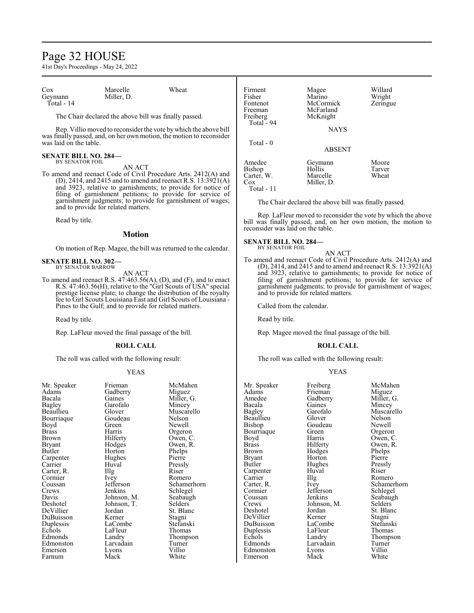### Page 32 HOUSE

41st Day's Proceedings - May 24, 2022

| Cox        | Marcelle   | Wheat |
|------------|------------|-------|
| Geymann    | Miller, D. |       |
| Total - 14 |            |       |

The Chair declared the above bill was finally passed.

Rep. Villio moved to reconsiderthe vote bywhich the above bill was finally passed, and, on her own motion, the motion to reconsider was laid on the table.

#### **SENATE BILL NO. 284—** BY SENATOR FOIL

AN ACT

To amend and reenact Code of Civil Procedure Arts. 2412(A) and (D), 2414, and 2415 and to amend and reenact R.S. 13:3921(A) and 3923, relative to garnishments; to provide for notice of filing of garnishment petitions; to provide for service of garnishment judgments; to provide for garnishment of wages; and to provide for related matters.

Read by title.

#### **Motion**

On motion of Rep. Magee, the bill was returned to the calendar.

#### **SENATE BILL NO. 302—** BY SENATOR BARROW

AN ACT

To amend and reenact R.S. 47:463.56(A), (D), and (F), and to enact R.S. 47:463.56(H), relative to the "Girl Scouts of USA" special prestige license plate; to change the distribution of the royalty fee to Girl Scouts Louisiana East and Girl Scouts of Louisiana - Pines to the Gulf; and to provide for related matters.

Read by title.

Rep. LaFleur moved the final passage of the bill.

#### **ROLL CALL**

The roll was called with the following result:

#### YEAS

| Mr. Speaker  | rneman      | MCMa    |
|--------------|-------------|---------|
| Adams        | Gadberry    | Migue   |
| Bacala       | Gaines      | Miller  |
| Bagley       | Garofalo    | Mince   |
| Beaullieu    | Glover      | Musca   |
| Bourriaque   | Goudeau     | Nelson  |
| Boyd         | Green       | Newel   |
| <b>Brass</b> | Harris      | Orgero  |
| Brown        | Hilferty    | Owen,   |
| Bryant       | Hodges      | Owen.   |
| Butler       | Horton      | Phelps  |
| Carpenter    | Hughes      | Pierre  |
| Carrier      | Huval       | Pressl  |
| Carter, R.   | Illg        | Riser   |
| Cormier      | Ivey        | Romer   |
| Coussan      | Jefferson   | Schan   |
| Crews        | Jenkins     | Schleg  |
| Davis        | Johnson, M. | Seabat  |
| Deshotel     | Johnson, T. | Selder  |
| DeVillier    | Jordan      | St. Bla |
| DuBuisson    | Kerner      | Stagni  |
| Duplessis    | LaCombe     | Stefan  |
| Echols       | LaFleur     | Thoma   |
| Edmonds      | Landry      | Thom    |
| Edmonston    | Larvadain   | Turne   |
| Emerson      | Lyons       | Villio  |
| Farnum       | Mack        | White   |
|              |             |         |

Gadberry<br>Gaines Gaines Miller, G.<br>Garofalo Mincey Garofalo Mincey<br>Glover Muscar Goudeau<br>Green Green Newell<br>Harris Orgeror Harris Orgeron<br>Hilferty Owen, C Hilferty Owen, C.<br>Hodges Owen, R. Hodges Owen, R.<br>Horton Phelps Huval Pressly<br>Illg Riser Ivey Romero<br>Jefferson Schamer Johnson, M. Seabaughten<br>Johnson, T. Selders Johnson, T.<br>Jordan Jordan St. Blanc<br>Kerner Stagni LaCombe Stefanski<br>LaFleur Thomas LaFleur<br>Landrv Larvadain Turner<br>Lyons Villio Lyons Villio<br>
Mack White

Speaker Frieman McMahen<br>Ams Gadberry Miguez Muscarello<br>Nelson Phelps<br>Pierre Jefferson Schamerhorn<br>Jenkins Schlegel Schlegel<br>Seabaugh Thompson<br>Turner

| Firment<br>Fisher<br>Fontenot<br>Freeman<br>Freiberg<br>Total - 94 | Magee<br>Marino<br>McCormick<br>McFarland<br>McKnight<br><b>NAYS</b> | Willard<br>Wright<br>Zeringue |
|--------------------------------------------------------------------|----------------------------------------------------------------------|-------------------------------|
| Total $-0$                                                         | <b>ABSENT</b>                                                        |                               |
| Amedee<br>Bishop<br>Carter, W.<br>$\cos$<br>Total - 11             | Geymann<br>Hollis<br>Marcelle<br>Miller, D.                          | Moore<br>Tarver<br>Wheat      |

The Chair declared the above bill was finally passed.

Rep. LaFleur moved to reconsider the vote by which the above bill was finally passed, and, on her own motion, the motion to reconsider was laid on the table.

#### **SENATE BILL NO. 284—**

BY SENATOR FOIL

To amend and reenact Code of Civil Procedure Arts. 2412(A) and (D), 2414, and 2415 and to amend and reenact R.S.  $13:3921(A)$ and 3923, relative to garnishments; to provide for notice of filing of garnishment petitions; to provide for service of garnishment judgments; to provide for garnishment of wages; and to provide for related matters.

AN ACT

Called from the calendar.

Read by title.

Rep. Magee moved the final passage of the bill.

#### **ROLL CALL**

The roll was called with the following result:

#### YEAS

Mr. Speaker Freiberg McMahen<br>Adams Frieman Miguez Adams Frieman<br>Amedee Gadberry Amedee Gadberry Miller, G.<br>Bacala Gaines Mincey Bacala Gaines Mincey<br>Bagley Garofalo Muscar Beaullieu Glover Nelson<br>Bishop Goudeau Newell Bourriaque Green<br>Boyd Harris Boyd Harris Owen, C.<br>Brass Hilferty Owen, R. Brass Hilferty Owen, R. Brown Hodges Phelps<br>Bryant Horton Pierre Bryant Horton Pierre<br>Butler Hughes Pressly Carpenter Huval Riservice<br>
Carrier IIIg Carrier IIIg Romero<br>Carter, R. Ivey Schame Carter, R. Ivey Schamerhorn Cormier Jefferson<br>Coussan Jenkins Coussan Jenkins Seabaugh<br>Crews Johnson, M. Selders Crews Johnson, M.<br>Deshotel Jordan DeVillier Kerner Stagni Duplessis LaFleu<br>
Echols Landry Echols Landry Thompson<br>Edmonds Larvadain Turner Edmonston Lyons Villio<br>Emerson Mack White Emerson

Garofalo Muscarello<br>Glover Nelson Goudeau Newell<br>Green Orgeron Hughes Pressl<br>Huval Riser Jordan St. Blanc<br>Kerner Stagni LaCombe Stefansk<br>LaFleur Thomas Larvadain Turner<br>Lyons Villio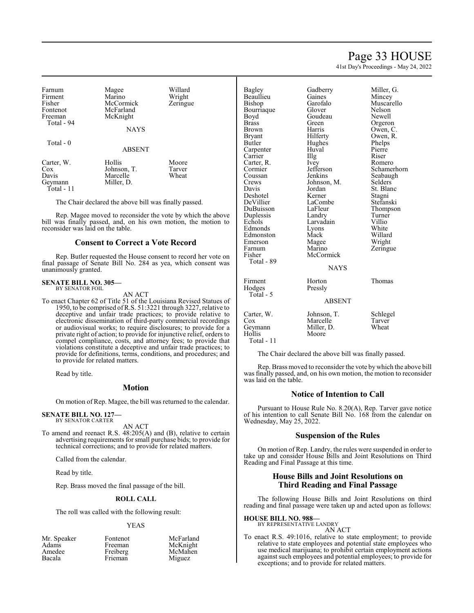Page 33 HOUSE

41st Day's Proceedings - May 24, 2022

| Farnum     | Magee         | Willard  |
|------------|---------------|----------|
| Firment    | Marino        | Wright   |
| Fisher     | McCormick     | Zeringue |
| Fontenot   | McFarland     |          |
| Freeman    | McKnight      |          |
| Total - 94 |               |          |
|            | <b>NAYS</b>   |          |
|            |               |          |
| Total - 0  |               |          |
|            | <b>ABSENT</b> |          |
| Carter, W. | Hollis        | Moore    |
| $\cos$     | Johnson, T.   | Tarver   |
| Davis      | Marcelle      | Wheat    |
| Geymann    | Miller, D.    |          |
| Total - 11 |               |          |
|            |               |          |

The Chair declared the above bill was finally passed.

Rep. Magee moved to reconsider the vote by which the above bill was finally passed, and, on his own motion, the motion to reconsider was laid on the table.

#### **Consent to Correct a Vote Record**

Rep. Butler requested the House consent to record her vote on final passage of Senate Bill No. 284 as yea, which consent was unanimously granted.

### **SENATE BILL NO. 305—** BY SENATOR FOIL

AN ACT

To enact Chapter 62 of Title 51 of the Louisiana Revised Statues of 1950, to be comprised ofR.S. 51:3221 through 3227, relative to deceptive and unfair trade practices; to provide relative to electronic dissemination of third-party commercial recordings or audiovisual works; to require disclosures; to provide for a private right of action; to provide for injunctive relief, orders to compel compliance, costs, and attorney fees; to provide that violations constitute a deceptive and unfair trade practices; to provide for definitions, terms, conditions, and procedures; and to provide for related matters.

Read by title.

#### **Motion**

On motion of Rep. Magee, the bill was returned to the calendar.

#### **SENATE BILL NO. 127—** BY SENATOR CARTER

AN ACT

To amend and reenact R.S. 48:205(A) and (B), relative to certain advertising requirements forsmall purchase bids; to provide for technical corrections; and to provide for related matters.

Called from the calendar.

Read by title.

Rep. Brass moved the final passage of the bill.

#### **ROLL CALL**

The roll was called with the following result:

#### YEAS

| Mr. Speaker | Fontenot |  |
|-------------|----------|--|
| Adams       | Freeman  |  |
| Amedee      | Freiberg |  |
| Bacala      | Frieman  |  |
|             |          |  |

McFarland McKnight McMahen Miguez

| <b>Bagley</b> | Gadberry      | Miller, G.    |
|---------------|---------------|---------------|
| Beaullieu     | Gaines        | Mincey        |
| Bishop        | Garofalo      | Muscarello    |
| Bourriaque    | Glover        | <b>Nelson</b> |
| Boyd          | Goudeau       | Newell        |
| <b>Brass</b>  | Green         | Orgeron       |
| Brown         | Harris        | Owen, C.      |
| <b>Bryant</b> | Hilferty      | Owen, R.      |
| <b>Butler</b> | Hughes        | Phelps        |
| Carpenter     | Huval         | Pierre        |
| Carrier       | Illg          | Riser         |
| Carter, R.    | Ivey          | Romero        |
| Cormier       | Jefferson     | Schamerhorn   |
| Coussan       | Jenkins       | Seabaugh      |
| Crews         | Johnson, M.   | Selders       |
| Davis         | Jordan        | St. Blanc     |
| Deshotel      | Kerner        | Stagni        |
| DeVillier     | LaCombe       | Stefanski     |
| DuBuisson     | LaFleur       | Thompson      |
| Duplessis     | Landry        | Turner        |
| Echols        | Larvadain     | Villio        |
| Edmonds       | Lyons         | White         |
| Edmonston     | Mack          | Willard       |
| Emerson       | Magee         | Wright        |
| Farnum        | Marino        | Zeringue      |
| Fisher        | McCormick     |               |
| Total - 89    |               |               |
|               | <b>NAYS</b>   |               |
| Firment       | Horton        | Thomas        |
| Hodges        | Pressly       |               |
| Total - 5     |               |               |
|               | <b>ABSENT</b> |               |
| Carter, W.    | Johnson, T.   | Schlegel      |
| $\cos$        | Marcelle      | Tarver        |
| Geymann       | Miller, D.    | Wheat         |
| Hollis        | Moore         |               |
| Total - 11    |               |               |

The Chair declared the above bill was finally passed.

Rep. Brass moved to reconsider the vote by which the above bill was finally passed, and, on his own motion, the motion to reconsider was laid on the table.

#### **Notice of Intention to Call**

Pursuant to House Rule No. 8.20(A), Rep. Tarver gave notice of his intention to call Senate Bill No. 168 from the calendar on Wednesday, May 25, 2022.

#### **Suspension of the Rules**

On motion of Rep. Landry, the rules were suspended in order to take up and consider House Bills and Joint Resolutions on Third Reading and Final Passage at this time.

#### **House Bills and Joint Resolutions on Third Reading and Final Passage**

The following House Bills and Joint Resolutions on third reading and final passage were taken up and acted upon as follows:

### **HOUSE BILL NO. 988—** BY REPRESENTATIVE LANDRY

AN ACT

To enact R.S. 49:1016, relative to state employment; to provide relative to state employees and potential state employees who use medical marijuana; to prohibit certain employment actions against such employees and potential employees; to provide for exceptions; and to provide for related matters.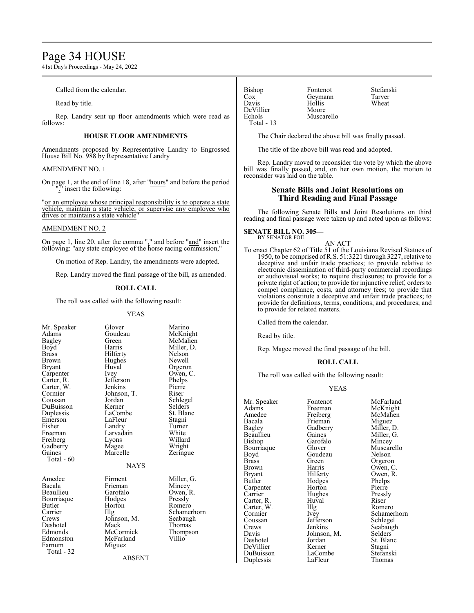### Page 34 HOUSE

41st Day's Proceedings - May 24, 2022

Called from the calendar.

Read by title.

Rep. Landry sent up floor amendments which were read as follows:

#### **HOUSE FLOOR AMENDMENTS**

Amendments proposed by Representative Landry to Engrossed House Bill No. 988 by Representative Landry

#### AMENDMENT NO. 1

On page 1, at the end of line 18, after "hours" and before the period ".<sup>"</sup> insert the following:

"or an employee whose principal responsibility is to operate a state vehicle, maintain a state vehicle, or supervise any employee who drives or maintains a state vehicle"

#### AMENDMENT NO. 2

On page 1, line 20, after the comma "," and before "and" insert the following: "any state employee of the horse racing commission,"

On motion of Rep. Landry, the amendments were adopted.

Rep. Landry moved the final passage of the bill, as amended.

#### **ROLL CALL**

The roll was called with the following result:

YEAS

| Mr. Speaker<br>Adams<br>Bagley<br>Boyd<br><b>Brass</b><br>Brown<br>Bryant<br>Carpenter<br>Carter, R.<br>Carter, W.<br>Cormier<br>Coussan<br>DuBuisson<br>Duplessis<br>Emerson<br>Fisher<br>Freeman<br>Freiberg<br>Gadberry<br>Gaines<br>Total - 60 | Glover<br>Goudeau<br>Green<br>Harris<br>Hilferty<br>Hughes<br>Huval<br>Ivey<br>Jefferson<br>Jenkins<br>Johnson, T.<br>Jordan<br>Kerner<br>LaCombe<br>LaFleur<br>Landry<br>Larvadain<br>Lyons<br>Magee<br>Marcelle<br><b>NAYS</b> | Marino<br>McKnight<br>McMahen<br>Miller, D.<br>Nelson<br>Newell<br>Orgeron<br>Owen, C.<br>Phelps<br>Pierre<br>Riser<br>Schlegel<br>Selders<br>St. Blanc<br>Stagni<br>Turner<br>White<br>Willard<br>Wright<br>Zeringue |
|----------------------------------------------------------------------------------------------------------------------------------------------------------------------------------------------------------------------------------------------------|----------------------------------------------------------------------------------------------------------------------------------------------------------------------------------------------------------------------------------|-----------------------------------------------------------------------------------------------------------------------------------------------------------------------------------------------------------------------|
| Amedee<br>Bacala<br>Beaullieu<br>Bourriaque<br><b>Butler</b><br>Carrier<br>Crews<br>Deshotel<br>Edmonds<br>Edmonston<br>Farnum<br>Total - 32                                                                                                       | Firment<br>Frieman<br>Garofalo<br>Hodges<br>Horton<br>Illg<br>Johnson, M.<br>Mack<br>McCormick<br>McFarland<br>Miguez<br><b>ABSENT</b>                                                                                           | Miller, G.<br>Mincey<br>Owen, R.<br>Pressly<br>Romero<br>Schamerhorn<br>Seabaugh<br>Thomas<br>Thompson<br>Villio                                                                                                      |

Cox Geymann Tarver<br>
Davis Hollis Wheat Hollis<br>Moore DeVillier<br>Echols Muscarello Total - 13

Bishop Fontenot Stefanski<br>Cox Geymann Tarver

The Chair declared the above bill was finally passed.

The title of the above bill was read and adopted.

Rep. Landry moved to reconsider the vote by which the above bill was finally passed, and, on her own motion, the motion to reconsider was laid on the table.

#### **Senate Bills and Joint Resolutions on Third Reading and Final Passage**

The following Senate Bills and Joint Resolutions on third reading and final passage were taken up and acted upon as follows:

### **SENATE BILL NO. 305—** BY SENATOR FOIL

AN ACT

To enact Chapter 62 of Title 51 of the Louisiana Revised Statues of 1950, to be comprised ofR.S. 51:3221 through 3227, relative to deceptive and unfair trade practices; to provide relative to electronic dissemination of third-party commercial recordings or audiovisual works; to require disclosures; to provide for a private right of action; to provide for injunctive relief, orders to compel compliance, costs, and attorney fees; to provide that violations constitute a deceptive and unfair trade practices; to provide for definitions, terms, conditions, and procedures; and to provide for related matters.

Called from the calendar.

Read by title.

Rep. Magee moved the final passage of the bill.

#### **ROLL CALL**

The roll was called with the following result:

#### YEAS

Mr. Speaker Fontenot McFarland<br>Adams Freeman McKnight Adams Freeman McKnight<br>Amedee Freiberg McMahen Amedee Freiberg McMahen<br>Bacala Frieman Miguez Bacala Frieman<br>Bagley Gadberry Bagley Gadberry Miller, D.<br>Beaullieu Gaines Miller, G. Beaullieu Gaines Miller, G.<br>Bishop Garofalo Mincey Garofalo Mincey<br>Glover Muscarello Bourriaque Glover Muscar<br>Boyd Goudeau Nelson Boyd Goudeau<br>Brass Green Brass Green Orgeron<br>Brown Harris Owen, C Brown Harris Owen, C.<br>Brvant Hilferty Owen, R. Bryant Hilferty Owen, R.<br>Butler Hodges Phelps Hodges Phelps<br>Horton Pierre Carpenter Horton Pierre<br>
Carrier Hughes Pressly Hughes Pressl<br>Huval Riser Carter, R. Huval Riser Carter, W. Huval Romero Carter, W. Illg<br>Cormier Ivev Cormier Ivey Schamerhorn<br>
Coussan Jefferson Schlegel Coussan Jefferson<br>Crews Jenkins Crews Jenkins Seabaugh<br>
Davis Johnson, M. Selders Davis Johnson, M.<br>Deshotel Jordan Jordan St. Blanc<br>
Kerner Stagni DeVillier Kerner Stagni<br>DuBuisson LaCombe Stefanski DuBuisson LaCombe Stefanski Duplessis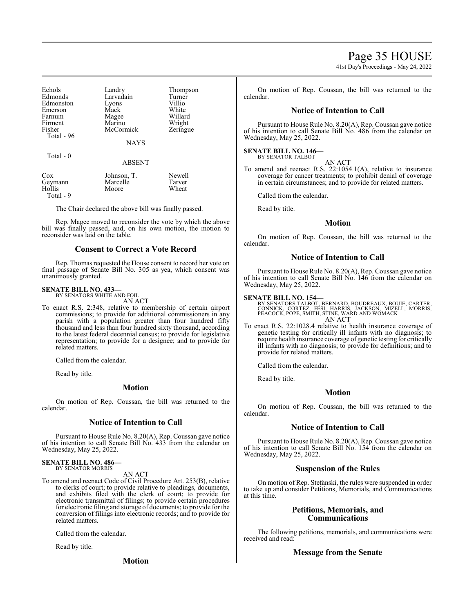Page 35 HOUSE

41st Day's Proceedings - May 24, 2022

| Echols<br>Edmonds<br>Edmonston<br>Emerson<br>Farnum<br>Firment<br>Fisher<br>Total - 96 | Landry<br>Larvadain<br>Lyons<br>Mack<br>Magee<br>Marino<br>McCormick | Thompson<br>Turner<br>Villio<br>White<br>Willard<br>Wright<br>Zeringue |
|----------------------------------------------------------------------------------------|----------------------------------------------------------------------|------------------------------------------------------------------------|
|                                                                                        | <b>NAYS</b>                                                          |                                                                        |

Total - 0

ABSENT

| $\cos$<br>Geymann | Johnson, T.<br>Marcelle | Newell<br>Tarver |
|-------------------|-------------------------|------------------|
| Hollis            | Moore                   | Wheat            |
| Total - 9         |                         |                  |

The Chair declared the above bill was finally passed.

Rep. Magee moved to reconsider the vote by which the above bill was finally passed, and, on his own motion, the motion to reconsider was laid on the table.

#### **Consent to Correct a Vote Record**

Rep. Thomas requested the House consent to record her vote on final passage of Senate Bill No. 305 as yea, which consent was unanimously granted.

#### **SENATE BILL NO. 433—** BY SENATORS WHITE AND FOIL

AN ACT

To enact R.S. 2:348, relative to membership of certain airport commissions; to provide for additional commissioners in any parish with a population greater than four hundred fifty thousand and less than four hundred sixty thousand, according to the latest federal decennial census; to provide for legislative representation; to provide for a designee; and to provide for related matters.

Called from the calendar.

Read by title.

#### **Motion**

On motion of Rep. Coussan, the bill was returned to the calendar.

#### **Notice of Intention to Call**

Pursuant to House Rule No. 8.20(A), Rep. Coussan gave notice of his intention to call Senate Bill No. 433 from the calendar on Wednesday, May 25, 2022.

**SENATE BILL NO. 486—** BY SENATOR MORRIS

AN ACT

To amend and reenact Code of Civil Procedure Art. 253(B), relative to clerks of court; to provide relative to pleadings, documents, and exhibits filed with the clerk of court; to provide for electronic transmittal of filings; to provide certain procedures for electronic filing and storage of documents; to provide for the conversion of filings into electronic records; and to provide for related matters.

Called from the calendar.

Read by title.

**Motion**

On motion of Rep. Coussan, the bill was returned to the calendar.

#### **Notice of Intention to Call**

Pursuant to House Rule No. 8.20(A), Rep. Coussan gave notice of his intention to call Senate Bill No. 486 from the calendar on Wednesday, May 25, 2022.

#### **SENATE BILL NO. 146—** BY SENATOR TALBOT

AN ACT

To amend and reenact R.S. 22:1054.1(A), relative to insurance coverage for cancer treatments; to prohibit denial of coverage in certain circumstances; and to provide for related matters.

Called from the calendar.

Read by title.

#### **Motion**

On motion of Rep. Coussan, the bill was returned to the calendar.

#### **Notice of Intention to Call**

Pursuant to House Rule No. 8.20(A), Rep. Coussan gave notice of his intention to call Senate Bill No. 146 from the calendar on Wednesday, May 25, 2022.

**SENATE BILL NO. 154—**<br>BY SENATORS TALBOT, BERNARD, BOUDREAUX, BOUIE, CARTER,<br>CONNICK, CORTEZ, FÉSI, HARRIS, JACKSON, MIZELL, MORRIS,<br>PEACOCK, POPE, SMITH, STINE, WARD AND WOMACK AN ACT

To enact R.S. 22:1028.4 relative to health insurance coverage of genetic testing for critically ill infants with no diagnosis; to require health insurance coverage of genetic testing for critically ill infants with no diagnosis; to provide for definitions; and to provide for related matters.

Called from the calendar.

Read by title.

#### **Motion**

On motion of Rep. Coussan, the bill was returned to the calendar.

#### **Notice of Intention to Call**

Pursuant to House Rule No. 8.20(A), Rep. Coussan gave notice of his intention to call Senate Bill No. 154 from the calendar on Wednesday, May 25, 2022.

### **Suspension of the Rules**

On motion of Rep. Stefanski, the rules were suspended in order to take up and consider Petitions, Memorials, and Communications at this time.

#### **Petitions, Memorials, and Communications**

The following petitions, memorials, and communications were received and read:

#### **Message from the Senate**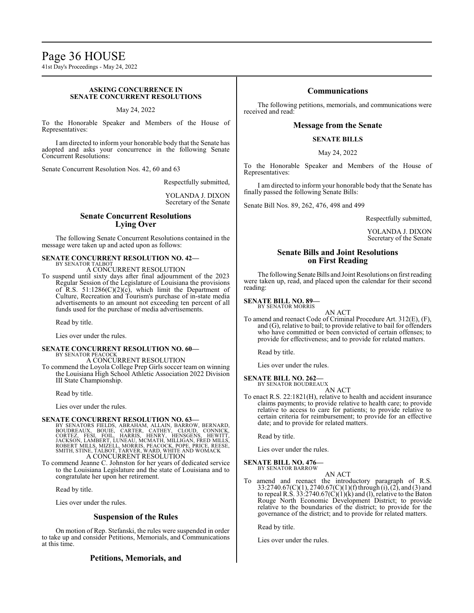## Page 36 HOUSE

41st Day's Proceedings - May 24, 2022

#### **ASKING CONCURRENCE IN SENATE CONCURRENT RESOLUTIONS**

May 24, 2022

To the Honorable Speaker and Members of the House of Representatives:

I am directed to inform your honorable body that the Senate has adopted and asks your concurrence in the following Senate Concurrent Resolutions:

Senate Concurrent Resolution Nos. 42, 60 and 63

Respectfully submitted,

YOLANDA J. DIXON Secretary of the Senate

#### **Senate Concurrent Resolutions Lying Over**

The following Senate Concurrent Resolutions contained in the message were taken up and acted upon as follows:

#### **SENATE CONCURRENT RESOLUTION NO. 42—** BY SENATOR TALBOT

A CONCURRENT RESOLUTION

To suspend until sixty days after final adjournment of the 2023 Regular Session of the Legislature of Louisiana the provisions of R.S.  $51:1286(C)(2)(c)$ , which limit the Department of Culture, Recreation and Tourism's purchase of in-state media advertisements to an amount not exceeding ten percent of all funds used for the purchase of media advertisements.

Read by title.

Lies over under the rules.

#### **SENATE CONCURRENT RESOLUTION NO. 60—** BY SENATOR PEACOCK A CONCURRENT RESOLUTION

To commend the Loyola College Prep Girls soccer team on winning the Louisiana High School Athletic Association 2022 Division III State Championship.

Read by title.

Lies over under the rules.

**SENATE CONCURRENT RESOLUTION NO. 63**<br>BY SENATORS FIELDS, ABRAHAM, ALLAIN, BARROW, BERNARD,<br>BOUDREAUX, BOUIE, CARTER, CATHEY, CLOUD, CONNICK,<br>CORTEZ, FESI, FOIL, HARRIS, HENRY, HENSGENS, HEWITT,<br>JACKSON, LAMBERT, LUNEAU, M

To commend Jeanne C. Johnston for her years of dedicated service to the Louisiana Legislature and the state of Louisiana and to congratulate her upon her retirement.

Read by title.

Lies over under the rules.

#### **Suspension of the Rules**

On motion of Rep. Stefanski, the rules were suspended in order to take up and consider Petitions, Memorials, and Communications at this time.

### **Petitions, Memorials, and**

#### **Communications**

The following petitions, memorials, and communications were received and read:

#### **Message from the Senate**

#### **SENATE BILLS**

May 24, 2022

To the Honorable Speaker and Members of the House of Representatives:

I am directed to inform your honorable body that the Senate has finally passed the following Senate Bills:

Senate Bill Nos. 89, 262, 476, 498 and 499

Respectfully submitted,

YOLANDA J. DIXON Secretary of the Senate

#### **Senate Bills and Joint Resolutions on First Reading**

The following Senate Bills and Joint Resolutions on first reading were taken up, read, and placed upon the calendar for their second reading:

**SENATE BILL NO. 89—** BY SENATOR MORRIS

AN ACT

To amend and reenact Code of Criminal Procedure Art. 312(E), (F), and (G), relative to bail; to provide relative to bail for offenders who have committed or been convicted of certain offenses; to provide for effectiveness; and to provide for related matters.

Read by title.

Lies over under the rules.

### **SENATE BILL NO. 262—**

BY SENATOR BOUDREAUX AN ACT

To enact R.S. 22:1821(H), relative to health and accident insurance claims payments; to provide relative to health care; to provide relative to access to care for patients; to provide relative to certain criteria for reimbursement; to provide for an effective date; and to provide for related matters.

Read by title.

Lies over under the rules.

#### **SENATE BILL NO. 476—** BY SENATOR BARROW

AN ACT

To amend and reenact the introductory paragraph of R.S. 33:2740.67(C)(1), 2740.67(C)(1)(f) through (i), (2), and (3) and to repeal R.S.  $33:2740.67(C)(1)(k)$  and (1), relative to the Baton Rouge North Economic Development District; to provide relative to the boundaries of the district; to provide for the governance of the district; and to provide for related matters.

Read by title.

Lies over under the rules.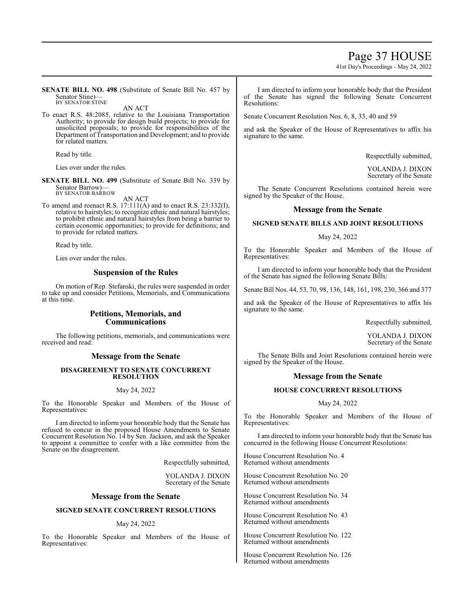### Page 37 HOUSE

41st Day's Proceedings - May 24, 2022

**SENATE BILL NO. 498** (Substitute of Senate Bill No. 457 by Senator Stine)— BY SENATOR STINE

AN ACT

To enact R.S. 48:2085, relative to the Louisiana Transportation Authority; to provide for design build projects; to provide for unsolicited proposals; to provide for responsibilities of the Department of Transportation and Development; and to provide for related matters.

Read by title.

Lies over under the rules.

**SENATE BILL NO. 499** (Substitute of Senate Bill No. 339 by Senator Barrow)— BY SENATOR BARROW

AN ACT

To amend and reenact R.S. 17:111(A) and to enact R.S. 23:332(I), relative to hairstyles; to recognize ethnic and natural hairstyles; to prohibit ethnic and natural hairstyles from being a barrier to certain economic opportunities; to provide for definitions; and to provide for related matters.

Read by title.

Lies over under the rules.

#### **Suspension of the Rules**

On motion of Rep. Stefanski, the rules were suspended in order to take up and consider Petitions, Memorials, and Communications at this time.

#### **Petitions, Memorials, and Communications**

The following petitions, memorials, and communications were received and read:

#### **Message from the Senate**

#### **DISAGREEMENT TO SENATE CONCURRENT RESOLUTION**

#### May 24, 2022

To the Honorable Speaker and Members of the House of Representatives:

I am directed to inform your honorable body that the Senate has refused to concur in the proposed House Amendments to Senate Concurrent Resolution No. 14 by Sen. Jackson, and ask the Speaker to appoint a committee to confer with a like committee from the Senate on the disagreement.

Respectfully submitted,

YOLANDA J. DIXON Secretary of the Senate

#### **Message from the Senate**

#### **SIGNED SENATE CONCURRENT RESOLUTIONS**

May 24, 2022

To the Honorable Speaker and Members of the House of Representatives:

I am directed to inform your honorable body that the President of the Senate has signed the following Senate Concurrent Resolutions:

Senate Concurrent Resolution Nos. 6, 8, 33, 40 and 59

and ask the Speaker of the House of Representatives to affix his signature to the same.

Respectfully submitted,

YOLANDA J. DIXON Secretary of the Senate

The Senate Concurrent Resolutions contained herein were signed by the Speaker of the House.

#### **Message from the Senate**

#### **SIGNED SENATE BILLS AND JOINT RESOLUTIONS**

#### May 24, 2022

To the Honorable Speaker and Members of the House of Representatives:

I am directed to inform your honorable body that the President of the Senate has signed the following Senate Bills:

Senate Bill Nos. 44, 53, 70, 98, 136, 148, 161, 198, 230, 366 and 377

and ask the Speaker of the House of Representatives to affix his signature to the same.

Respectfully submitted,

YOLANDA J. DIXON Secretary of the Senate

The Senate Bills and Joint Resolutions contained herein were signed by the Speaker of the House.

#### **Message from the Senate**

#### **HOUSE CONCURRENT RESOLUTIONS**

#### May 24, 2022

To the Honorable Speaker and Members of the House of Representatives:

I am directed to inform your honorable body that the Senate has concurred in the following House Concurrent Resolutions:

House Concurrent Resolution No. 4 Returned without amendments

House Concurrent Resolution No. 20 Returned without amendments

House Concurrent Resolution No. 34 Returned without amendments

House Concurrent Resolution No. 43 Returned without amendments

House Concurrent Resolution No. 122 Returned without amendments

House Concurrent Resolution No. 126 Returned without amendments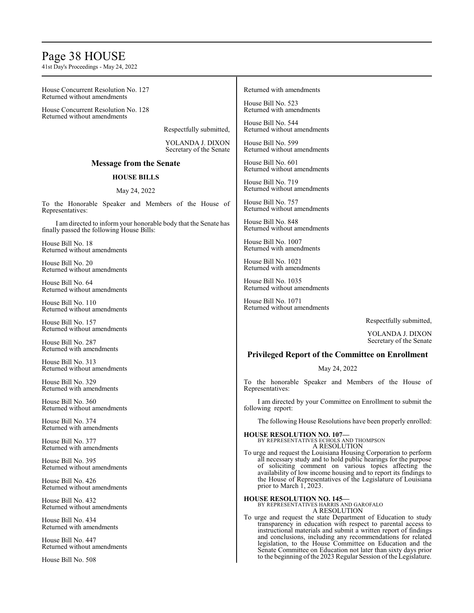### Page 38 HOUSE

41st Day's Proceedings - May 24, 2022

House Concurrent Resolution No. 127 Returned without amendments

House Concurrent Resolution No. 128 Returned without amendments

Respectfully submitted,

YOLANDA J. DIXON Secretary of the Senate

### **Message from the Senate**

### **HOUSE BILLS**

### May 24, 2022

To the Honorable Speaker and Members of the House of Representatives:

I am directed to inform your honorable body that the Senate has finally passed the following House Bills:

House Bill No. 18 Returned without amendments

House Bill No. 20 Returned without amendments

House Bill No. 64 Returned without amendments

House Bill No. 110 Returned without amendments

House Bill No. 157 Returned without amendments

House Bill No. 287 Returned with amendments

House Bill No. 313 Returned without amendments

House Bill No. 329 Returned with amendments

House Bill No. 360 Returned without amendments

House Bill No. 374 Returned with amendments

House Bill No. 377 Returned with amendments

House Bill No. 395 Returned without amendments

House Bill No. 426 Returned without amendments

House Bill No. 432 Returned without amendments

House Bill No. 434 Returned with amendments

House Bill No. 447 Returned without amendments

House Bill No. 508

#### Returned with amendments

House Bill No. 523 Returned with amendments

House Bill No. 544 Returned without amendments

House Bill No. 599 Returned without amendments

House Bill No. 601 Returned without amendments

House Bill No. 719 Returned without amendments

House Bill No. 757 Returned without amendments

House Bill No. 848 Returned without amendments

House Bill No. 1007 Returned with amendments

House Bill No. 1021 Returned with amendments

House Bill No. 1035 Returned without amendments

House Bill No. 1071 Returned without amendments

Respectfully submitted,

YOLANDA J. DIXON Secretary of the Senate

#### **Privileged Report of the Committee on Enrollment**

May 24, 2022

To the honorable Speaker and Members of the House of Representatives:

I am directed by your Committee on Enrollment to submit the following report:

The following House Resolutions have been properly enrolled:

**HOUSE RESOLUTION NO. 107—** BY REPRESENTATIVES ECHOLS AND THOMPSON A RESOLUTION

To urge and request the Louisiana Housing Corporation to perform all necessary study and to hold public hearings for the purpose of soliciting comment on various topics affecting the availability of low income housing and to report its findings to the House of Representatives of the Legislature of Louisiana prior to March 1, 2023.

**HOUSE RESOLUTION NO. 145—** BY REPRESENTATIVES HARRIS AND GAROFALO

A RESOLUTION

To urge and request the state Department of Education to study transparency in education with respect to parental access to instructional materials and submit a written report of findings and conclusions, including any recommendations for related legislation, to the House Committee on Education and the Senate Committee on Education not later than sixty days prior to the beginning of the 2023 Regular Session of the Legislature.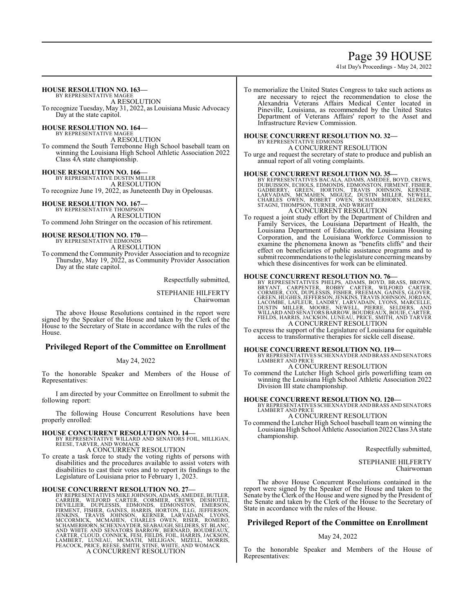### Page 39 HOUSE

41st Day's Proceedings - May 24, 2022

### **HOUSE RESOLUTION NO. 163—**

BY REPRESENTATIVE MAGEE A RESOLUTION To recognize Tuesday, May 31, 2022, as Louisiana Music Advocacy Day at the state capitol.

**HOUSE RESOLUTION NO. 164—**

BY REPRESENTATIVE MAGEE A RESOLUTION To commend the South Terrebonne High School baseball team on winning the Louisiana High School Athletic Association 2022 Class 4A state championship.

**HOUSE RESOLUTION NO. 166—** BY REPRESENTATIVE DUSTIN MILLER A RESOLUTION To recognize June 19, 2022, as Juneteenth Day in Opelousas.

**HOUSE RESOLUTION NO. 167—** BY REPRESENTATIVE THOMPSON A RESOLUTION To commend John Stringer on the occasion of his retirement.

### **HOUSE RESOLUTION NO. 170—**

BY REPRESENTATIVE EDMOND A RESOLUTION

To commend the Community Provider Association and to recognize Thursday, May 19, 2022, as Community Provider Association Day at the state capitol.

Respectfully submitted,

STEPHANIE HILFERTY Chairwoman

The above House Resolutions contained in the report were signed by the Speaker of the House and taken by the Clerk of the House to the Secretary of State in accordance with the rules of the House.

#### **Privileged Report of the Committee on Enrollment**

May 24, 2022

To the honorable Speaker and Members of the House of Representatives:

I am directed by your Committee on Enrollment to submit the following report:

The following House Concurrent Resolutions have been properly enrolled:

#### **HOUSE CONCURRENT RESOLUTION NO. 14—**

BY REPRESENTATIVE WILLARD AND SENATORS FOIL, MILLIGAN, REESE, TARVER, AND WOMACK A CONCURRENT RESOLUTION

To create a task force to study the voting rights of persons with disabilities and the procedures available to assist voters with disabilities to cast their votes and to report its findings to the Legislature of Louisiana prior to February 1, 2023.

### **HOUSE CONCURRENT RESOLUTION NO. 27—**

BY REPRESENTATIVES MIKE JOHNSON, ADAMS, AMEDEE, BUTLER, CARRIER, WILFORD CARTER, CORMIER, CREWS, DESHOTEL,<br>DEVILLIER, DUPLESSIS, EDMONDS, EDMONSTON, EMERSON,<br>FIRMENT, FISHER, GAINES, HARRIS, HORTON, ILLG, JEFFERSON,<br>JENKINS, TRAVIS JOHNSON, KERNER, LARVADAIN, LYONS,<br>MCCORMICK, A CONCURRENT RESOLUTION

To memorialize the United States Congress to take such actions as are necessary to reject the recommendation to close the Alexandria Veterans Affairs Medical Center located in Pineville, Louisiana, as recommended by the United States Department of Veterans Affairs' report to the Asset and Infrastructure Review Commission.

#### **HOUSE CONCURRENT RESOLUTION NO. 32—** BY REPRESENTATIVE EDMONDS

A CONCURRENT RESOLUTION

To urge and request the secretary of state to produce and publish an annual report of all voting complaints.

**HOUSE CONCURRENT RESOLUTION NO. 35—**<br>BY REPRESENTATIVES BACALA, ADAMS, AMEDEE, BOYD, CREWS, DUBUISSON, ECHOLS, EDMONDS, EDMONSTON, FIRMENT, FISHER,<br>GADBERRY, GREEN, HORTON, TRAVIS JOHNSON, KERNER, LARVADAIN, MCMAHEN, MIGU

To request a joint study effort by the Department of Children and Family Services, the Louisiana Department of Health, the Louisiana Department of Education, the Louisiana Housing Corporation, and the Louisiana Workforce Commission to examine the phenomena known as "benefits cliffs" and their effect on beneficiaries of public assistance programs and to submit recommendations to the legislature concerning means by which these disincentives for work can be eliminated.

HOUSE CONCURRENT RESOLUTION NO. 76-<br>BY REPRESENTATIVES PHELPS, ADAMS, BOYD, BRASS, BROWN,<br>BRYANT, CARPENTER, ROBBY CARTER, WILFORD CARTER,<br>CORMIER, COX, DUPLESSIS, FISHER, FREEMAN, GAINES, GLOVER,<br>GREEN, HUGHES, JEFFERSON, A CONCURRENT RESOLUTION

To express the support of the Legislature of Louisiana for equitable access to transformative therapies for sickle cell disease.

**HOUSE CONCURRENT RESOLUTION NO. 119—** BY REPRESENTATIVES SCHEXNAYDER AND BRASS AND SENATORS LAMBERT AND PRICE

A CONCURRENT RESOLUTION

To commend the Lutcher High School girls powerlifting team on winning the Louisiana High School Athletic Association 2022 Division III state championship.

**HOUSE CONCURRENT RESOLUTION NO. 120—** BY REPRESENTATIVES SCHEXNAYDER AND BRASS AND SENATORS LAMBERT AND PRICE

A CONCURRENT RESOLUTION

To commend the Lutcher High School baseball team on winning the Louisiana High School Athletic Association 2022 Class 3A state championship.

Respectfully submitted,

STEPHANIE HILFERTY Chairwoman

The above House Concurrent Resolutions contained in the report were signed by the Speaker of the House and taken to the Senate by the Clerk of the House and were signed by the President of the Senate and taken by the Clerk of the House to the Secretary of State in accordance with the rules of the House.

#### **Privileged Report of the Committee on Enrollment**

#### May 24, 2022

To the honorable Speaker and Members of the House of Representatives: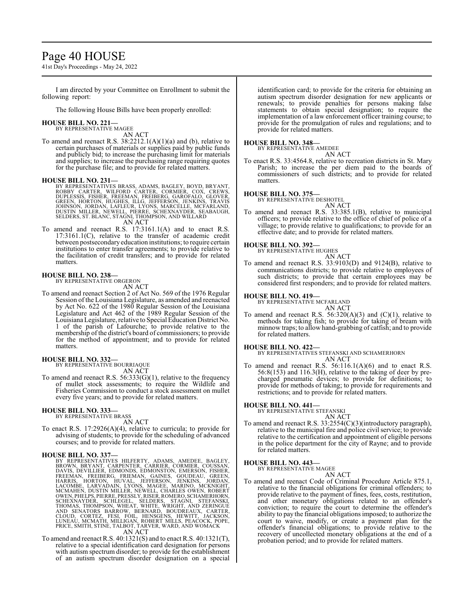### Page 40 HOUSE

41st Day's Proceedings - May 24, 2022

I am directed by your Committee on Enrollment to submit the following report:

The following House Bills have been properly enrolled:

### **HOUSE BILL NO. 221—** BY REPRESENTATIVE MAGEE

AN ACT

To amend and reenact R.S. 38:2212.1(A)(1)(a) and (b), relative to certain purchases of materials or supplies paid by public funds and publicly bid; to increase the purchasing limit for materials and supplies; to increase the purchasing range requiring quotes for the purchase file; and to provide for related matters.

- **HOUSE BILL NO. 231—**<br>BY REPRESENTATIVES BRASS, ADAMS, BAGLEY, BOYD, BRYANT, ROBBY CARTER, WILFORD CARTER, CORMIER, COX, CREWS,<br>DUPLESSIS, FISHER, FREEMAN, FREIBERG, GAROFALO, GLOVER,<br>GREEN, HORTON, HUGHES, ILLG, JEFFERSON
- To amend and reenact R.S. 17:3161.1(A) and to enact R.S. To amend and reenact R.S. 17:3161.1(A) and to enact R.S. 17:3161.1(C), relative to the transfer of academic credit between postsecondary education institutions; to require certain institutions to enter transfer agreements; to provide relative to the facilitation of credit transfers; and to provide for related matters.

### **HOUSE BILL NO. 238—** BY REPRESENTATIVE ORGERON

AN ACT

To amend and reenact Section 2 of Act No. 569 of the 1976 Regular Session of the Louisiana Legislature, as amended and reenacted by Act No. 622 of the 1980 Regular Session of the Louisiana Legislature and Act 462 of the 1989 Regular Session of the LouisianaLegislature, relative to Special Education District No. 1 of the parish of Lafourche; to provide relative to the membership of the district's board of commissioners; to provide for the method of appointment; and to provide for related matters.

#### **HOUSE BILL NO. 332—**

BY REPRESENTATIVE BOURRIAQUE

AN ACT

To amend and reenact R.S. 56:333(G)(1), relative to the frequency of mullet stock assessments; to require the Wildlife and Fisheries Commission to conduct a stock assessment on mullet every five years; and to provide for related matters.

#### **HOUSE BILL NO. 333—**

BY REPRESENTATIVE BRASS AN ACT

To enact R.S. 17:2926(A)(4), relative to curricula; to provide for advising of students; to provide for the scheduling of advanced courses; and to provide for related matters.

- HOUSE BILL NO. 337—<br>
BY REPRESENTATIVES HILFERTY, ADAMS, AMEDEE, BAGLEY, BROWN, BRYANT, CARPENTER, CARRIER, CORMIER, COUSSAN, DAVIS, DEVILLIER, EDMONDS, EDMONSTÓN, EMERSON, FISHER, FREERAN, GARREN, HARRIS, GOUDEAU, GREEN,
	-
- To amend and reenact R.S. 40:1321(S) and to enact R.S. 40:1321(T), relative to a special identification card designation for persons with autism spectrum disorder; to provide for the establishment of an autism spectrum disorder designation on a special

identification card; to provide for the criteria for obtaining an autism spectrum disorder designation for new applicants or renewals; to provide penalties for persons making false statements to obtain special designation; to require the implementation of a law enforcement officer training course; to provide for the promulgation of rules and regulations; and to provide for related matters.

### **HOUSE BILL NO. 348—** BY REPRESENTATIVE AMEDEE

AN ACT

To enact R.S. 33:4564.8, relative to recreation districts in St. Mary Parish; to increase the per diem paid to the boards of commissioners of such districts; and to provide for related matters.

#### **HOUSE BILL NO. 375—**

BY REPRESENTATIVE DESHOTEL

AN ACT To amend and reenact R.S. 33:385.1(B), relative to municipal officers; to provide relative to the office of chief of police of a village; to provide relative to qualifications; to provide for an effective date; and to provide for related matters.

#### **HOUSE BILL NO. 392—**

BY REPRESENTATIVE HUGHES

AN ACT

To amend and reenact R.S. 33:9103(D) and 9124(B), relative to communications districts; to provide relative to employees of such districts; to provide that certain employees may be considered first responders; and to provide for related matters.

#### **HOUSE BILL NO. 419—**

BY REPRESENTATIVE MCFARLAND

AN ACT To amend and reenact R.S.  $56:320(A)(3)$  and  $(C)(1)$ , relative to methods for taking fish; to provide for taking of bream with minnow traps; to allow hand-grabbing of catfish; and to provide

# for related matters.

**HOUSE BILL NO. 422—** BY REPRESENTATIVES STEFANSKI AND SCHAMERHORN AN ACT

To amend and reenact R.S. 56:116.1(A)(6) and to enact R.S. 56:8(153) and 116.3(H), relative to the taking of deer by precharged pneumatic devices; to provide for definitions; to provide for methods of taking; to provide for requirements and restrictions; and to provide for related matters.

### **HOUSE BILL NO. 441—** BY REPRESENTATIVE STEFANSKI

AN ACT

To amend and reenact R.S. 33:2554(C)(3)(introductory paragraph), relative to the municipal fire and police civil service; to provide relative to the certification and appointment of eligible persons in the police department for the city of Rayne; and to provide for related matters.

#### **HOUSE BILL NO. 443—**

BY REPRESENTATIVE MAGEE

#### AN ACT To amend and reenact Code of Criminal Procedure Article 875.1, relative to the financial obligations for criminal offenders; to provide relative to the payment of fines, fees, costs, restitution, and other monetary obligations related to an offender's conviction; to require the court to determine the offender's ability to pay the financial obligations imposed; to authorize the court to waive, modify, or create a payment plan for the offender's financial obligations; to provide relative to the recovery of uncollected monetary obligations at the end of a

probation period; and to provide for related matters.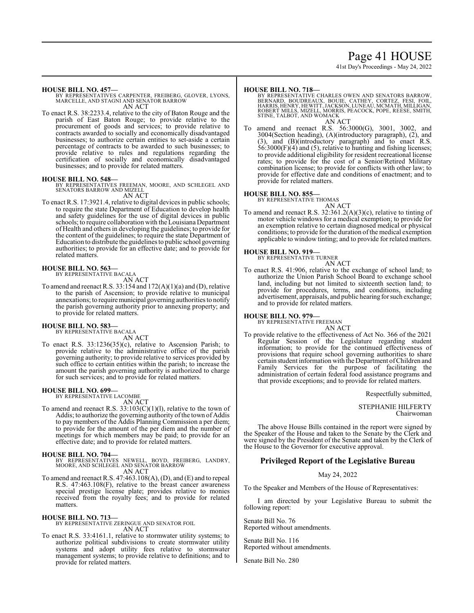### Page 41 HOUSE

41st Day's Proceedings - May 24, 2022

#### **HOUSE BILL NO. 457—**

BY REPRESENTATIVES CARPENTER, FREIBERG, GLOVER, LYONS, MARCELLE, AND STAGNI AND SENATOR BARROW AN ACT

To enact R.S. 38:2233.4, relative to the city of Baton Rouge and the parish of East Baton Rouge; to provide relative to the procurement of goods and services; to provide relative to contracts awarded to socially and economically disadvantaged businesses; to authorize certain entities to set-aside a certain percentage of contracts to be awarded to such businesses; to provide relative to rules and regulations regarding the certification of socially and economically disadvantaged businesses; and to provide for related matters.

#### **HOUSE BILL NO. 548—**

BY REPRESENTATIVES FREEMAN, MOORE, AND SCHLEGEL AND SENATORS BARROW AND MIZELL AN ACT

To enact R.S. 17:3921.4, relative to digital devices in public schools; to require the state Department of Education to develop health and safety guidelines for the use of digital devices in public schools; to require collaboration with the Louisiana Department of Health and others in developing the guidelines; to provide for the content of the guidelines; to require the state Department of Education to distribute the guidelines to public school governing authorities; to provide for an effective date; and to provide for related matters.

#### **HOUSE BILL NO. 563—**

BY REPRESENTATIVE BACALA

- AN ACT
- To amend and reenact R.S. 33:154 and 172(A)(1)(a) and (D), relative to the parish of Ascension; to provide relative to municipal annexations; to require municipal governing authorities to notify the parish governing authority prior to annexing property; and to provide for related matters.

#### **HOUSE BILL NO. 583—** BY REPRESENTATIVE BACALA

AN ACT

To enact R.S. 33:1236(35)(c), relative to Ascension Parish; to provide relative to the administrative office of the parish governing authority; to provide relative to services provided by such office to certain entities within the parish; to increase the amount the parish governing authority is authorized to charge for such services; and to provide for related matters.

#### **HOUSE BILL NO. 699—** BY REPRESENTATIVE LACOMBE

AN ACT

To amend and reenact R.S. 33:103(C)(1)(l), relative to the town of Addis; to authorize the governing authority of the town of Addis to pay members of the Addis Planning Commission a per diem; to provide for the amount of the per diem and the number of meetings for which members may be paid; to provide for an effective date; and to provide for related matters.

#### **HOUSE BILL NO. 704—**

BY REPRESENTATIVES NEWELL, BOYD, FREIBERG, LANDRY, MOORE, AND SCHLEGEL AND SENATOR BARROW AN ACT

To amend and reenact R.S. 47:463.108(A), (D), and (E) and to repeal R.S. 47:463.108(F), relative to the breast cancer awareness special prestige license plate; provides relative to monies received from the royalty fees; and to provide for related matters.

**HOUSE BILL NO. 713—** BY REPRESENTATIVE ZERINGUE AND SENATOR FOIL AN ACT

To enact R.S. 33:4161.1, relative to stormwater utility systems; to authorize political subdivisions to create stormwater utility systems and adopt utility fees relative to stormwater management systems; to provide relative to definitions; and to provide for related matters.

#### **HOUSE BILL NO. 718—**

BY REPRESENTATIVE CHARLES OWEN AND SENATORS BARROW,<br>BERNARD, BOUDREAUX, BOUIE, CATHEY, CORTEZ, FESI, FOIL,<br>HARRIS,HENRY,HEWITT,JACKSON,LUNEAU,MCMATH,MILLIGAN,<br>ROBERT MILLS, MIZELL, MORRIS, PEACOCK, POPE, REESE, SMITH, STINE, TALBOT, AND WOMACK AN ACT

amend and reenact R.S. 56:3000(G), 3001, 3002, and 3004(Section heading), (A)(introductory paragraph), (2), and (3), and (B)(introductory paragraph) and to enact R.S. 56:3000(F)(4) and (5), relative to hunting and fishing licenses; to provide additional eligibility for resident recreational license rates; to provide for the cost of a Senior/Retired Military combination license; to provide for conflicts with other law; to provide for effective date and conditions of enactment; and to provide for related matters.

#### **HOUSE BILL NO. 855—**

BY REPRESENTATIVE THOMAS

AN ACT To amend and reenact R.S. 32:361.2(A)(3)(c), relative to tinting of motor vehicle windows for a medical exemption; to provide for an exemption relative to certain diagnosed medical or physical conditions; to provide for the duration of the medical exemption applicable to window tinting; and to provide for related matters.

### **HOUSE BILL NO. 919—** BY REPRESENTATIVE TURNER

AN ACT

To enact R.S. 41:906, relative to the exchange of school land; to authorize the Union Parish School Board to exchange school land, including but not limited to sixteenth section land; to provide for procedures, terms, and conditions, including advertisement, appraisals, and public hearing for such exchange; and to provide for related matters.

#### **HOUSE BILL NO. 979—**

BY REPRESENTATIVE FREEMAN AN ACT

To provide relative to the effectiveness of Act No. 366 of the 2021 Regular Session of the Legislature regarding student information; to provide for the continued effectiveness of provisions that require school governing authorities to share certain student information with the Department ofChildren and Family Services for the purpose of facilitating the administration of certain federal food assistance programs and that provide exceptions; and to provide for related matters.

Respectfully submitted,

### STEPHANIE HILFERTY

Chairwoman

The above House Bills contained in the report were signed by the Speaker of the House and taken to the Senate by the Clerk and were signed by the President of the Senate and taken by the Clerk of the House to the Governor for executive approval.

#### **Privileged Report of the Legislative Bureau**

#### May 24, 2022

To the Speaker and Members of the House of Representatives:

I am directed by your Legislative Bureau to submit the following report:

Senate Bill No. 76 Reported without amendments.

Senate Bill No. 116 Reported without amendments.

Senate Bill No. 280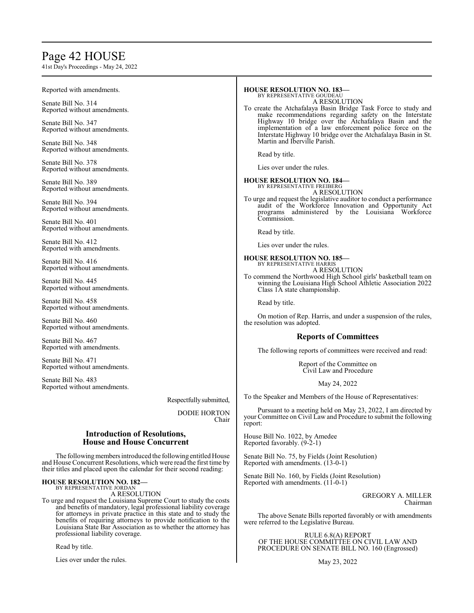## Page 42 HOUSE

41st Day's Proceedings - May 24, 2022

| Reported with amendments.                                                                                                                  | <b>HOUSE RESOLUTION NO. 183-</b><br>BY REPRESENTATIVE GOUDEAU<br>A RESOLUTION<br>To create the Atchafalaya Basin Bridge Task Force to study and<br>make recommendations regarding safety on the Interstate<br>Highway 10 bridge over the Atchafalaya Basin and the<br>implementation of a law enforcement police force on the<br>Interstate Highway 10 bridge over the Atchafalaya Basin in St. |  |
|--------------------------------------------------------------------------------------------------------------------------------------------|-------------------------------------------------------------------------------------------------------------------------------------------------------------------------------------------------------------------------------------------------------------------------------------------------------------------------------------------------------------------------------------------------|--|
| Senate Bill No. 314<br>Reported without amendments.                                                                                        |                                                                                                                                                                                                                                                                                                                                                                                                 |  |
| Senate Bill No. 347<br>Reported without amendments.                                                                                        |                                                                                                                                                                                                                                                                                                                                                                                                 |  |
| Senate Bill No. 348<br>Reported without amendments.                                                                                        | Martin and Iberville Parish.<br>Read by title.                                                                                                                                                                                                                                                                                                                                                  |  |
| Senate Bill No. 378<br>Reported without amendments.                                                                                        | Lies over under the rules.                                                                                                                                                                                                                                                                                                                                                                      |  |
| Senate Bill No. 389<br>Reported without amendments.                                                                                        | <b>HOUSE RESOLUTION NO. 184-</b><br>BY REPRESENTATIVE FREIBERG<br>A RESOLUTION                                                                                                                                                                                                                                                                                                                  |  |
| Senate Bill No. 394<br>Reported without amendments.                                                                                        | To urge and request the legislative auditor to conduct a performance<br>audit of the Workforce Innovation and Opportunity Act<br>programs administered by the Louisiana Workforce<br>Commission.<br>Read by title.                                                                                                                                                                              |  |
| Senate Bill No. 401<br>Reported without amendments.                                                                                        |                                                                                                                                                                                                                                                                                                                                                                                                 |  |
| Senate Bill No. 412<br>Reported with amendments.                                                                                           | Lies over under the rules.                                                                                                                                                                                                                                                                                                                                                                      |  |
| Senate Bill No. 416<br>Reported without amendments.                                                                                        | <b>HOUSE RESOLUTION NO. 185-</b><br>BY REPRESENTATIVE HARRIS<br>A RESOLUTION                                                                                                                                                                                                                                                                                                                    |  |
| Senate Bill No. 445<br>Reported without amendments.                                                                                        | To commend the Northwood High School girls' basketball team on<br>winning the Louisiana High School Athletic Association 2022<br>Class 1A state championship.                                                                                                                                                                                                                                   |  |
| Senate Bill No. 458<br>Reported without amendments.                                                                                        | Read by title.                                                                                                                                                                                                                                                                                                                                                                                  |  |
| Senate Bill No. 460<br>Reported without amendments.                                                                                        | On motion of Rep. Harris, and under a suspension of the rules,<br>the resolution was adopted.                                                                                                                                                                                                                                                                                                   |  |
| Senate Bill No. 467                                                                                                                        | <b>Reports of Committees</b>                                                                                                                                                                                                                                                                                                                                                                    |  |
| Reported with amendments.                                                                                                                  | The following reports of committees were received and read:                                                                                                                                                                                                                                                                                                                                     |  |
| Senate Bill No. 471<br>Reported without amendments.                                                                                        | Report of the Committee on<br>Civil Law and Procedure                                                                                                                                                                                                                                                                                                                                           |  |
| Senate Bill No. 483<br>Reported without amendments.                                                                                        | May 24, 2022                                                                                                                                                                                                                                                                                                                                                                                    |  |
| Respectfully submitted,                                                                                                                    | To the Speaker and Members of the House of Representatives:                                                                                                                                                                                                                                                                                                                                     |  |
| <b>DODIE HORTON</b><br>Chair                                                                                                               | Pursuant to a meeting held on May 23, 2022, I am directed by<br>your Committee on Civil Law and Procedure to submit the following<br>report:                                                                                                                                                                                                                                                    |  |
| <b>Introduction of Resolutions,</b><br><b>House and House Concurrent</b>                                                                   | House Bill No. 1022, by Amedee<br>Reported favorably. (9-2-1)                                                                                                                                                                                                                                                                                                                                   |  |
| The following members introduced the following entitled House<br>and House Concurrent Resolutions, which were read the first time by       | Senate Bill No. 75, by Fields (Joint Resolution)<br>Reported with amendments. (13-0-1)                                                                                                                                                                                                                                                                                                          |  |
| their titles and placed upon the calendar for their second reading:<br><b>HOUSE RESOLUTION NO. 182-</b><br><b>BY REPRESENTATIVE JORDAN</b> | Senate Bill No. 160, by Fields (Joint Resolution)<br>Reported with amendments. $(11-0-1)$                                                                                                                                                                                                                                                                                                       |  |

BY REPRESENTATIVE JORDAN A RESOLUTION

To urge and request the Louisiana Supreme Court to study the costs and benefits of mandatory, legal professional liability coverage for attorneys in private practice in this state and to study the benefits of requiring attorneys to provide notification to the Louisiana State Bar Association as to whether the attorney has professional liability coverage.

Read by title.

Lies over under the rules.

PROCEDURE ON SENATE BILL NO. 160 (Engrossed) May 23, 2022

RULE 6.8(A) REPORT OF THE HOUSE COMMITTEE ON CIVIL LAW AND

were referred to the Legislative Bureau.

The above Senate Bills reported favorably or with amendments

GREGORY A. MILLER

Chairman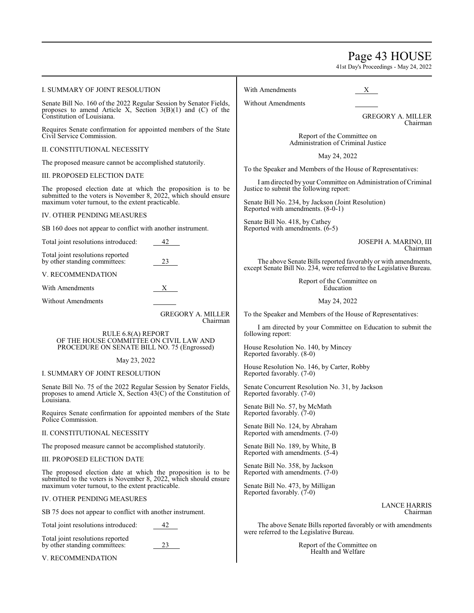Page 43 HOUSE

41st Day's Proceedings - May 24, 2022

| I. SUMMARY OF JOINT RESOLUTION                                                                                                                                                        |                          | With Amendments<br>X                                                                                                                  |
|---------------------------------------------------------------------------------------------------------------------------------------------------------------------------------------|--------------------------|---------------------------------------------------------------------------------------------------------------------------------------|
| Senate Bill No. 160 of the 2022 Regular Session by Senator Fields,<br>proposes to amend Article X, Section $3(B)(1)$ and (C) of the                                                   |                          | <b>Without Amendments</b>                                                                                                             |
| Constitution of Louisiana.                                                                                                                                                            |                          | <b>GREGORY A. MILLER</b><br>Chairman                                                                                                  |
| Requires Senate confirmation for appointed members of the State<br>Civil Service Commission.                                                                                          |                          | Report of the Committee on<br>Administration of Criminal Justice                                                                      |
| II. CONSTITUTIONAL NECESSITY                                                                                                                                                          |                          | May 24, 2022                                                                                                                          |
| The proposed measure cannot be accomplished statutorily.<br>III. PROPOSED ELECTION DATE                                                                                               |                          | To the Speaker and Members of the House of Representatives:                                                                           |
|                                                                                                                                                                                       |                          | I am directed by your Committee on Administration of Criminal                                                                         |
| The proposed election date at which the proposition is to be<br>submitted to the voters is November 8, 2022, which should ensure<br>maximum voter turnout, to the extent practicable. |                          | Justice to submit the following report:                                                                                               |
|                                                                                                                                                                                       |                          | Senate Bill No. 234, by Jackson (Joint Resolution)<br>Reported with amendments. (8-0-1)                                               |
| IV. OTHER PENDING MEASURES                                                                                                                                                            |                          | Senate Bill No. 418, by Cathey                                                                                                        |
| SB 160 does not appear to conflict with another instrument.                                                                                                                           |                          | Reported with amendments. (6-5)                                                                                                       |
| Total joint resolutions introduced:                                                                                                                                                   | 42                       | JOSEPH A. MARINO, III<br>Chairman                                                                                                     |
| Total joint resolutions reported<br>by other standing committees:                                                                                                                     | 23                       | The above Senate Bills reported favorably or with amendments,<br>except Senate Bill No. 234, were referred to the Legislative Bureau. |
| V. RECOMMENDATION                                                                                                                                                                     |                          |                                                                                                                                       |
| With Amendments                                                                                                                                                                       | X                        | Report of the Committee on<br>Education                                                                                               |
| Without Amendments                                                                                                                                                                    |                          | May 24, 2022                                                                                                                          |
|                                                                                                                                                                                       | <b>GREGORY A. MILLER</b> | To the Speaker and Members of the House of Representatives:                                                                           |
| Chairman<br>RULE 6.8(A) REPORT<br>OF THE HOUSE COMMITTEE ON CIVIL LAW AND<br>PROCEDURE ON SENATE BILL NO. 75 (Engrossed)<br>May 23, 2022                                              |                          | I am directed by your Committee on Education to submit the<br>following report:                                                       |
|                                                                                                                                                                                       |                          | House Resolution No. 140, by Mincey<br>Reported favorably. (8-0)                                                                      |
|                                                                                                                                                                                       |                          | House Resolution No. 146, by Carter, Robby                                                                                            |
| I. SUMMARY OF JOINT RESOLUTION                                                                                                                                                        |                          | Reported favorably. (7-0)                                                                                                             |
| Senate Bill No. 75 of the 2022 Regular Session by Senator Fields,<br>proposes to amend Article X, Section 43(C) of the Constitution of                                                |                          | Senate Concurrent Resolution No. 31, by Jackson<br>Reported favorably. (7-0)                                                          |
| Louisiana.<br>Requires Senate confirmation for appointed members of the State                                                                                                         |                          | Senate Bill No. 57, by McMath<br>Reported favorably. (7-0)                                                                            |
| Police Commission.<br>II. CONSTITUTIONAL NECESSITY                                                                                                                                    |                          | Senate Bill No. 124, by Abraham<br>Reported with amendments. (7-0)                                                                    |
| The proposed measure cannot be accomplished statutorily.                                                                                                                              |                          | Senate Bill No. 189, by White, B                                                                                                      |
| III. PROPOSED ELECTION DATE                                                                                                                                                           |                          | Reported with amendments. (5-4)                                                                                                       |
| The proposed election date at which the proposition is to be<br>submitted to the voters is November 8, 2022, which should ensure                                                      |                          | Senate Bill No. 358, by Jackson<br>Reported with amendments. (7-0)                                                                    |
| maximum voter turnout, to the extent practicable.<br>IV. OTHER PENDING MEASURES                                                                                                       |                          | Senate Bill No. 473, by Milligan<br>Reported favorably. (7-0)                                                                         |
| SB 75 does not appear to conflict with another instrument.                                                                                                                            |                          | <b>LANCE HARRIS</b><br>Chairman                                                                                                       |
|                                                                                                                                                                                       |                          | The above Senate Bills reported favorably or with amendments                                                                          |
| Total joint resolutions introduced:<br>42                                                                                                                                             |                          |                                                                                                                                       |

were referred to the Legislative Bureau.

Report of the Committee on Health and Welfare

Total joint resolutions reported by other standing committees: 23

V. RECOMMENDATION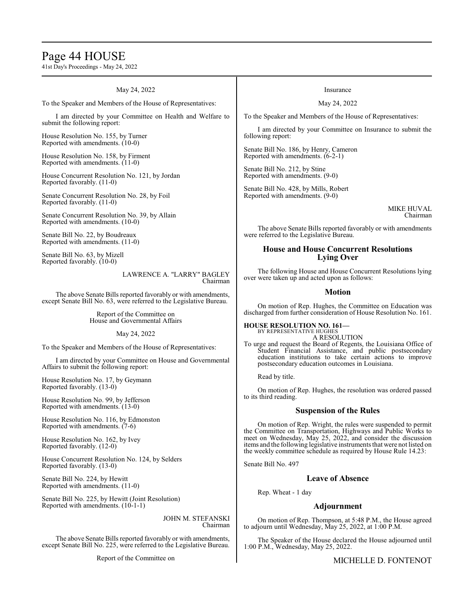### Page 44 HOUSE

41st Day's Proceedings - May 24, 2022

May 24, 2022 To the Speaker and Members of the House of Representatives: I am directed by your Committee on Health and Welfare to submit the following report: House Resolution No. 155, by Turner Reported with amendments. (10-0) House Resolution No. 158, by Firment Reported with amendments. (11-0) House Concurrent Resolution No. 121, by Jordan Reported favorably. (11-0) Senate Concurrent Resolution No. 28, by Foil Reported favorably. (11-0) Senate Concurrent Resolution No. 39, by Allain Reported with amendments. (10-0) Senate Bill No. 22, by Boudreaux Reported with amendments. (11-0) Senate Bill No. 63, by Mizell Reported favorably. (10-0) LAWRENCE A. "LARRY" BAGLEY Chairman The above Senate Bills reported favorably or with amendments, except Senate Bill No. 63, were referred to the Legislative Bureau. Report of the Committee on House and Governmental Affairs Insurance May 24, 2022 To the Speaker and Members of the House of Representatives: I am directed by your Committee on Insurance to submit the following report: Senate Bill No. 186, by Henry, Cameron Reported with amendments. (6-2-1) Senate Bill No. 212, by Stine Reported with amendments. (9-0) Senate Bill No. 428, by Mills, Robert Reported with amendments. (9-0) MIKE HUVAL Chairman The above Senate Bills reported favorably or with amendments were referred to the Legislative Bureau. **House and House Concurrent Resolutions Lying Over** The following House and House Concurrent Resolutions lying over were taken up and acted upon as follows: **Motion** On motion of Rep. Hughes, the Committee on Education was discharged from further consideration of House Resolution No. 161.

May 24, 2022

To the Speaker and Members of the House of Representatives:

I am directed by your Committee on House and Governmental Affairs to submit the following report:

House Resolution No. 17, by Geymann Reported favorably. (13-0)

House Resolution No. 99, by Jefferson Reported with amendments. (13-0)

House Resolution No. 116, by Edmonston Reported with amendments. (7-6)

House Resolution No. 162, by Ivey Reported favorably. (12-0)

House Concurrent Resolution No. 124, by Selders Reported favorably. (13-0)

Senate Bill No. 224, by Hewitt Reported with amendments. (11-0)

Senate Bill No. 225, by Hewitt (Joint Resolution) Reported with amendments. (10-1-1)

> JOHN M. STEFANSKI Chairman

The above Senate Bills reported favorably or with amendments, except Senate Bill No. 225, were referred to the Legislative Bureau.

Report of the Committee on

#### **HOUSE RESOLUTION NO. 161—** BY REPRESENTATIVE HUGHES

A RESOLUTION

To urge and request the Board of Regents, the Louisiana Office of Student Financial Assistance, and public postsecondary education institutions to take certain actions to improve postsecondary education outcomes in Louisiana.

Read by title.

On motion of Rep. Hughes, the resolution was ordered passed to its third reading.

#### **Suspension of the Rules**

On motion of Rep. Wright, the rules were suspended to permit the Committee on Transportation, Highways and Public Works to meet on Wednesday, May 25, 2022, and consider the discussion items and the following legislative instruments that were not listed on the weekly committee schedule as required by House Rule 14.23:

Senate Bill No. 497

#### **Leave of Absence**

Rep. Wheat - 1 day

### **Adjournment**

On motion of Rep. Thompson, at 5:48 P.M., the House agreed to adjourn until Wednesday, May 25, 2022, at 1:00 P.M.

The Speaker of the House declared the House adjourned until 1:00 P.M., Wednesday, May 25, 2022.

MICHELLE D. FONTENOT